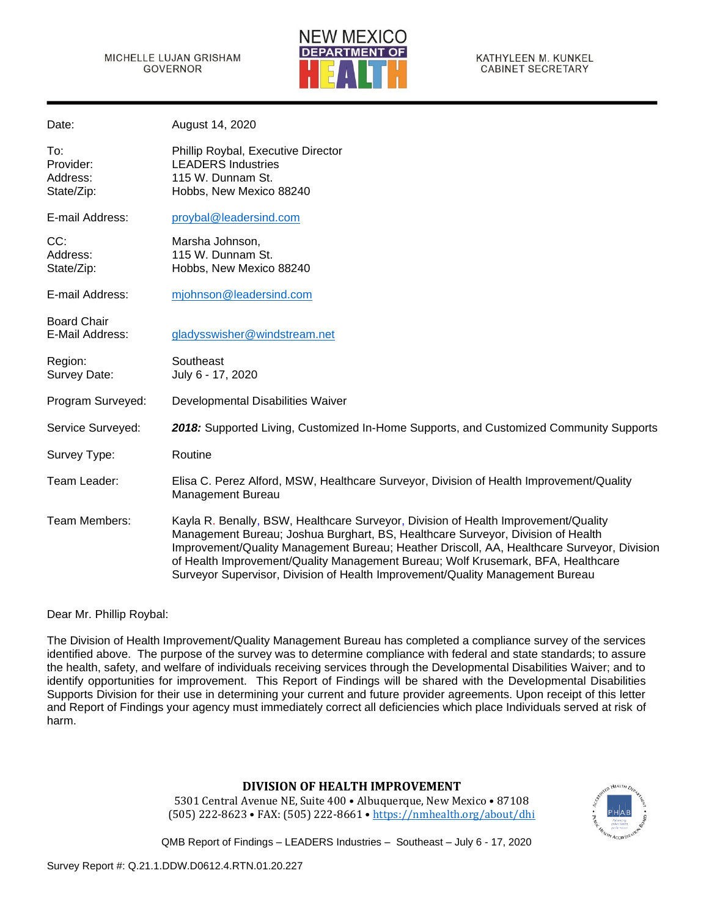

| Date:                                      | August 14, 2020                                                                                                                                                                                                                                                                                                                                                                                                                          |
|--------------------------------------------|------------------------------------------------------------------------------------------------------------------------------------------------------------------------------------------------------------------------------------------------------------------------------------------------------------------------------------------------------------------------------------------------------------------------------------------|
| To:<br>Provider:<br>Address:<br>State/Zip: | Phillip Roybal, Executive Director<br><b>LEADERS Industries</b><br>115 W. Dunnam St.<br>Hobbs, New Mexico 88240                                                                                                                                                                                                                                                                                                                          |
| E-mail Address:                            | proybal@leadersind.com                                                                                                                                                                                                                                                                                                                                                                                                                   |
| CC:<br>Address:<br>State/Zip:              | Marsha Johnson,<br>115 W. Dunnam St.<br>Hobbs, New Mexico 88240                                                                                                                                                                                                                                                                                                                                                                          |
| E-mail Address:                            | mjohnson@leadersind.com                                                                                                                                                                                                                                                                                                                                                                                                                  |
| <b>Board Chair</b><br>E-Mail Address:      | gladysswisher@windstream.net                                                                                                                                                                                                                                                                                                                                                                                                             |
| Region:<br>Survey Date:                    | Southeast<br>July 6 - 17, 2020                                                                                                                                                                                                                                                                                                                                                                                                           |
| Program Surveyed:                          | Developmental Disabilities Waiver                                                                                                                                                                                                                                                                                                                                                                                                        |
| Service Surveyed:                          | 2018: Supported Living, Customized In-Home Supports, and Customized Community Supports                                                                                                                                                                                                                                                                                                                                                   |
| Survey Type:                               | Routine                                                                                                                                                                                                                                                                                                                                                                                                                                  |
| Team Leader:                               | Elisa C. Perez Alford, MSW, Healthcare Surveyor, Division of Health Improvement/Quality<br>Management Bureau                                                                                                                                                                                                                                                                                                                             |
| Team Members:                              | Kayla R. Benally, BSW, Healthcare Surveyor, Division of Health Improvement/Quality<br>Management Bureau; Joshua Burghart, BS, Healthcare Surveyor, Division of Health<br>Improvement/Quality Management Bureau; Heather Driscoll, AA, Healthcare Surveyor, Division<br>of Health Improvement/Quality Management Bureau; Wolf Krusemark, BFA, Healthcare<br>Surveyor Supervisor, Division of Health Improvement/Quality Management Bureau |

Dear Mr. Phillip Roybal:

The Division of Health Improvement/Quality Management Bureau has completed a compliance survey of the services identified above. The purpose of the survey was to determine compliance with federal and state standards; to assure the health, safety, and welfare of individuals receiving services through the Developmental Disabilities Waiver; and to identify opportunities for improvement. This Report of Findings will be shared with the Developmental Disabilities Supports Division for their use in determining your current and future provider agreements. Upon receipt of this letter and Report of Findings your agency must immediately correct all deficiencies which place Individuals served at risk of harm.

# **DIVISION OF HEALTH IMPROVEMENT**

5301 Central Avenue NE, Suite 400 • Albuquerque, New Mexico • 87108 (505) 222-8623 • FAX: (505) 222-8661 • <https://nmhealth.org/about/dhi>

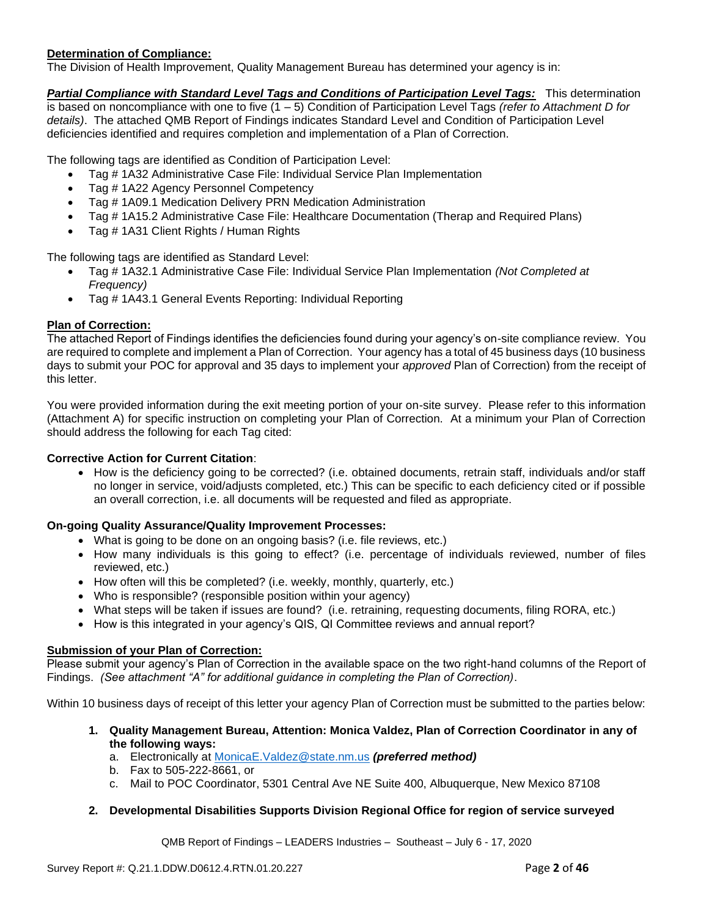# **Determination of Compliance:**

The Division of Health Improvement, Quality Management Bureau has determined your agency is in:

*Partial Compliance with Standard Level Tags and Conditions of Participation Level Tags:* This determination is based on noncompliance with one to five (1 – 5) Condition of Participation Level Tags *(refer to Attachment D for details)*. The attached QMB Report of Findings indicates Standard Level and Condition of Participation Level deficiencies identified and requires completion and implementation of a Plan of Correction.

The following tags are identified as Condition of Participation Level:

- Tag # 1A32 Administrative Case File: Individual Service Plan Implementation
- Tag # 1A22 Agency Personnel Competency
- Tag # 1A09.1 Medication Delivery PRN Medication Administration
- Tag # 1A15.2 Administrative Case File: Healthcare Documentation (Therap and Required Plans)
- Tag # 1A31 Client Rights / Human Rights

The following tags are identified as Standard Level:

- Tag # 1A32.1 Administrative Case File: Individual Service Plan Implementation *(Not Completed at Frequency)*
- Tag # 1A43.1 General Events Reporting: Individual Reporting

# **Plan of Correction:**

The attached Report of Findings identifies the deficiencies found during your agency's on-site compliance review. You are required to complete and implement a Plan of Correction. Your agency has a total of 45 business days (10 business days to submit your POC for approval and 35 days to implement your *approved* Plan of Correction) from the receipt of this letter.

You were provided information during the exit meeting portion of your on-site survey. Please refer to this information (Attachment A) for specific instruction on completing your Plan of Correction. At a minimum your Plan of Correction should address the following for each Tag cited:

#### **Corrective Action for Current Citation**:

• How is the deficiency going to be corrected? (i.e. obtained documents, retrain staff, individuals and/or staff no longer in service, void/adjusts completed, etc.) This can be specific to each deficiency cited or if possible an overall correction, i.e. all documents will be requested and filed as appropriate.

#### **On-going Quality Assurance/Quality Improvement Processes:**

- What is going to be done on an ongoing basis? (i.e. file reviews, etc.)
- How many individuals is this going to effect? (i.e. percentage of individuals reviewed, number of files reviewed, etc.)
- How often will this be completed? (i.e. weekly, monthly, quarterly, etc.)
- Who is responsible? (responsible position within your agency)
- What steps will be taken if issues are found? (i.e. retraining, requesting documents, filing RORA, etc.)
- How is this integrated in your agency's QIS, QI Committee reviews and annual report?

#### **Submission of your Plan of Correction:**

Please submit your agency's Plan of Correction in the available space on the two right-hand columns of the Report of Findings. *(See attachment "A" for additional guidance in completing the Plan of Correction)*.

Within 10 business days of receipt of this letter your agency Plan of Correction must be submitted to the parties below:

- **1. Quality Management Bureau, Attention: Monica Valdez, Plan of Correction Coordinator in any of the following ways:**
	- a. Electronically at [MonicaE.Valdez@state.nm.us](mailto:MonicaE.Valdez@state.nm.us) *(preferred method)*
	- b. Fax to 505-222-8661, or
	- c. Mail to POC Coordinator, 5301 Central Ave NE Suite 400, Albuquerque, New Mexico 87108
- **2. Developmental Disabilities Supports Division Regional Office for region of service surveyed**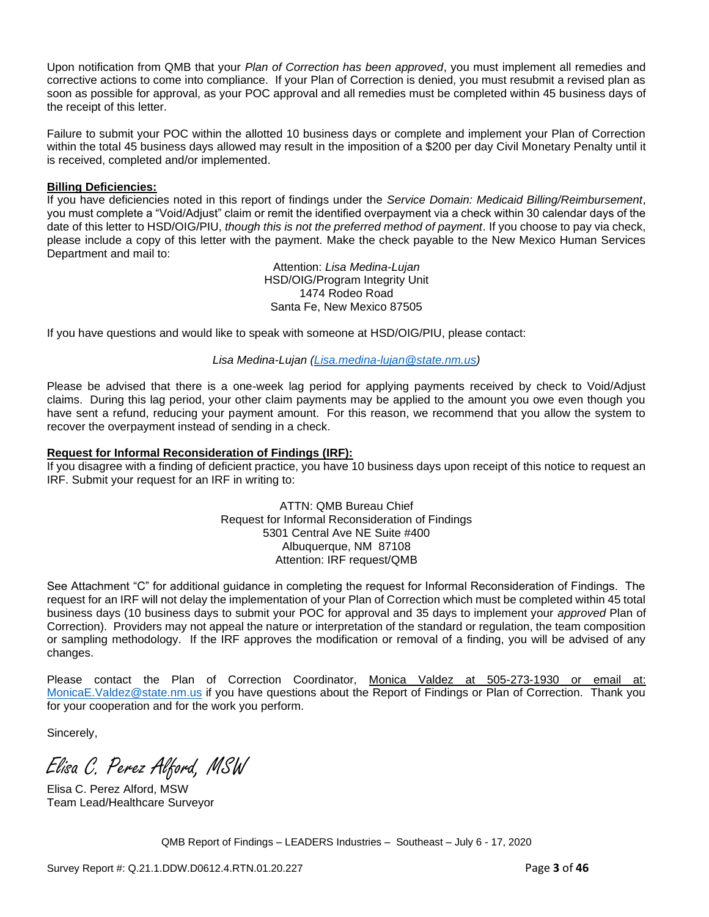Upon notification from QMB that your *Plan of Correction has been approved*, you must implement all remedies and corrective actions to come into compliance. If your Plan of Correction is denied, you must resubmit a revised plan as soon as possible for approval, as your POC approval and all remedies must be completed within 45 business days of the receipt of this letter.

Failure to submit your POC within the allotted 10 business days or complete and implement your Plan of Correction within the total 45 business days allowed may result in the imposition of a \$200 per day Civil Monetary Penalty until it is received, completed and/or implemented.

### **Billing Deficiencies:**

If you have deficiencies noted in this report of findings under the *Service Domain: Medicaid Billing/Reimbursement*, you must complete a "Void/Adjust" claim or remit the identified overpayment via a check within 30 calendar days of the date of this letter to HSD/OIG/PIU, *though this is not the preferred method of payment*. If you choose to pay via check, please include a copy of this letter with the payment. Make the check payable to the New Mexico Human Services Department and mail to:

> Attention: *Lisa Medina-Lujan* HSD/OIG/Program Integrity Unit 1474 Rodeo Road Santa Fe, New Mexico 87505

If you have questions and would like to speak with someone at HSD/OIG/PIU, please contact:

*Lisa Medina-Lujan [\(Lisa.medina-lujan@state.nm.us\)](mailto:Lisa.medina-lujan@state.nm.us)*

Please be advised that there is a one-week lag period for applying payments received by check to Void/Adjust claims. During this lag period, your other claim payments may be applied to the amount you owe even though you have sent a refund, reducing your payment amount. For this reason, we recommend that you allow the system to recover the overpayment instead of sending in a check.

### **Request for Informal Reconsideration of Findings (IRF):**

If you disagree with a finding of deficient practice, you have 10 business days upon receipt of this notice to request an IRF. Submit your request for an IRF in writing to:

> ATTN: QMB Bureau Chief Request for Informal Reconsideration of Findings 5301 Central Ave NE Suite #400 Albuquerque, NM 87108 Attention: IRF request/QMB

See Attachment "C" for additional guidance in completing the request for Informal Reconsideration of Findings. The request for an IRF will not delay the implementation of your Plan of Correction which must be completed within 45 total business days (10 business days to submit your POC for approval and 35 days to implement your *approved* Plan of Correction). Providers may not appeal the nature or interpretation of the standard or regulation, the team composition or sampling methodology. If the IRF approves the modification or removal of a finding, you will be advised of any changes.

Please contact the Plan of Correction Coordinator, Monica Valdez at 505-273-1930 or email at: [MonicaE.Valdez@state.nm.us](mailto:MonicaE.Valdez@state.nm.us) if you have questions about the Report of Findings or Plan of Correction. Thank you for your cooperation and for the work you perform.

Sincerely,

Elisa C. Perez Alford, MSW

Elisa C. Perez Alford, MSW Team Lead/Healthcare Surveyor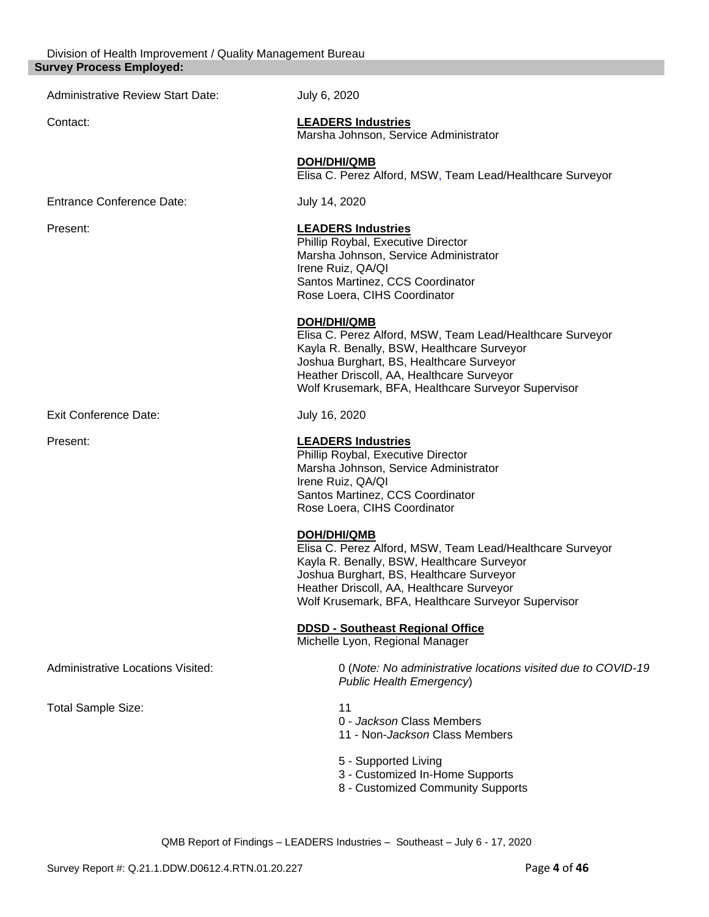| July 6, 2020                                                                                                                                                                                                                                                           |
|------------------------------------------------------------------------------------------------------------------------------------------------------------------------------------------------------------------------------------------------------------------------|
| <b>LEADERS Industries</b><br>Marsha Johnson, Service Administrator                                                                                                                                                                                                     |
| <b>DOH/DHI/QMB</b><br>Elisa C. Perez Alford, MSW, Team Lead/Healthcare Surveyor                                                                                                                                                                                        |
| July 14, 2020                                                                                                                                                                                                                                                          |
| <b>LEADERS Industries</b><br>Phillip Roybal, Executive Director<br>Marsha Johnson, Service Administrator<br>Irene Ruiz, QA/QI<br>Santos Martinez, CCS Coordinator<br>Rose Loera, CIHS Coordinator                                                                      |
| DOH/DHI/QMB<br>Elisa C. Perez Alford, MSW, Team Lead/Healthcare Surveyor<br>Kayla R. Benally, BSW, Healthcare Surveyor<br>Joshua Burghart, BS, Healthcare Surveyor<br>Heather Driscoll, AA, Healthcare Surveyor<br>Wolf Krusemark, BFA, Healthcare Surveyor Supervisor |
| July 16, 2020                                                                                                                                                                                                                                                          |
| <b>LEADERS Industries</b><br>Phillip Roybal, Executive Director<br>Marsha Johnson, Service Administrator<br>Irene Ruiz, QA/QI<br>Santos Martinez, CCS Coordinator<br>Rose Loera, CIHS Coordinator                                                                      |
| DOH/DHI/QMB<br>Elisa C. Perez Alford, MSW, Team Lead/Healthcare Surveyor<br>Kayla R. Benally, BSW, Healthcare Surveyor<br>Joshua Burghart, BS, Healthcare Surveyor<br>Heather Driscoll, AA, Healthcare Surveyor<br>Wolf Krusemark, BFA, Healthcare Surveyor Supervisor |
| <b>DDSD - Southeast Regional Office</b><br>Michelle Lyon, Regional Manager                                                                                                                                                                                             |
| 0 (Note: No administrative locations visited due to COVID-19<br><b>Public Health Emergency)</b>                                                                                                                                                                        |
| 11<br>0 - Jackson Class Members<br>11 - Non-Jackson Class Members                                                                                                                                                                                                      |
| 5 - Supported Living<br>3 - Customized In-Home Supports<br>8 - Customized Community Supports                                                                                                                                                                           |
|                                                                                                                                                                                                                                                                        |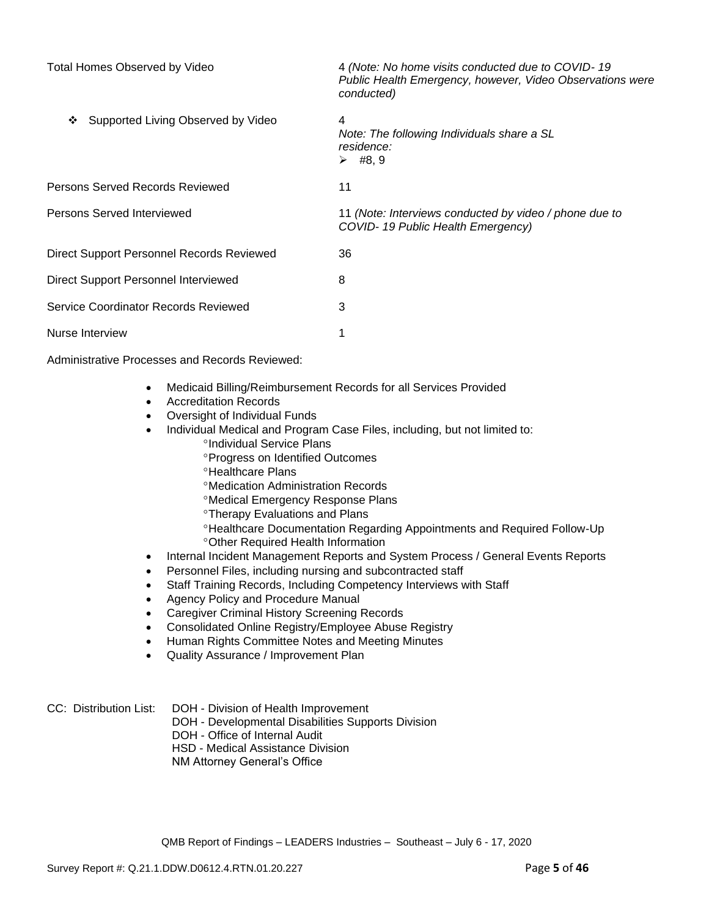| <b>Total Homes Observed by Video</b>      | 4 (Note: No home visits conducted due to COVID-19<br>Public Health Emergency, however, Video Observations were<br>conducted) |
|-------------------------------------------|------------------------------------------------------------------------------------------------------------------------------|
| Supported Living Observed by Video<br>❖   | 4<br>Note: The following Individuals share a SL<br>residence:<br>$\triangleright$ #8,9                                       |
| Persons Served Records Reviewed           | 11                                                                                                                           |
| Persons Served Interviewed                | 11 (Note: Interviews conducted by video / phone due to<br>COVID-19 Public Health Emergency)                                  |
| Direct Support Personnel Records Reviewed | 36                                                                                                                           |
| Direct Support Personnel Interviewed      | 8                                                                                                                            |
| Service Coordinator Records Reviewed      | 3                                                                                                                            |
| Nurse Interview                           |                                                                                                                              |

Administrative Processes and Records Reviewed:

- Medicaid Billing/Reimbursement Records for all Services Provided
- Accreditation Records
- Oversight of Individual Funds
- Individual Medical and Program Case Files, including, but not limited to: °Individual Service Plans
	- **Progress on Identified Outcomes**
	- <sup>o</sup>Healthcare Plans
	- Medication Administration Records
	- Medical Emergency Response Plans
	- **Therapy Evaluations and Plans**
	- Healthcare Documentation Regarding Appointments and Required Follow-Up Other Required Health Information
- Internal Incident Management Reports and System Process / General Events Reports
- Personnel Files, including nursing and subcontracted staff
- Staff Training Records, Including Competency Interviews with Staff
- Agency Policy and Procedure Manual
- Caregiver Criminal History Screening Records
- Consolidated Online Registry/Employee Abuse Registry
- Human Rights Committee Notes and Meeting Minutes
- Quality Assurance / Improvement Plan
- CC: Distribution List: DOH Division of Health Improvement
	- DOH Developmental Disabilities Supports Division
		- DOH Office of Internal Audit
		- HSD Medical Assistance Division
		- NM Attorney General's Office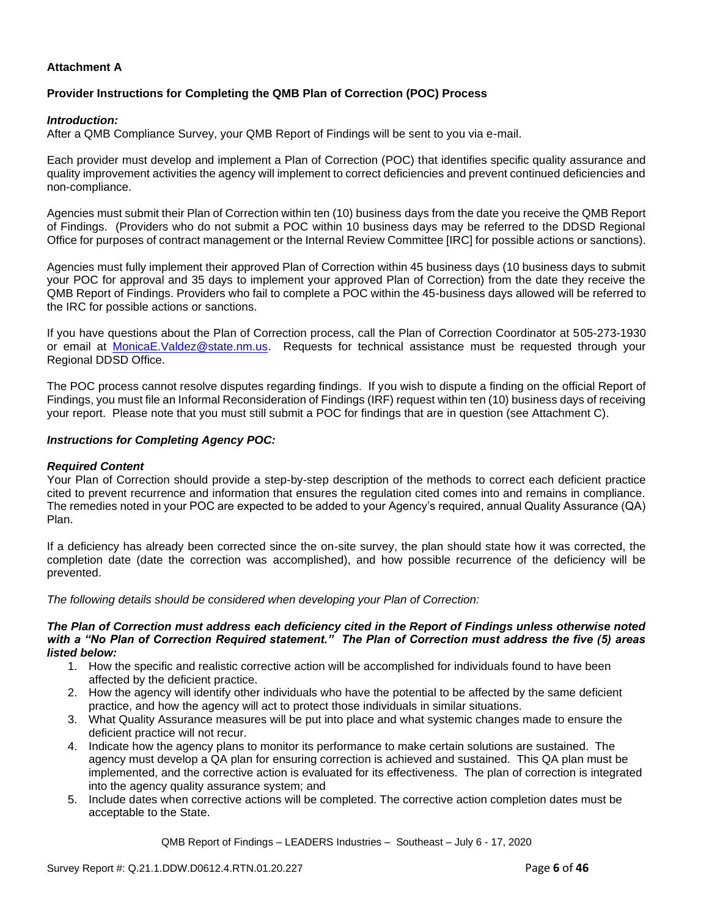## **Attachment A**

### **Provider Instructions for Completing the QMB Plan of Correction (POC) Process**

#### *Introduction:*

After a QMB Compliance Survey, your QMB Report of Findings will be sent to you via e-mail.

Each provider must develop and implement a Plan of Correction (POC) that identifies specific quality assurance and quality improvement activities the agency will implement to correct deficiencies and prevent continued deficiencies and non-compliance.

Agencies must submit their Plan of Correction within ten (10) business days from the date you receive the QMB Report of Findings. (Providers who do not submit a POC within 10 business days may be referred to the DDSD Regional Office for purposes of contract management or the Internal Review Committee [IRC] for possible actions or sanctions).

Agencies must fully implement their approved Plan of Correction within 45 business days (10 business days to submit your POC for approval and 35 days to implement your approved Plan of Correction) from the date they receive the QMB Report of Findings. Providers who fail to complete a POC within the 45-business days allowed will be referred to the IRC for possible actions or sanctions.

If you have questions about the Plan of Correction process, call the Plan of Correction Coordinator at 505-273-1930 or email at [MonicaE.Valdez@state.nm.us.](mailto:MonicaE.Valdez@state.nm.us) Requests for technical assistance must be requested through your Regional DDSD Office.

The POC process cannot resolve disputes regarding findings. If you wish to dispute a finding on the official Report of Findings, you must file an Informal Reconsideration of Findings (IRF) request within ten (10) business days of receiving your report. Please note that you must still submit a POC for findings that are in question (see Attachment C).

#### *Instructions for Completing Agency POC:*

#### *Required Content*

Your Plan of Correction should provide a step-by-step description of the methods to correct each deficient practice cited to prevent recurrence and information that ensures the regulation cited comes into and remains in compliance. The remedies noted in your POC are expected to be added to your Agency's required, annual Quality Assurance (QA) Plan.

If a deficiency has already been corrected since the on-site survey, the plan should state how it was corrected, the completion date (date the correction was accomplished), and how possible recurrence of the deficiency will be prevented.

*The following details should be considered when developing your Plan of Correction:*

#### *The Plan of Correction must address each deficiency cited in the Report of Findings unless otherwise noted with a "No Plan of Correction Required statement." The Plan of Correction must address the five (5) areas listed below:*

- 1. How the specific and realistic corrective action will be accomplished for individuals found to have been affected by the deficient practice.
- 2. How the agency will identify other individuals who have the potential to be affected by the same deficient practice, and how the agency will act to protect those individuals in similar situations.
- 3. What Quality Assurance measures will be put into place and what systemic changes made to ensure the deficient practice will not recur.
- 4. Indicate how the agency plans to monitor its performance to make certain solutions are sustained. The agency must develop a QA plan for ensuring correction is achieved and sustained. This QA plan must be implemented, and the corrective action is evaluated for its effectiveness. The plan of correction is integrated into the agency quality assurance system; and
- 5. Include dates when corrective actions will be completed. The corrective action completion dates must be acceptable to the State.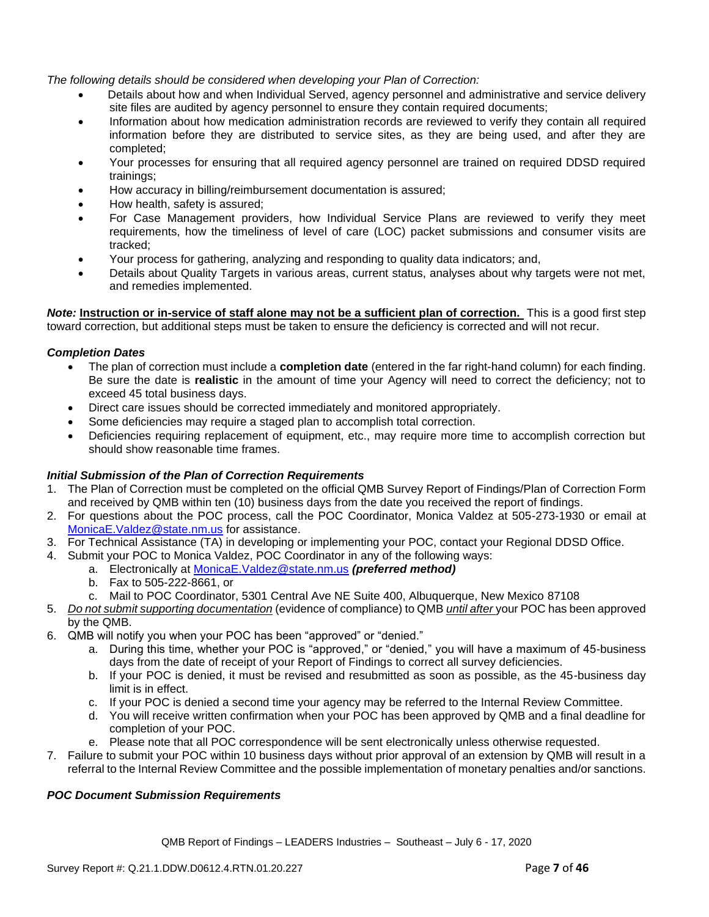*The following details should be considered when developing your Plan of Correction:*

- Details about how and when Individual Served, agency personnel and administrative and service delivery site files are audited by agency personnel to ensure they contain required documents;
- Information about how medication administration records are reviewed to verify they contain all required information before they are distributed to service sites, as they are being used, and after they are completed;
- Your processes for ensuring that all required agency personnel are trained on required DDSD required trainings;
- How accuracy in billing/reimbursement documentation is assured;
- How health, safety is assured;
- For Case Management providers, how Individual Service Plans are reviewed to verify they meet requirements, how the timeliness of level of care (LOC) packet submissions and consumer visits are tracked;
- Your process for gathering, analyzing and responding to quality data indicators; and,
- Details about Quality Targets in various areas, current status, analyses about why targets were not met, and remedies implemented.

*Note:* **Instruction or in-service of staff alone may not be a sufficient plan of correction.** This is a good first step toward correction, but additional steps must be taken to ensure the deficiency is corrected and will not recur.

# *Completion Dates*

- The plan of correction must include a **completion date** (entered in the far right-hand column) for each finding. Be sure the date is **realistic** in the amount of time your Agency will need to correct the deficiency; not to exceed 45 total business days.
- Direct care issues should be corrected immediately and monitored appropriately.
- Some deficiencies may require a staged plan to accomplish total correction.
- Deficiencies requiring replacement of equipment, etc., may require more time to accomplish correction but should show reasonable time frames.

# *Initial Submission of the Plan of Correction Requirements*

- 1. The Plan of Correction must be completed on the official QMB Survey Report of Findings/Plan of Correction Form and received by QMB within ten (10) business days from the date you received the report of findings.
- 2. For questions about the POC process, call the POC Coordinator, Monica Valdez at 505-273-1930 or email at [MonicaE.Valdez@state.nm.us](mailto:MonicaE.Valdez@state.nm.us) for assistance.
- 3. For Technical Assistance (TA) in developing or implementing your POC, contact your Regional DDSD Office.
- 4. Submit your POC to Monica Valdez, POC Coordinator in any of the following ways:
	- a. Electronically at [MonicaE.Valdez@state.nm.us](mailto:MonicaE.Valdez@state.nm.us) *(preferred method)*
	- b. Fax to 505-222-8661, or
	- c. Mail to POC Coordinator, 5301 Central Ave NE Suite 400, Albuquerque, New Mexico 87108
- 5. *Do not submit supporting documentation* (evidence of compliance) to QMB *until after* your POC has been approved by the QMB.
- 6. QMB will notify you when your POC has been "approved" or "denied."
	- a. During this time, whether your POC is "approved," or "denied," you will have a maximum of 45-business days from the date of receipt of your Report of Findings to correct all survey deficiencies.
	- b. If your POC is denied, it must be revised and resubmitted as soon as possible, as the 45-business day limit is in effect.
	- c. If your POC is denied a second time your agency may be referred to the Internal Review Committee.
	- d. You will receive written confirmation when your POC has been approved by QMB and a final deadline for completion of your POC.
	- e. Please note that all POC correspondence will be sent electronically unless otherwise requested.
- 7. Failure to submit your POC within 10 business days without prior approval of an extension by QMB will result in a referral to the Internal Review Committee and the possible implementation of monetary penalties and/or sanctions.

# *POC Document Submission Requirements*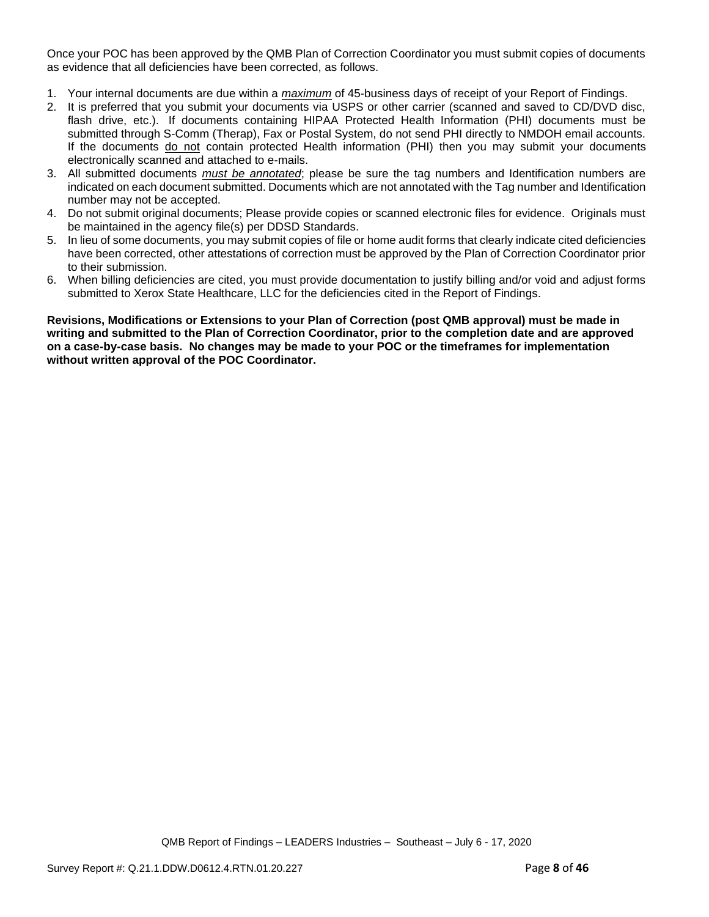Once your POC has been approved by the QMB Plan of Correction Coordinator you must submit copies of documents as evidence that all deficiencies have been corrected, as follows.

- 1. Your internal documents are due within a *maximum* of 45-business days of receipt of your Report of Findings.
- 2. It is preferred that you submit your documents via USPS or other carrier (scanned and saved to CD/DVD disc, flash drive, etc.). If documents containing HIPAA Protected Health Information (PHI) documents must be submitted through S-Comm (Therap), Fax or Postal System, do not send PHI directly to NMDOH email accounts. If the documents do not contain protected Health information (PHI) then you may submit your documents electronically scanned and attached to e-mails.
- 3. All submitted documents *must be annotated*; please be sure the tag numbers and Identification numbers are indicated on each document submitted. Documents which are not annotated with the Tag number and Identification number may not be accepted.
- 4. Do not submit original documents; Please provide copies or scanned electronic files for evidence. Originals must be maintained in the agency file(s) per DDSD Standards.
- 5. In lieu of some documents, you may submit copies of file or home audit forms that clearly indicate cited deficiencies have been corrected, other attestations of correction must be approved by the Plan of Correction Coordinator prior to their submission.
- 6. When billing deficiencies are cited, you must provide documentation to justify billing and/or void and adjust forms submitted to Xerox State Healthcare, LLC for the deficiencies cited in the Report of Findings.

**Revisions, Modifications or Extensions to your Plan of Correction (post QMB approval) must be made in writing and submitted to the Plan of Correction Coordinator, prior to the completion date and are approved on a case-by-case basis. No changes may be made to your POC or the timeframes for implementation without written approval of the POC Coordinator.**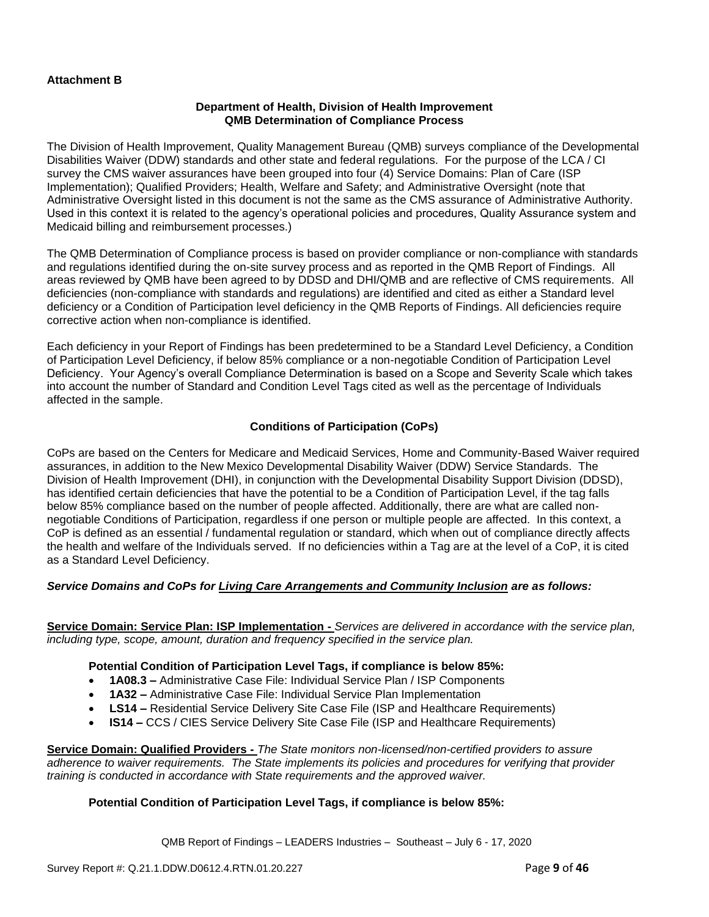# **Attachment B**

#### **Department of Health, Division of Health Improvement QMB Determination of Compliance Process**

The Division of Health Improvement, Quality Management Bureau (QMB) surveys compliance of the Developmental Disabilities Waiver (DDW) standards and other state and federal regulations. For the purpose of the LCA / CI survey the CMS waiver assurances have been grouped into four (4) Service Domains: Plan of Care (ISP Implementation); Qualified Providers; Health, Welfare and Safety; and Administrative Oversight (note that Administrative Oversight listed in this document is not the same as the CMS assurance of Administrative Authority. Used in this context it is related to the agency's operational policies and procedures, Quality Assurance system and Medicaid billing and reimbursement processes.)

The QMB Determination of Compliance process is based on provider compliance or non-compliance with standards and regulations identified during the on-site survey process and as reported in the QMB Report of Findings. All areas reviewed by QMB have been agreed to by DDSD and DHI/QMB and are reflective of CMS requirements. All deficiencies (non-compliance with standards and regulations) are identified and cited as either a Standard level deficiency or a Condition of Participation level deficiency in the QMB Reports of Findings. All deficiencies require corrective action when non-compliance is identified.

Each deficiency in your Report of Findings has been predetermined to be a Standard Level Deficiency, a Condition of Participation Level Deficiency, if below 85% compliance or a non-negotiable Condition of Participation Level Deficiency. Your Agency's overall Compliance Determination is based on a Scope and Severity Scale which takes into account the number of Standard and Condition Level Tags cited as well as the percentage of Individuals affected in the sample.

### **Conditions of Participation (CoPs)**

CoPs are based on the Centers for Medicare and Medicaid Services, Home and Community-Based Waiver required assurances, in addition to the New Mexico Developmental Disability Waiver (DDW) Service Standards. The Division of Health Improvement (DHI), in conjunction with the Developmental Disability Support Division (DDSD), has identified certain deficiencies that have the potential to be a Condition of Participation Level, if the tag falls below 85% compliance based on the number of people affected. Additionally, there are what are called nonnegotiable Conditions of Participation, regardless if one person or multiple people are affected. In this context, a CoP is defined as an essential / fundamental regulation or standard, which when out of compliance directly affects the health and welfare of the Individuals served. If no deficiencies within a Tag are at the level of a CoP, it is cited as a Standard Level Deficiency.

## *Service Domains and CoPs for Living Care Arrangements and Community Inclusion are as follows:*

**Service Domain: Service Plan: ISP Implementation -** *Services are delivered in accordance with the service plan, including type, scope, amount, duration and frequency specified in the service plan.*

#### **Potential Condition of Participation Level Tags, if compliance is below 85%:**

- **1A08.3 –** Administrative Case File: Individual Service Plan / ISP Components
- **1A32 –** Administrative Case File: Individual Service Plan Implementation
- **LS14 –** Residential Service Delivery Site Case File (ISP and Healthcare Requirements)
- **IS14 –** CCS / CIES Service Delivery Site Case File (ISP and Healthcare Requirements)

**Service Domain: Qualified Providers -** *The State monitors non-licensed/non-certified providers to assure adherence to waiver requirements. The State implements its policies and procedures for verifying that provider training is conducted in accordance with State requirements and the approved waiver.*

#### **Potential Condition of Participation Level Tags, if compliance is below 85%:**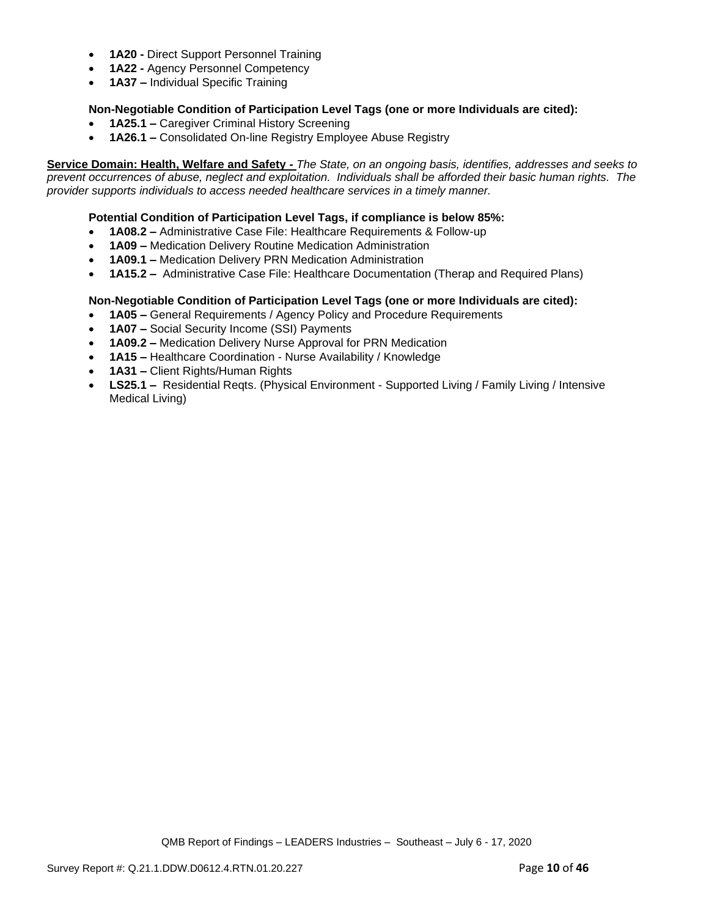- **1A20 -** Direct Support Personnel Training
- **1A22 -** Agency Personnel Competency
- **1A37 –** Individual Specific Training

# **Non-Negotiable Condition of Participation Level Tags (one or more Individuals are cited):**

- **1A25.1 –** Caregiver Criminal History Screening
- **1A26.1 –** Consolidated On-line Registry Employee Abuse Registry

**Service Domain: Health, Welfare and Safety -** *The State, on an ongoing basis, identifies, addresses and seeks to prevent occurrences of abuse, neglect and exploitation. Individuals shall be afforded their basic human rights. The provider supports individuals to access needed healthcare services in a timely manner.*

### **Potential Condition of Participation Level Tags, if compliance is below 85%:**

- **1A08.2 –** Administrative Case File: Healthcare Requirements & Follow-up
- **1A09 –** Medication Delivery Routine Medication Administration
- **1A09.1 –** Medication Delivery PRN Medication Administration
- **1A15.2 –** Administrative Case File: Healthcare Documentation (Therap and Required Plans)

### **Non-Negotiable Condition of Participation Level Tags (one or more Individuals are cited):**

- **1A05 –** General Requirements / Agency Policy and Procedure Requirements
- **1A07 –** Social Security Income (SSI) Payments
- **1A09.2 –** Medication Delivery Nurse Approval for PRN Medication
- **1A15 –** Healthcare Coordination Nurse Availability / Knowledge
- **1A31 –** Client Rights/Human Rights
- **LS25.1 –** Residential Reqts. (Physical Environment Supported Living / Family Living / Intensive Medical Living)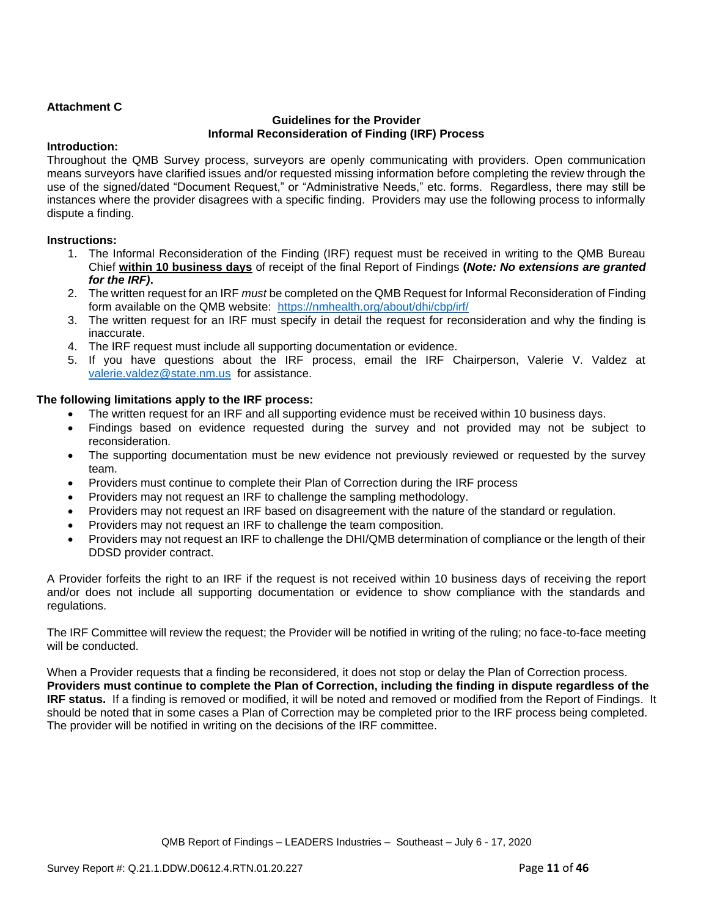## **Attachment C**

#### **Guidelines for the Provider Informal Reconsideration of Finding (IRF) Process**

#### **Introduction:**

Throughout the QMB Survey process, surveyors are openly communicating with providers. Open communication means surveyors have clarified issues and/or requested missing information before completing the review through the use of the signed/dated "Document Request," or "Administrative Needs," etc. forms. Regardless, there may still be instances where the provider disagrees with a specific finding. Providers may use the following process to informally dispute a finding.

### **Instructions:**

- 1. The Informal Reconsideration of the Finding (IRF) request must be received in writing to the QMB Bureau Chief **within 10 business days** of receipt of the final Report of Findings **(***Note: No extensions are granted for the IRF)***.**
- 2. The written request for an IRF *must* be completed on the QMB Request for Informal Reconsideration of Finding form available on the QMB website: <https://nmhealth.org/about/dhi/cbp/irf/>
- 3. The written request for an IRF must specify in detail the request for reconsideration and why the finding is inaccurate.
- 4. The IRF request must include all supporting documentation or evidence.
- 5. If you have questions about the IRF process, email the IRF Chairperson, Valerie V. Valdez at [valerie.valdez@state.nm.us](mailto:valerie.valdez@state.nm.us) for assistance.

### **The following limitations apply to the IRF process:**

- The written request for an IRF and all supporting evidence must be received within 10 business days.
- Findings based on evidence requested during the survey and not provided may not be subject to reconsideration.
- The supporting documentation must be new evidence not previously reviewed or requested by the survey team.
- Providers must continue to complete their Plan of Correction during the IRF process
- Providers may not request an IRF to challenge the sampling methodology.
- Providers may not request an IRF based on disagreement with the nature of the standard or regulation.
- Providers may not request an IRF to challenge the team composition.
- Providers may not request an IRF to challenge the DHI/QMB determination of compliance or the length of their DDSD provider contract.

A Provider forfeits the right to an IRF if the request is not received within 10 business days of receiving the report and/or does not include all supporting documentation or evidence to show compliance with the standards and regulations.

The IRF Committee will review the request; the Provider will be notified in writing of the ruling; no face-to-face meeting will be conducted.

When a Provider requests that a finding be reconsidered, it does not stop or delay the Plan of Correction process. **Providers must continue to complete the Plan of Correction, including the finding in dispute regardless of the IRF status.** If a finding is removed or modified, it will be noted and removed or modified from the Report of Findings. It should be noted that in some cases a Plan of Correction may be completed prior to the IRF process being completed. The provider will be notified in writing on the decisions of the IRF committee.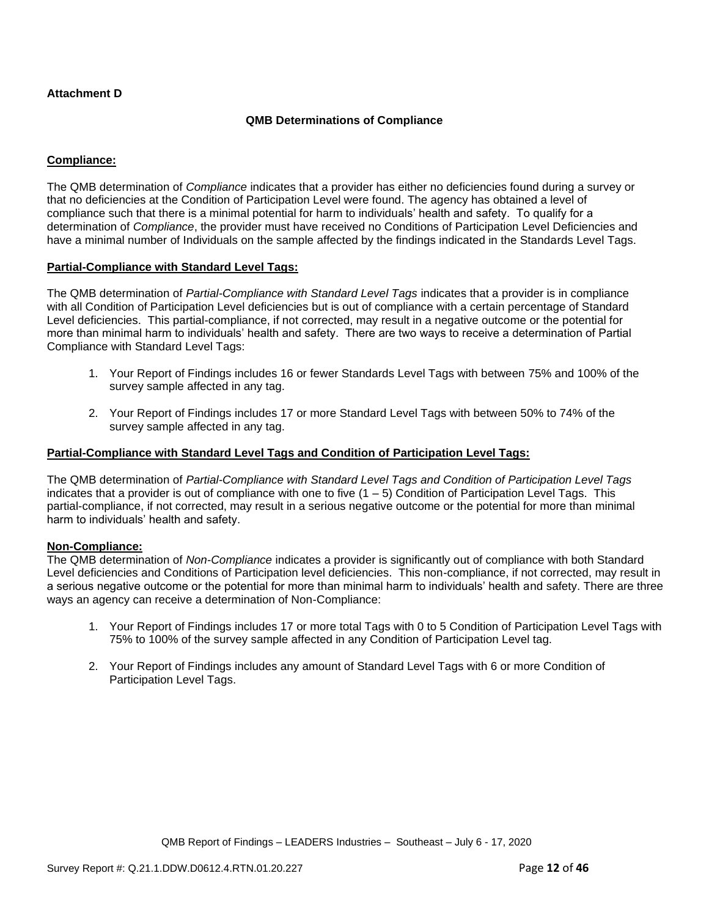## **Attachment D**

### **QMB Determinations of Compliance**

## **Compliance:**

The QMB determination of *Compliance* indicates that a provider has either no deficiencies found during a survey or that no deficiencies at the Condition of Participation Level were found. The agency has obtained a level of compliance such that there is a minimal potential for harm to individuals' health and safety. To qualify for a determination of *Compliance*, the provider must have received no Conditions of Participation Level Deficiencies and have a minimal number of Individuals on the sample affected by the findings indicated in the Standards Level Tags.

#### **Partial-Compliance with Standard Level Tags:**

The QMB determination of *Partial-Compliance with Standard Level Tags* indicates that a provider is in compliance with all Condition of Participation Level deficiencies but is out of compliance with a certain percentage of Standard Level deficiencies. This partial-compliance, if not corrected, may result in a negative outcome or the potential for more than minimal harm to individuals' health and safety. There are two ways to receive a determination of Partial Compliance with Standard Level Tags:

- 1. Your Report of Findings includes 16 or fewer Standards Level Tags with between 75% and 100% of the survey sample affected in any tag.
- 2. Your Report of Findings includes 17 or more Standard Level Tags with between 50% to 74% of the survey sample affected in any tag.

#### **Partial-Compliance with Standard Level Tags and Condition of Participation Level Tags:**

The QMB determination of *Partial-Compliance with Standard Level Tags and Condition of Participation Level Tags*  indicates that a provider is out of compliance with one to five  $(1 - 5)$  Condition of Participation Level Tags. This partial-compliance, if not corrected, may result in a serious negative outcome or the potential for more than minimal harm to individuals' health and safety.

#### **Non-Compliance:**

The QMB determination of *Non-Compliance* indicates a provider is significantly out of compliance with both Standard Level deficiencies and Conditions of Participation level deficiencies. This non-compliance, if not corrected, may result in a serious negative outcome or the potential for more than minimal harm to individuals' health and safety. There are three ways an agency can receive a determination of Non-Compliance:

- 1. Your Report of Findings includes 17 or more total Tags with 0 to 5 Condition of Participation Level Tags with 75% to 100% of the survey sample affected in any Condition of Participation Level tag.
- 2. Your Report of Findings includes any amount of Standard Level Tags with 6 or more Condition of Participation Level Tags.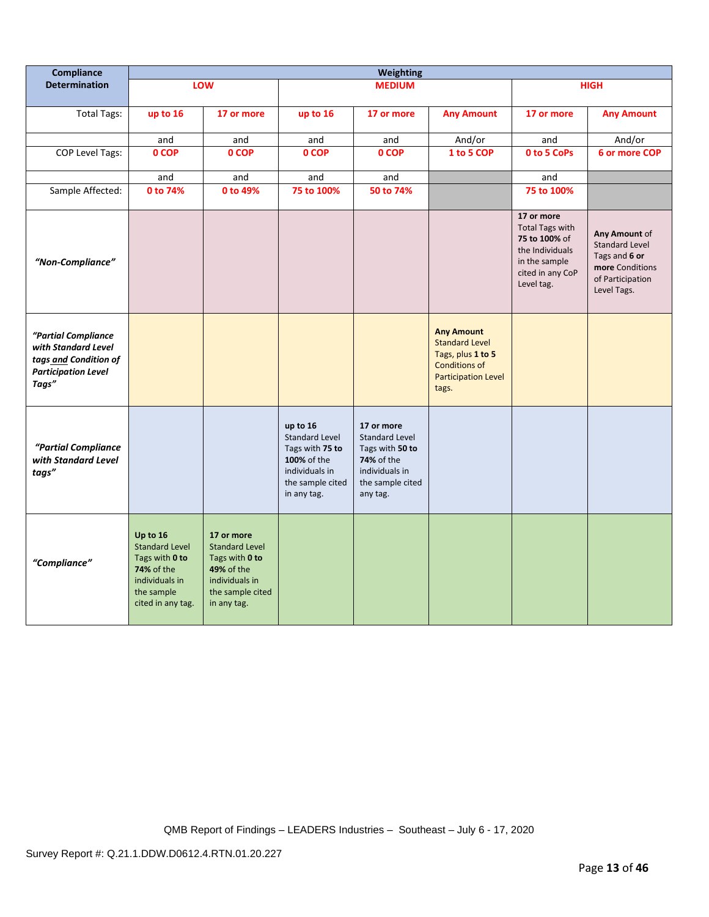| Compliance                                                                                                 |                                                                                                                        |                                                                                                                          |                                                                                                                          | <b>Weighting</b>                                                                                                       |                                                                                                                                |                                                                                                                             |                                                                                                               |
|------------------------------------------------------------------------------------------------------------|------------------------------------------------------------------------------------------------------------------------|--------------------------------------------------------------------------------------------------------------------------|--------------------------------------------------------------------------------------------------------------------------|------------------------------------------------------------------------------------------------------------------------|--------------------------------------------------------------------------------------------------------------------------------|-----------------------------------------------------------------------------------------------------------------------------|---------------------------------------------------------------------------------------------------------------|
| <b>Determination</b>                                                                                       |                                                                                                                        | LOW                                                                                                                      |                                                                                                                          | <b>MEDIUM</b>                                                                                                          |                                                                                                                                |                                                                                                                             | <b>HIGH</b>                                                                                                   |
| <b>Total Tags:</b>                                                                                         | up to 16                                                                                                               | 17 or more                                                                                                               | up to 16                                                                                                                 | 17 or more                                                                                                             | <b>Any Amount</b>                                                                                                              | 17 or more                                                                                                                  | <b>Any Amount</b>                                                                                             |
|                                                                                                            | and                                                                                                                    | and                                                                                                                      | and                                                                                                                      | and                                                                                                                    | And/or                                                                                                                         | and                                                                                                                         | And/or                                                                                                        |
| COP Level Tags:                                                                                            | 0 COP                                                                                                                  | 0 COP                                                                                                                    | 0 COP                                                                                                                    | 0 COP                                                                                                                  | 1 to 5 COP                                                                                                                     | 0 to 5 CoPs                                                                                                                 | 6 or more COP                                                                                                 |
|                                                                                                            | and                                                                                                                    | and                                                                                                                      | and                                                                                                                      | and                                                                                                                    |                                                                                                                                | and                                                                                                                         |                                                                                                               |
| Sample Affected:                                                                                           | 0 to 74%                                                                                                               | 0 to 49%                                                                                                                 | 75 to 100%                                                                                                               | 50 to 74%                                                                                                              |                                                                                                                                | 75 to 100%                                                                                                                  |                                                                                                               |
| "Non-Compliance"                                                                                           |                                                                                                                        |                                                                                                                          |                                                                                                                          |                                                                                                                        |                                                                                                                                | 17 or more<br><b>Total Tags with</b><br>75 to 100% of<br>the Individuals<br>in the sample<br>cited in any CoP<br>Level tag. | Any Amount of<br><b>Standard Level</b><br>Tags and 6 or<br>more Conditions<br>of Participation<br>Level Tags. |
| "Partial Compliance<br>with Standard Level<br>tags and Condition of<br><b>Participation Level</b><br>Tags" |                                                                                                                        |                                                                                                                          |                                                                                                                          |                                                                                                                        | <b>Any Amount</b><br><b>Standard Level</b><br>Tags, plus 1 to 5<br><b>Conditions of</b><br><b>Participation Level</b><br>tags. |                                                                                                                             |                                                                                                               |
| "Partial Compliance<br>with Standard Level<br>tags"                                                        |                                                                                                                        |                                                                                                                          | up to 16<br><b>Standard Level</b><br>Tags with 75 to<br>100% of the<br>individuals in<br>the sample cited<br>in any tag. | 17 or more<br>Standard Level<br>Tags with 50 to<br><b>74%</b> of the<br>individuals in<br>the sample cited<br>any tag. |                                                                                                                                |                                                                                                                             |                                                                                                               |
| "Compliance"                                                                                               | Up to 16<br><b>Standard Level</b><br>Tags with 0 to<br>74% of the<br>individuals in<br>the sample<br>cited in any tag. | 17 or more<br><b>Standard Level</b><br>Tags with 0 to<br>49% of the<br>individuals in<br>the sample cited<br>in any tag. |                                                                                                                          |                                                                                                                        |                                                                                                                                |                                                                                                                             |                                                                                                               |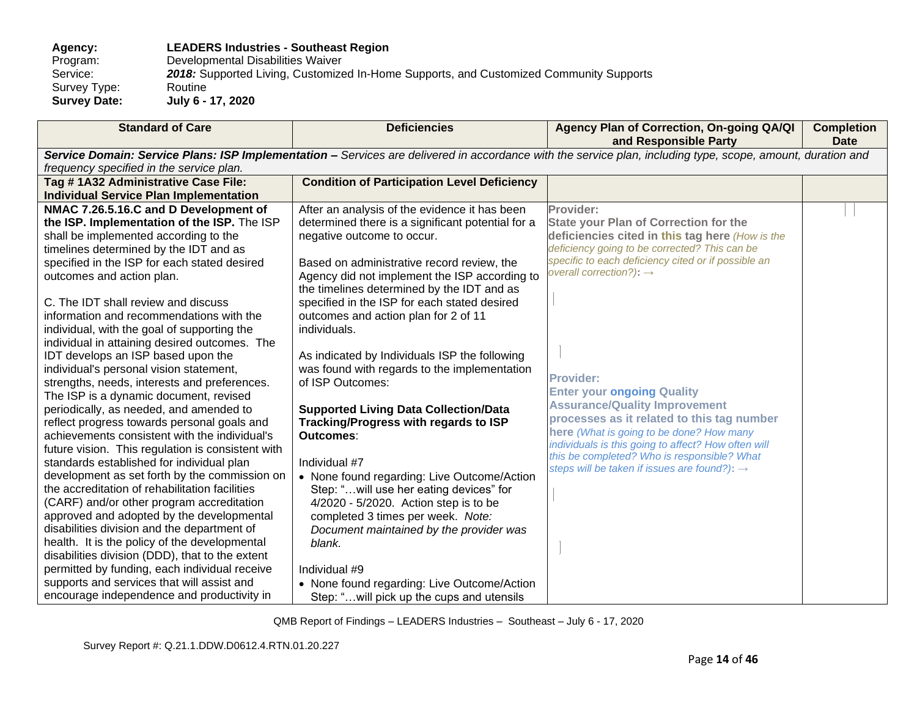# **Agency: LEADERS Industries - Southeast Region** Program: Developmental Disabilities Waiver<br>Service: 2018: Supported Living, Customize 2018: Supported Living, Customized In-Home Supports, and Customized Community Supports Routine Survey Type:<br>Survey Date: **Survey Date: July 6 - 17, 2020**

| <b>Standard of Care</b>                           | <b>Deficiencies</b>                                | Agency Plan of Correction, On-going QA/QI<br>and Responsible Party                                                                                          | <b>Completion</b><br><b>Date</b> |
|---------------------------------------------------|----------------------------------------------------|-------------------------------------------------------------------------------------------------------------------------------------------------------------|----------------------------------|
|                                                   |                                                    | Service Domain: Service Plans: ISP Implementation - Services are delivered in accordance with the service plan, including type, scope, amount, duration and |                                  |
| frequency specified in the service plan.          |                                                    |                                                                                                                                                             |                                  |
| Tag #1A32 Administrative Case File:               | <b>Condition of Participation Level Deficiency</b> |                                                                                                                                                             |                                  |
| <b>Individual Service Plan Implementation</b>     |                                                    |                                                                                                                                                             |                                  |
| NMAC 7.26.5.16.C and D Development of             | After an analysis of the evidence it has been      | Provider:                                                                                                                                                   |                                  |
| the ISP. Implementation of the ISP. The ISP       | determined there is a significant potential for a  | <b>State your Plan of Correction for the</b>                                                                                                                |                                  |
| shall be implemented according to the             | negative outcome to occur.                         | deficiencies cited in this tag here (How is the                                                                                                             |                                  |
| timelines determined by the IDT and as            |                                                    | deficiency going to be corrected? This can be                                                                                                               |                                  |
| specified in the ISP for each stated desired      | Based on administrative record review, the         | specific to each deficiency cited or if possible an<br>overall correction?): $\rightarrow$                                                                  |                                  |
| outcomes and action plan.                         | Agency did not implement the ISP according to      |                                                                                                                                                             |                                  |
|                                                   | the timelines determined by the IDT and as         |                                                                                                                                                             |                                  |
| C. The IDT shall review and discuss               | specified in the ISP for each stated desired       |                                                                                                                                                             |                                  |
| information and recommendations with the          | outcomes and action plan for 2 of 11               |                                                                                                                                                             |                                  |
| individual, with the goal of supporting the       | individuals.                                       |                                                                                                                                                             |                                  |
| individual in attaining desired outcomes. The     |                                                    |                                                                                                                                                             |                                  |
| IDT develops an ISP based upon the                | As indicated by Individuals ISP the following      |                                                                                                                                                             |                                  |
| individual's personal vision statement,           | was found with regards to the implementation       | <b>Provider:</b>                                                                                                                                            |                                  |
| strengths, needs, interests and preferences.      | of ISP Outcomes:                                   |                                                                                                                                                             |                                  |
| The ISP is a dynamic document, revised            |                                                    | <b>Enter your ongoing Quality</b>                                                                                                                           |                                  |
| periodically, as needed, and amended to           | <b>Supported Living Data Collection/Data</b>       | <b>Assurance/Quality Improvement</b>                                                                                                                        |                                  |
| reflect progress towards personal goals and       | Tracking/Progress with regards to ISP              | processes as it related to this tag number                                                                                                                  |                                  |
| achievements consistent with the individual's     | Outcomes:                                          | here (What is going to be done? How many                                                                                                                    |                                  |
| future vision. This regulation is consistent with |                                                    | individuals is this going to affect? How often will<br>this be completed? Who is responsible? What                                                          |                                  |
| standards established for individual plan         | Individual #7                                      | steps will be taken if issues are found?): $\rightarrow$                                                                                                    |                                  |
| development as set forth by the commission on     | • None found regarding: Live Outcome/Action        |                                                                                                                                                             |                                  |
| the accreditation of rehabilitation facilities    | Step: "will use her eating devices" for            |                                                                                                                                                             |                                  |
| (CARF) and/or other program accreditation         | 4/2020 - 5/2020. Action step is to be              |                                                                                                                                                             |                                  |
| approved and adopted by the developmental         | completed 3 times per week. Note:                  |                                                                                                                                                             |                                  |
| disabilities division and the department of       | Document maintained by the provider was            |                                                                                                                                                             |                                  |
| health. It is the policy of the developmental     | blank.                                             |                                                                                                                                                             |                                  |
| disabilities division (DDD), that to the extent   |                                                    |                                                                                                                                                             |                                  |
| permitted by funding, each individual receive     | Individual #9                                      |                                                                                                                                                             |                                  |
| supports and services that will assist and        | • None found regarding: Live Outcome/Action        |                                                                                                                                                             |                                  |
| encourage independence and productivity in        | Step: "will pick up the cups and utensils          |                                                                                                                                                             |                                  |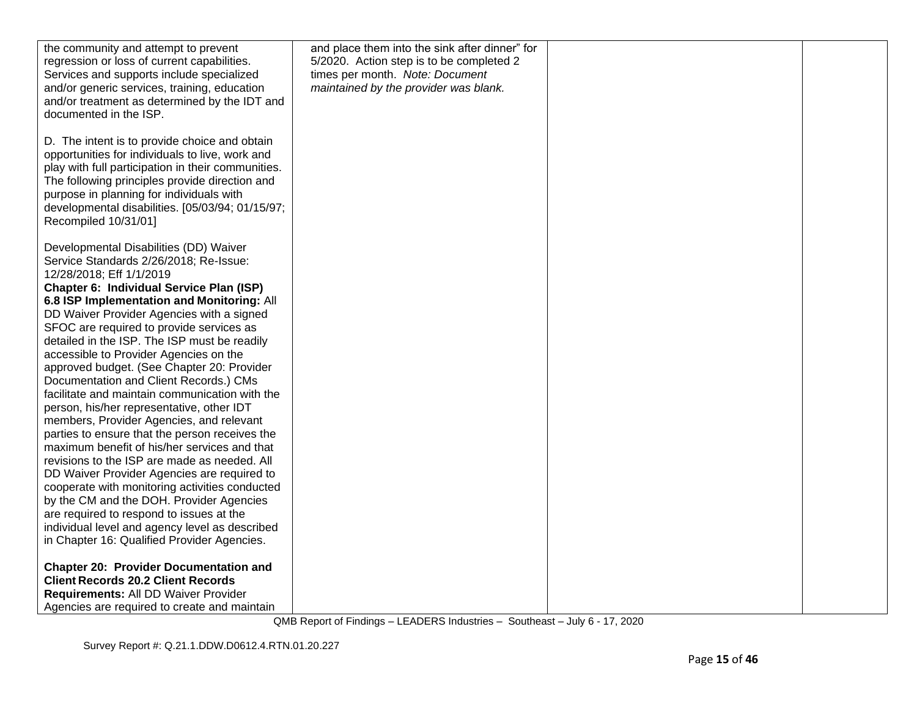| the community and attempt to prevent               | and place them into the sink after dinner" for |  |
|----------------------------------------------------|------------------------------------------------|--|
| regression or loss of current capabilities.        | 5/2020. Action step is to be completed 2       |  |
| Services and supports include specialized          | times per month. Note: Document                |  |
| and/or generic services, training, education       | maintained by the provider was blank.          |  |
| and/or treatment as determined by the IDT and      |                                                |  |
| documented in the ISP.                             |                                                |  |
|                                                    |                                                |  |
|                                                    |                                                |  |
| D. The intent is to provide choice and obtain      |                                                |  |
| opportunities for individuals to live, work and    |                                                |  |
| play with full participation in their communities. |                                                |  |
| The following principles provide direction and     |                                                |  |
| purpose in planning for individuals with           |                                                |  |
| developmental disabilities. [05/03/94; 01/15/97;   |                                                |  |
| Recompiled 10/31/01]                               |                                                |  |
|                                                    |                                                |  |
| Developmental Disabilities (DD) Waiver             |                                                |  |
| Service Standards 2/26/2018; Re-Issue:             |                                                |  |
| 12/28/2018; Eff 1/1/2019                           |                                                |  |
| Chapter 6: Individual Service Plan (ISP)           |                                                |  |
| 6.8 ISP Implementation and Monitoring: All         |                                                |  |
|                                                    |                                                |  |
| DD Waiver Provider Agencies with a signed          |                                                |  |
| SFOC are required to provide services as           |                                                |  |
| detailed in the ISP. The ISP must be readily       |                                                |  |
| accessible to Provider Agencies on the             |                                                |  |
| approved budget. (See Chapter 20: Provider         |                                                |  |
| Documentation and Client Records.) CMs             |                                                |  |
| facilitate and maintain communication with the     |                                                |  |
| person, his/her representative, other IDT          |                                                |  |
| members, Provider Agencies, and relevant           |                                                |  |
| parties to ensure that the person receives the     |                                                |  |
| maximum benefit of his/her services and that       |                                                |  |
| revisions to the ISP are made as needed. All       |                                                |  |
| DD Waiver Provider Agencies are required to        |                                                |  |
| cooperate with monitoring activities conducted     |                                                |  |
| by the CM and the DOH. Provider Agencies           |                                                |  |
| are required to respond to issues at the           |                                                |  |
| individual level and agency level as described     |                                                |  |
| in Chapter 16: Qualified Provider Agencies.        |                                                |  |
|                                                    |                                                |  |
| <b>Chapter 20: Provider Documentation and</b>      |                                                |  |
| <b>Client Records 20.2 Client Records</b>          |                                                |  |
| Requirements: All DD Waiver Provider               |                                                |  |
|                                                    |                                                |  |
| Agencies are required to create and maintain       |                                                |  |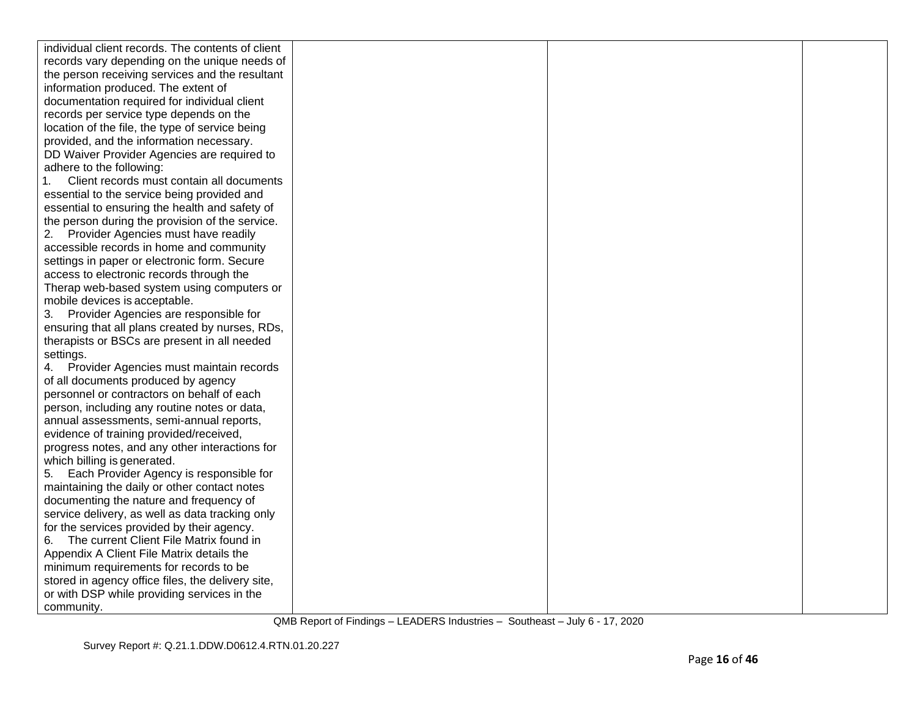| individual client records. The contents of client |  |  |
|---------------------------------------------------|--|--|
| records vary depending on the unique needs of     |  |  |
| the person receiving services and the resultant   |  |  |
| information produced. The extent of               |  |  |
| documentation required for individual client      |  |  |
| records per service type depends on the           |  |  |
| location of the file, the type of service being   |  |  |
| provided, and the information necessary.          |  |  |
| DD Waiver Provider Agencies are required to       |  |  |
| adhere to the following:                          |  |  |
| Client records must contain all documents         |  |  |
| essential to the service being provided and       |  |  |
| essential to ensuring the health and safety of    |  |  |
| the person during the provision of the service.   |  |  |
| 2. Provider Agencies must have readily            |  |  |
| accessible records in home and community          |  |  |
| settings in paper or electronic form. Secure      |  |  |
| access to electronic records through the          |  |  |
| Therap web-based system using computers or        |  |  |
| mobile devices is acceptable.                     |  |  |
| 3. Provider Agencies are responsible for          |  |  |
| ensuring that all plans created by nurses, RDs,   |  |  |
| therapists or BSCs are present in all needed      |  |  |
| settings.                                         |  |  |
| 4. Provider Agencies must maintain records        |  |  |
| of all documents produced by agency               |  |  |
| personnel or contractors on behalf of each        |  |  |
| person, including any routine notes or data,      |  |  |
| annual assessments, semi-annual reports,          |  |  |
| evidence of training provided/received,           |  |  |
| progress notes, and any other interactions for    |  |  |
| which billing is generated.                       |  |  |
| 5. Each Provider Agency is responsible for        |  |  |
| maintaining the daily or other contact notes      |  |  |
| documenting the nature and frequency of           |  |  |
| service delivery, as well as data tracking only   |  |  |
| for the services provided by their agency.        |  |  |
| The current Client File Matrix found in<br>6.     |  |  |
| Appendix A Client File Matrix details the         |  |  |
| minimum requirements for records to be            |  |  |
| stored in agency office files, the delivery site, |  |  |
| or with DSP while providing services in the       |  |  |
| community.                                        |  |  |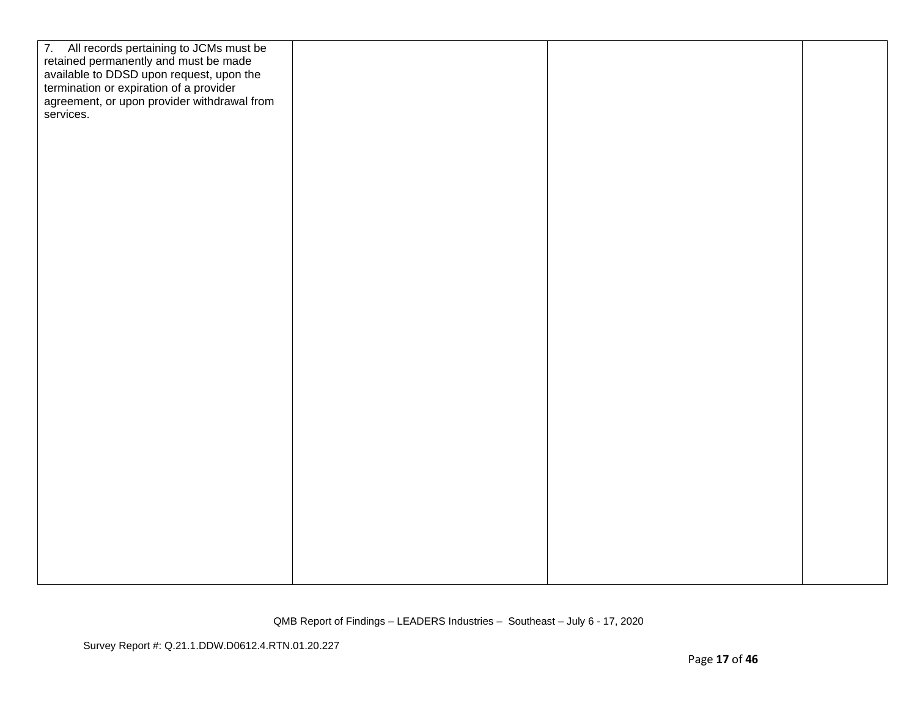| 7. All records pertaining to JCMs must be<br>retained permanently and must be made<br>available to DDSD upon request, upon the<br>termination or expiration of a provider<br>agreement, or upon provider withdrawal from<br>services. |  |  |
|---------------------------------------------------------------------------------------------------------------------------------------------------------------------------------------------------------------------------------------|--|--|
|                                                                                                                                                                                                                                       |  |  |
|                                                                                                                                                                                                                                       |  |  |
|                                                                                                                                                                                                                                       |  |  |
|                                                                                                                                                                                                                                       |  |  |
|                                                                                                                                                                                                                                       |  |  |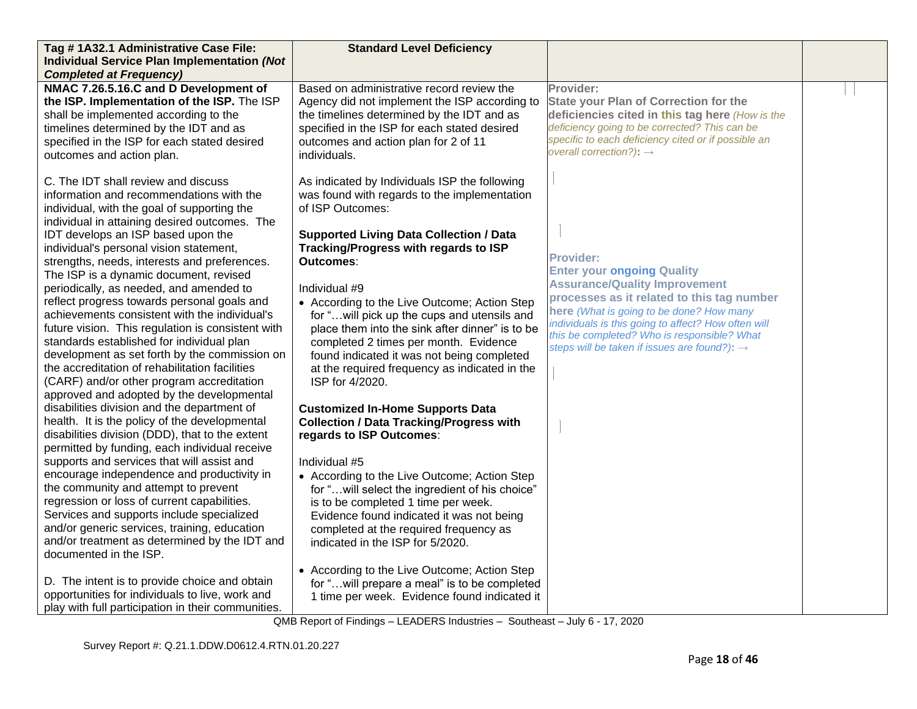| Tag #1A32.1 Administrative Case File:                                                       | <b>Standard Level Deficiency</b>                                                             |                                                                                                 |  |
|---------------------------------------------------------------------------------------------|----------------------------------------------------------------------------------------------|-------------------------------------------------------------------------------------------------|--|
| <b>Individual Service Plan Implementation (Not</b>                                          |                                                                                              |                                                                                                 |  |
| <b>Completed at Frequency)</b>                                                              |                                                                                              |                                                                                                 |  |
| NMAC 7.26.5.16.C and D Development of                                                       | Based on administrative record review the                                                    | Provider:                                                                                       |  |
| the ISP. Implementation of the ISP. The ISP<br>shall be implemented according to the        | Agency did not implement the ISP according to<br>the timelines determined by the IDT and as  | <b>State your Plan of Correction for the</b><br>deficiencies cited in this tag here (How is the |  |
| timelines determined by the IDT and as                                                      | specified in the ISP for each stated desired                                                 | deficiency going to be corrected? This can be                                                   |  |
| specified in the ISP for each stated desired                                                | outcomes and action plan for 2 of 11                                                         | specific to each deficiency cited or if possible an                                             |  |
| outcomes and action plan.                                                                   | individuals.                                                                                 | overall correction?): $\rightarrow$                                                             |  |
|                                                                                             |                                                                                              |                                                                                                 |  |
| C. The IDT shall review and discuss                                                         | As indicated by Individuals ISP the following                                                |                                                                                                 |  |
| information and recommendations with the                                                    | was found with regards to the implementation                                                 |                                                                                                 |  |
| individual, with the goal of supporting the                                                 | of ISP Outcomes:                                                                             |                                                                                                 |  |
| individual in attaining desired outcomes. The                                               |                                                                                              |                                                                                                 |  |
| IDT develops an ISP based upon the                                                          | <b>Supported Living Data Collection / Data</b>                                               |                                                                                                 |  |
| individual's personal vision statement,                                                     | Tracking/Progress with regards to ISP                                                        | <b>Provider:</b>                                                                                |  |
| strengths, needs, interests and preferences.                                                | Outcomes:                                                                                    | <b>Enter your ongoing Quality</b>                                                               |  |
| The ISP is a dynamic document, revised                                                      | Individual #9                                                                                | <b>Assurance/Quality Improvement</b>                                                            |  |
| periodically, as needed, and amended to<br>reflect progress towards personal goals and      |                                                                                              | processes as it related to this tag number                                                      |  |
| achievements consistent with the individual's                                               | • According to the Live Outcome; Action Step<br>for " will pick up the cups and utensils and | here (What is going to be done? How many                                                        |  |
| future vision. This regulation is consistent with                                           | place them into the sink after dinner" is to be                                              | individuals is this going to affect? How often will                                             |  |
| standards established for individual plan                                                   | completed 2 times per month. Evidence                                                        | this be completed? Who is responsible? What                                                     |  |
| development as set forth by the commission on                                               | found indicated it was not being completed                                                   | steps will be taken if issues are found?): $\rightarrow$                                        |  |
| the accreditation of rehabilitation facilities                                              | at the required frequency as indicated in the                                                |                                                                                                 |  |
| (CARF) and/or other program accreditation                                                   | ISP for 4/2020.                                                                              |                                                                                                 |  |
| approved and adopted by the developmental                                                   |                                                                                              |                                                                                                 |  |
| disabilities division and the department of                                                 | <b>Customized In-Home Supports Data</b>                                                      |                                                                                                 |  |
| health. It is the policy of the developmental                                               | <b>Collection / Data Tracking/Progress with</b>                                              |                                                                                                 |  |
| disabilities division (DDD), that to the extent                                             | regards to ISP Outcomes:                                                                     |                                                                                                 |  |
| permitted by funding, each individual receive<br>supports and services that will assist and | Individual #5                                                                                |                                                                                                 |  |
| encourage independence and productivity in                                                  | • According to the Live Outcome; Action Step                                                 |                                                                                                 |  |
| the community and attempt to prevent                                                        | for " will select the ingredient of his choice"                                              |                                                                                                 |  |
| regression or loss of current capabilities.                                                 | is to be completed 1 time per week.                                                          |                                                                                                 |  |
| Services and supports include specialized                                                   | Evidence found indicated it was not being                                                    |                                                                                                 |  |
| and/or generic services, training, education                                                | completed at the required frequency as                                                       |                                                                                                 |  |
| and/or treatment as determined by the IDT and                                               | indicated in the ISP for 5/2020.                                                             |                                                                                                 |  |
| documented in the ISP.                                                                      |                                                                                              |                                                                                                 |  |
|                                                                                             | • According to the Live Outcome; Action Step                                                 |                                                                                                 |  |
| D. The intent is to provide choice and obtain                                               | for " will prepare a meal" is to be completed                                                |                                                                                                 |  |
| opportunities for individuals to live, work and                                             | 1 time per week. Evidence found indicated it                                                 |                                                                                                 |  |
| play with full participation in their communities.                                          |                                                                                              |                                                                                                 |  |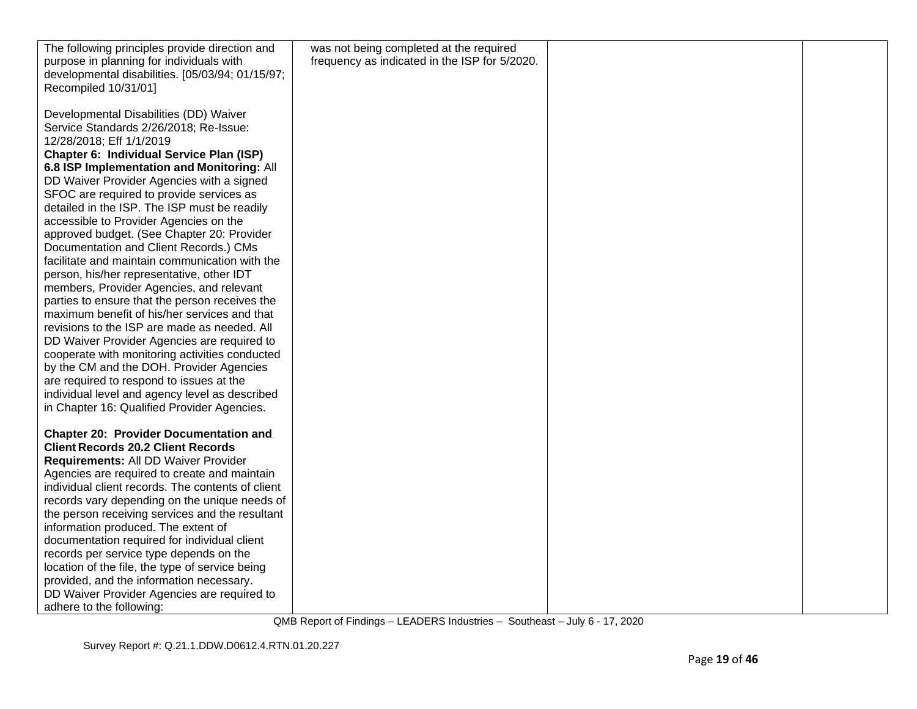| The following principles provide direction and    | was not being completed at the required       |  |
|---------------------------------------------------|-----------------------------------------------|--|
| purpose in planning for individuals with          | frequency as indicated in the ISP for 5/2020. |  |
| developmental disabilities. [05/03/94; 01/15/97;  |                                               |  |
| Recompiled 10/31/01]                              |                                               |  |
|                                                   |                                               |  |
| Developmental Disabilities (DD) Waiver            |                                               |  |
| Service Standards 2/26/2018; Re-Issue:            |                                               |  |
| 12/28/2018; Eff 1/1/2019                          |                                               |  |
| Chapter 6: Individual Service Plan (ISP)          |                                               |  |
| 6.8 ISP Implementation and Monitoring: All        |                                               |  |
| DD Waiver Provider Agencies with a signed         |                                               |  |
| SFOC are required to provide services as          |                                               |  |
| detailed in the ISP. The ISP must be readily      |                                               |  |
| accessible to Provider Agencies on the            |                                               |  |
| approved budget. (See Chapter 20: Provider        |                                               |  |
| Documentation and Client Records.) CMs            |                                               |  |
| facilitate and maintain communication with the    |                                               |  |
| person, his/her representative, other IDT         |                                               |  |
| members, Provider Agencies, and relevant          |                                               |  |
| parties to ensure that the person receives the    |                                               |  |
| maximum benefit of his/her services and that      |                                               |  |
| revisions to the ISP are made as needed. All      |                                               |  |
| DD Waiver Provider Agencies are required to       |                                               |  |
| cooperate with monitoring activities conducted    |                                               |  |
| by the CM and the DOH. Provider Agencies          |                                               |  |
| are required to respond to issues at the          |                                               |  |
| individual level and agency level as described    |                                               |  |
| in Chapter 16: Qualified Provider Agencies.       |                                               |  |
|                                                   |                                               |  |
| <b>Chapter 20: Provider Documentation and</b>     |                                               |  |
| <b>Client Records 20.2 Client Records</b>         |                                               |  |
| Requirements: All DD Waiver Provider              |                                               |  |
| Agencies are required to create and maintain      |                                               |  |
| individual client records. The contents of client |                                               |  |
| records vary depending on the unique needs of     |                                               |  |
| the person receiving services and the resultant   |                                               |  |
| information produced. The extent of               |                                               |  |
| documentation required for individual client      |                                               |  |
| records per service type depends on the           |                                               |  |
| location of the file, the type of service being   |                                               |  |
| provided, and the information necessary.          |                                               |  |
| DD Waiver Provider Agencies are required to       |                                               |  |
| adhere to the following:                          |                                               |  |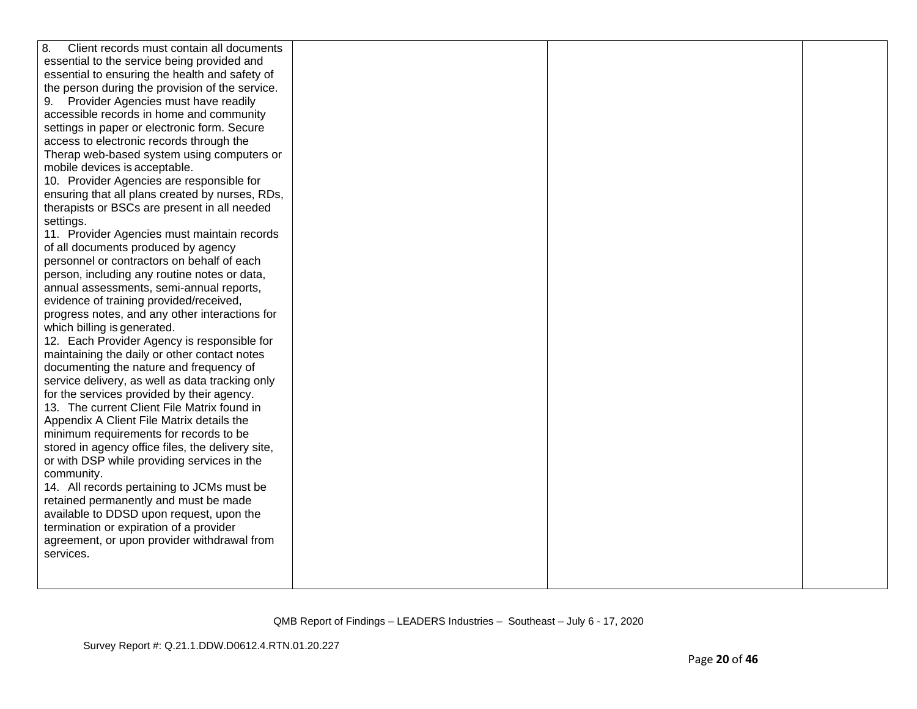| 8.<br>Client records must contain all documents   |  |  |
|---------------------------------------------------|--|--|
| essential to the service being provided and       |  |  |
| essential to ensuring the health and safety of    |  |  |
| the person during the provision of the service.   |  |  |
| 9. Provider Agencies must have readily            |  |  |
| accessible records in home and community          |  |  |
| settings in paper or electronic form. Secure      |  |  |
| access to electronic records through the          |  |  |
| Therap web-based system using computers or        |  |  |
| mobile devices is acceptable.                     |  |  |
| 10. Provider Agencies are responsible for         |  |  |
| ensuring that all plans created by nurses, RDs,   |  |  |
| therapists or BSCs are present in all needed      |  |  |
| settings.                                         |  |  |
| 11. Provider Agencies must maintain records       |  |  |
| of all documents produced by agency               |  |  |
| personnel or contractors on behalf of each        |  |  |
| person, including any routine notes or data,      |  |  |
| annual assessments, semi-annual reports,          |  |  |
| evidence of training provided/received,           |  |  |
| progress notes, and any other interactions for    |  |  |
| which billing is generated.                       |  |  |
| 12. Each Provider Agency is responsible for       |  |  |
| maintaining the daily or other contact notes      |  |  |
| documenting the nature and frequency of           |  |  |
| service delivery, as well as data tracking only   |  |  |
| for the services provided by their agency.        |  |  |
| 13. The current Client File Matrix found in       |  |  |
| Appendix A Client File Matrix details the         |  |  |
| minimum requirements for records to be            |  |  |
| stored in agency office files, the delivery site, |  |  |
| or with DSP while providing services in the       |  |  |
| community.                                        |  |  |
| 14. All records pertaining to JCMs must be        |  |  |
| retained permanently and must be made             |  |  |
| available to DDSD upon request, upon the          |  |  |
| termination or expiration of a provider           |  |  |
| agreement, or upon provider withdrawal from       |  |  |
| services.                                         |  |  |
|                                                   |  |  |
|                                                   |  |  |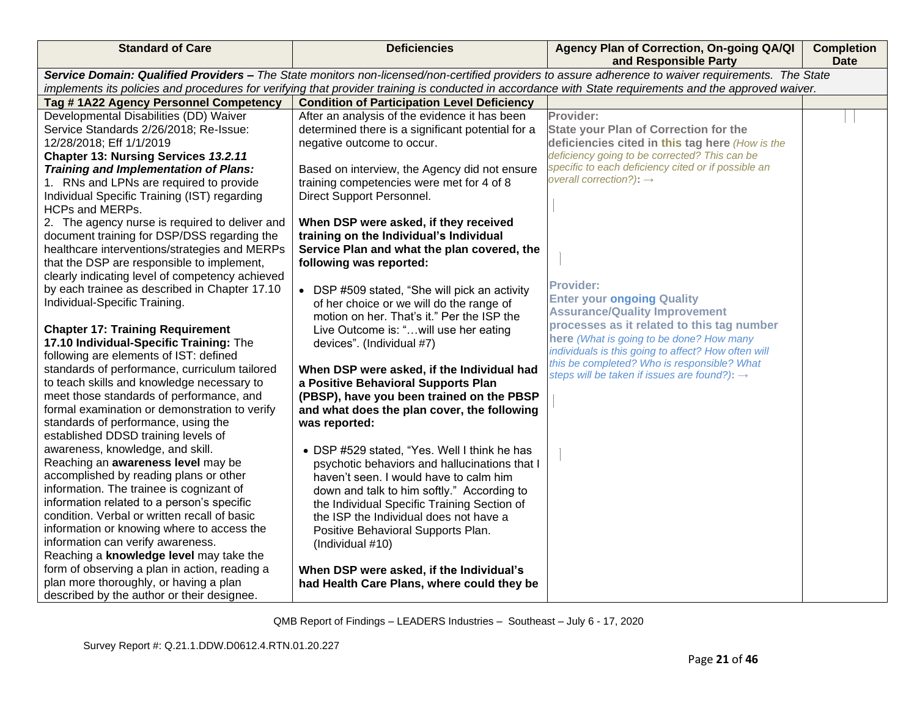| <b>Standard of Care</b>                                                                                                                                 | <b>Deficiencies</b>                                                                 | Agency Plan of Correction, On-going QA/QI<br>and Responsible Party | <b>Completion</b><br><b>Date</b> |  |
|---------------------------------------------------------------------------------------------------------------------------------------------------------|-------------------------------------------------------------------------------------|--------------------------------------------------------------------|----------------------------------|--|
| Service Domain: Qualified Providers - The State monitors non-licensed/non-certified providers to assure adherence to waiver requirements. The State     |                                                                                     |                                                                    |                                  |  |
| implements its policies and procedures for verifying that provider training is conducted in accordance with State requirements and the approved waiver. |                                                                                     |                                                                    |                                  |  |
| Tag #1A22 Agency Personnel Competency                                                                                                                   | <b>Condition of Participation Level Deficiency</b>                                  |                                                                    |                                  |  |
| Developmental Disabilities (DD) Waiver                                                                                                                  | After an analysis of the evidence it has been                                       | Provider:                                                          |                                  |  |
| Service Standards 2/26/2018; Re-Issue:                                                                                                                  | determined there is a significant potential for a                                   | <b>State your Plan of Correction for the</b>                       |                                  |  |
| 12/28/2018; Eff 1/1/2019                                                                                                                                | negative outcome to occur.                                                          | deficiencies cited in this tag here (How is the                    |                                  |  |
| Chapter 13: Nursing Services 13.2.11                                                                                                                    |                                                                                     | deficiency going to be corrected? This can be                      |                                  |  |
| <b>Training and Implementation of Plans:</b>                                                                                                            | Based on interview, the Agency did not ensure                                       | specific to each deficiency cited or if possible an                |                                  |  |
| 1. RNs and LPNs are required to provide                                                                                                                 | training competencies were met for 4 of 8                                           | overall correction?): $\rightarrow$                                |                                  |  |
| Individual Specific Training (IST) regarding                                                                                                            | Direct Support Personnel.                                                           |                                                                    |                                  |  |
| <b>HCPs and MERPs.</b>                                                                                                                                  |                                                                                     |                                                                    |                                  |  |
| 2. The agency nurse is required to deliver and                                                                                                          | When DSP were asked, if they received                                               |                                                                    |                                  |  |
| document training for DSP/DSS regarding the                                                                                                             | training on the Individual's Individual                                             |                                                                    |                                  |  |
| healthcare interventions/strategies and MERPs                                                                                                           | Service Plan and what the plan covered, the                                         |                                                                    |                                  |  |
| that the DSP are responsible to implement,                                                                                                              | following was reported:                                                             |                                                                    |                                  |  |
| clearly indicating level of competency achieved                                                                                                         |                                                                                     | <b>Provider:</b>                                                   |                                  |  |
| by each trainee as described in Chapter 17.10                                                                                                           | • DSP #509 stated, "She will pick an activity                                       | <b>Enter your ongoing Quality</b>                                  |                                  |  |
| Individual-Specific Training.                                                                                                                           | of her choice or we will do the range of                                            | <b>Assurance/Quality Improvement</b>                               |                                  |  |
| <b>Chapter 17: Training Requirement</b>                                                                                                                 | motion on her. That's it." Per the ISP the<br>Live Outcome is: "will use her eating | processes as it related to this tag number                         |                                  |  |
| 17.10 Individual-Specific Training: The                                                                                                                 | devices". (Individual #7)                                                           | here (What is going to be done? How many                           |                                  |  |
| following are elements of IST: defined                                                                                                                  |                                                                                     | individuals is this going to affect? How often will                |                                  |  |
| standards of performance, curriculum tailored                                                                                                           | When DSP were asked, if the Individual had                                          | this be completed? Who is responsible? What                        |                                  |  |
| to teach skills and knowledge necessary to                                                                                                              | a Positive Behavioral Supports Plan                                                 | steps will be taken if issues are found?): →                       |                                  |  |
| meet those standards of performance, and                                                                                                                | (PBSP), have you been trained on the PBSP                                           |                                                                    |                                  |  |
| formal examination or demonstration to verify                                                                                                           | and what does the plan cover, the following                                         |                                                                    |                                  |  |
| standards of performance, using the                                                                                                                     | was reported:                                                                       |                                                                    |                                  |  |
| established DDSD training levels of                                                                                                                     |                                                                                     |                                                                    |                                  |  |
| awareness, knowledge, and skill.                                                                                                                        | • DSP #529 stated, "Yes. Well I think he has                                        |                                                                    |                                  |  |
| Reaching an awareness level may be                                                                                                                      | psychotic behaviors and hallucinations that I                                       |                                                                    |                                  |  |
| accomplished by reading plans or other                                                                                                                  | haven't seen. I would have to calm him                                              |                                                                    |                                  |  |
| information. The trainee is cognizant of                                                                                                                | down and talk to him softly." According to                                          |                                                                    |                                  |  |
| information related to a person's specific                                                                                                              | the Individual Specific Training Section of                                         |                                                                    |                                  |  |
| condition. Verbal or written recall of basic                                                                                                            | the ISP the Individual does not have a                                              |                                                                    |                                  |  |
| information or knowing where to access the                                                                                                              | Positive Behavioral Supports Plan.                                                  |                                                                    |                                  |  |
| information can verify awareness.                                                                                                                       | (Individual #10)                                                                    |                                                                    |                                  |  |
| Reaching a knowledge level may take the                                                                                                                 |                                                                                     |                                                                    |                                  |  |
| form of observing a plan in action, reading a                                                                                                           | When DSP were asked, if the Individual's                                            |                                                                    |                                  |  |
| plan more thoroughly, or having a plan                                                                                                                  | had Health Care Plans, where could they be                                          |                                                                    |                                  |  |
| described by the author or their designee.                                                                                                              |                                                                                     |                                                                    |                                  |  |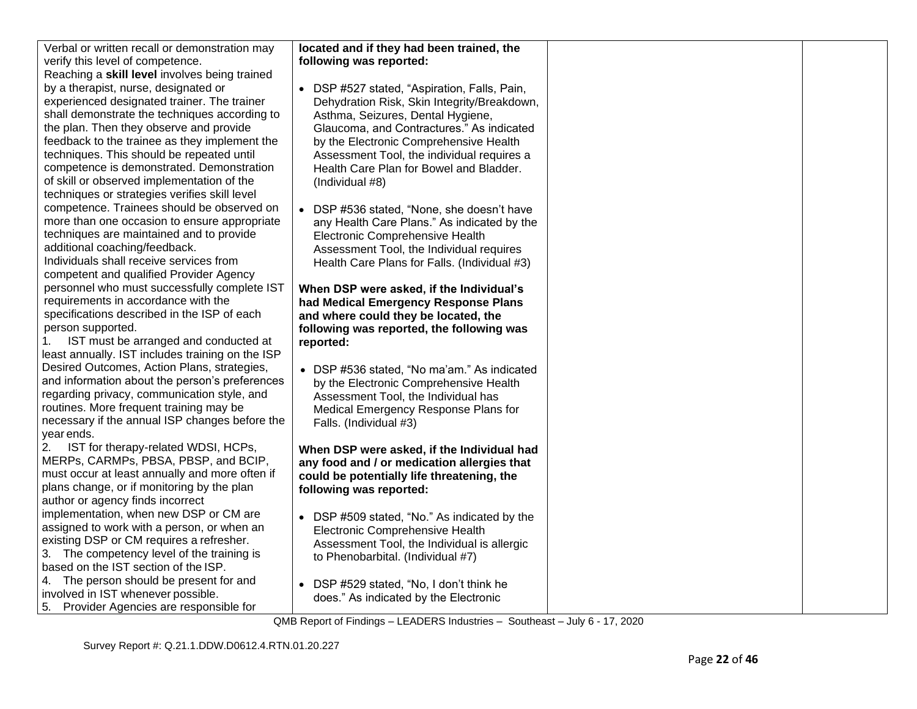| Verbal or written recall or demonstration may                             | located and if they had been trained, the                                        |  |
|---------------------------------------------------------------------------|----------------------------------------------------------------------------------|--|
| verify this level of competence.                                          | following was reported:                                                          |  |
| Reaching a skill level involves being trained                             |                                                                                  |  |
| by a therapist, nurse, designated or                                      | • DSP #527 stated, "Aspiration, Falls, Pain,                                     |  |
| experienced designated trainer. The trainer                               | Dehydration Risk, Skin Integrity/Breakdown,                                      |  |
| shall demonstrate the techniques according to                             | Asthma, Seizures, Dental Hygiene,                                                |  |
| the plan. Then they observe and provide                                   | Glaucoma, and Contractures." As indicated                                        |  |
| feedback to the trainee as they implement the                             | by the Electronic Comprehensive Health                                           |  |
| techniques. This should be repeated until                                 | Assessment Tool, the individual requires a                                       |  |
| competence is demonstrated. Demonstration                                 | Health Care Plan for Bowel and Bladder.                                          |  |
| of skill or observed implementation of the                                | (Individual #8)                                                                  |  |
| techniques or strategies verifies skill level                             |                                                                                  |  |
| competence. Trainees should be observed on                                | • DSP #536 stated, "None, she doesn't have                                       |  |
| more than one occasion to ensure appropriate                              | any Health Care Plans." As indicated by the                                      |  |
| techniques are maintained and to provide<br>additional coaching/feedback. | Electronic Comprehensive Health                                                  |  |
| Individuals shall receive services from                                   | Assessment Tool, the Individual requires                                         |  |
| competent and qualified Provider Agency                                   | Health Care Plans for Falls. (Individual #3)                                     |  |
| personnel who must successfully complete IST                              |                                                                                  |  |
| requirements in accordance with the                                       | When DSP were asked, if the Individual's<br>had Medical Emergency Response Plans |  |
| specifications described in the ISP of each                               | and where could they be located, the                                             |  |
| person supported.                                                         | following was reported, the following was                                        |  |
| IST must be arranged and conducted at<br>1.                               | reported:                                                                        |  |
| least annually. IST includes training on the ISP                          |                                                                                  |  |
| Desired Outcomes, Action Plans, strategies,                               | • DSP #536 stated, "No ma'am." As indicated                                      |  |
| and information about the person's preferences                            | by the Electronic Comprehensive Health                                           |  |
| regarding privacy, communication style, and                               | Assessment Tool, the Individual has                                              |  |
| routines. More frequent training may be                                   | Medical Emergency Response Plans for                                             |  |
| necessary if the annual ISP changes before the                            | Falls. (Individual #3)                                                           |  |
| year ends.                                                                |                                                                                  |  |
| 2.<br>IST for therapy-related WDSI, HCPs,                                 | When DSP were asked, if the Individual had                                       |  |
| MERPs, CARMPs, PBSA, PBSP, and BCIP,                                      | any food and / or medication allergies that                                      |  |
| must occur at least annually and more often if                            | could be potentially life threatening, the                                       |  |
| plans change, or if monitoring by the plan                                | following was reported:                                                          |  |
| author or agency finds incorrect                                          |                                                                                  |  |
| implementation, when new DSP or CM are                                    | • DSP #509 stated, "No." As indicated by the                                     |  |
| assigned to work with a person, or when an                                | Electronic Comprehensive Health                                                  |  |
| existing DSP or CM requires a refresher.                                  | Assessment Tool, the Individual is allergic                                      |  |
| 3. The competency level of the training is                                | to Phenobarbital. (Individual #7)                                                |  |
| based on the IST section of the ISP.                                      |                                                                                  |  |
| 4. The person should be present for and                                   | • DSP #529 stated, "No, I don't think he                                         |  |
| involved in IST whenever possible.                                        | does." As indicated by the Electronic                                            |  |
| 5. Provider Agencies are responsible for                                  |                                                                                  |  |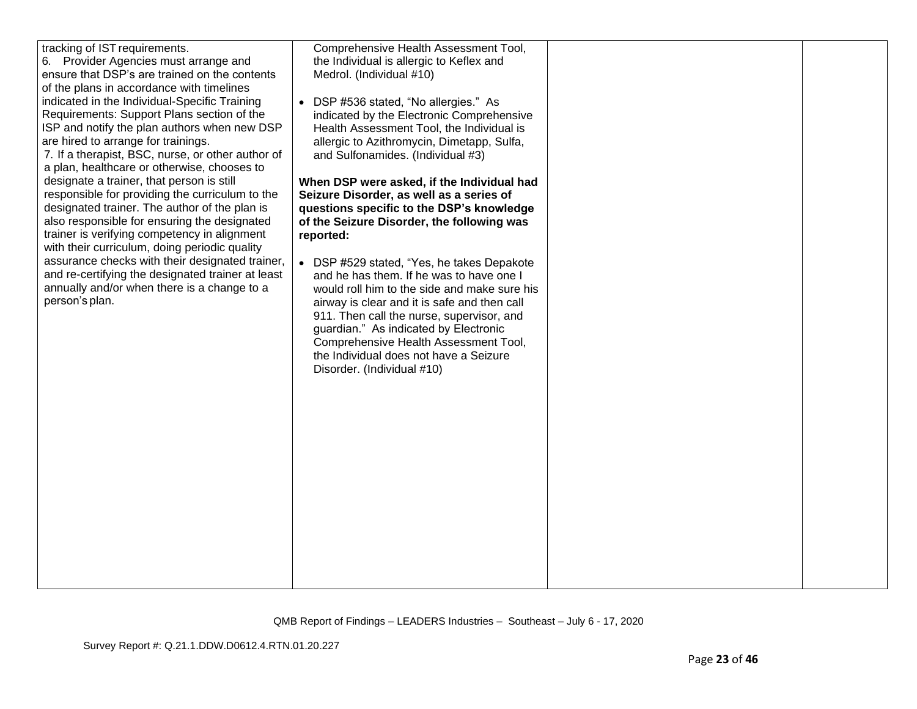| tracking of IST requirements.<br>6. Provider Agencies must arrange and<br>ensure that DSP's are trained on the contents<br>of the plans in accordance with timelines<br>indicated in the Individual-Specific Training<br>Requirements: Support Plans section of the<br>ISP and notify the plan authors when new DSP<br>are hired to arrange for trainings.<br>7. If a therapist, BSC, nurse, or other author of<br>a plan, healthcare or otherwise, chooses to<br>designate a trainer, that person is still<br>responsible for providing the curriculum to the<br>designated trainer. The author of the plan is<br>also responsible for ensuring the designated<br>trainer is verifying competency in alignment<br>with their curriculum, doing periodic quality<br>assurance checks with their designated trainer,<br>and re-certifying the designated trainer at least<br>annually and/or when there is a change to a<br>person's plan. | Comprehensive Health Assessment Tool,<br>the Individual is allergic to Keflex and<br>Medrol. (Individual #10)<br>DSP #536 stated, "No allergies." As<br>indicated by the Electronic Comprehensive<br>Health Assessment Tool, the Individual is<br>allergic to Azithromycin, Dimetapp, Sulfa,<br>and Sulfonamides. (Individual #3)<br>When DSP were asked, if the Individual had<br>Seizure Disorder, as well as a series of<br>questions specific to the DSP's knowledge<br>of the Seizure Disorder, the following was<br>reported:<br>• DSP #529 stated, "Yes, he takes Depakote<br>and he has them. If he was to have one I<br>would roll him to the side and make sure his<br>airway is clear and it is safe and then call<br>911. Then call the nurse, supervisor, and<br>guardian." As indicated by Electronic<br>Comprehensive Health Assessment Tool,<br>the Individual does not have a Seizure<br>Disorder. (Individual #10) |  |  |
|-------------------------------------------------------------------------------------------------------------------------------------------------------------------------------------------------------------------------------------------------------------------------------------------------------------------------------------------------------------------------------------------------------------------------------------------------------------------------------------------------------------------------------------------------------------------------------------------------------------------------------------------------------------------------------------------------------------------------------------------------------------------------------------------------------------------------------------------------------------------------------------------------------------------------------------------|--------------------------------------------------------------------------------------------------------------------------------------------------------------------------------------------------------------------------------------------------------------------------------------------------------------------------------------------------------------------------------------------------------------------------------------------------------------------------------------------------------------------------------------------------------------------------------------------------------------------------------------------------------------------------------------------------------------------------------------------------------------------------------------------------------------------------------------------------------------------------------------------------------------------------------------|--|--|
|-------------------------------------------------------------------------------------------------------------------------------------------------------------------------------------------------------------------------------------------------------------------------------------------------------------------------------------------------------------------------------------------------------------------------------------------------------------------------------------------------------------------------------------------------------------------------------------------------------------------------------------------------------------------------------------------------------------------------------------------------------------------------------------------------------------------------------------------------------------------------------------------------------------------------------------------|--------------------------------------------------------------------------------------------------------------------------------------------------------------------------------------------------------------------------------------------------------------------------------------------------------------------------------------------------------------------------------------------------------------------------------------------------------------------------------------------------------------------------------------------------------------------------------------------------------------------------------------------------------------------------------------------------------------------------------------------------------------------------------------------------------------------------------------------------------------------------------------------------------------------------------------|--|--|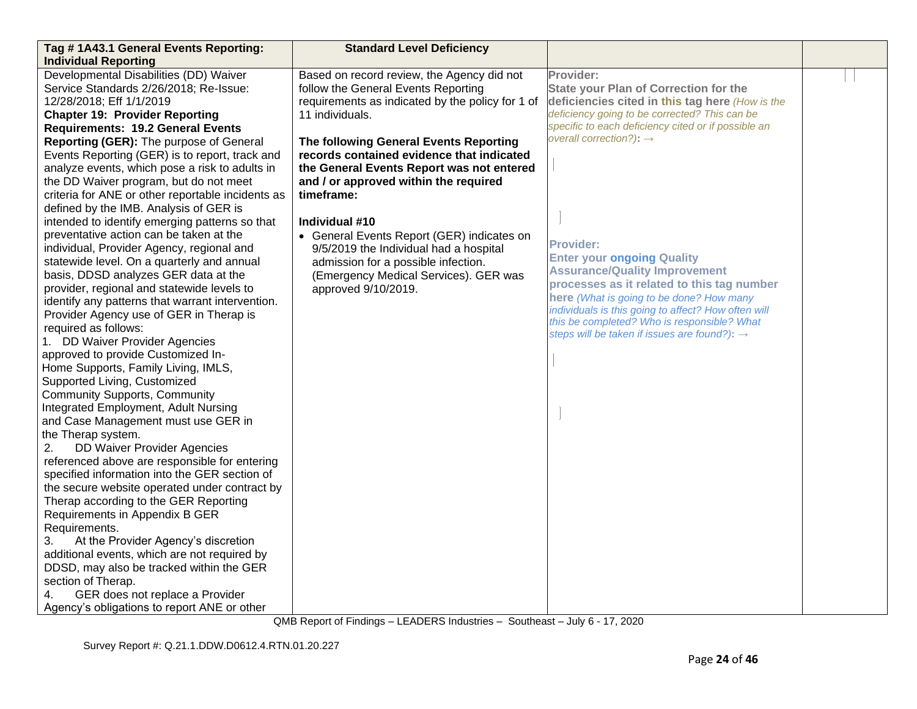| Tag # 1A43.1 General Events Reporting:                                       | <b>Standard Level Deficiency</b>                 |                                                                                            |  |
|------------------------------------------------------------------------------|--------------------------------------------------|--------------------------------------------------------------------------------------------|--|
| <b>Individual Reporting</b>                                                  |                                                  |                                                                                            |  |
| Developmental Disabilities (DD) Waiver                                       | Based on record review, the Agency did not       | Provider:                                                                                  |  |
| Service Standards 2/26/2018; Re-Issue:                                       | follow the General Events Reporting              | <b>State your Plan of Correction for the</b>                                               |  |
| 12/28/2018; Eff 1/1/2019                                                     | requirements as indicated by the policy for 1 of | deficiencies cited in this tag here (How is the                                            |  |
| <b>Chapter 19: Provider Reporting</b>                                        | 11 individuals.                                  | deficiency going to be corrected? This can be                                              |  |
| <b>Requirements: 19.2 General Events</b>                                     |                                                  | specific to each deficiency cited or if possible an<br>overall correction?): $\rightarrow$ |  |
| Reporting (GER): The purpose of General                                      | The following General Events Reporting           |                                                                                            |  |
| Events Reporting (GER) is to report, track and                               | records contained evidence that indicated        |                                                                                            |  |
| analyze events, which pose a risk to adults in                               | the General Events Report was not entered        |                                                                                            |  |
| the DD Waiver program, but do not meet                                       | and / or approved within the required            |                                                                                            |  |
| criteria for ANE or other reportable incidents as                            | timeframe:                                       |                                                                                            |  |
| defined by the IMB. Analysis of GER is                                       |                                                  |                                                                                            |  |
| intended to identify emerging patterns so that                               | Individual #10                                   |                                                                                            |  |
| preventative action can be taken at the                                      | • General Events Report (GER) indicates on       | <b>Provider:</b>                                                                           |  |
| individual, Provider Agency, regional and                                    | 9/5/2019 the Individual had a hospital           | <b>Enter your ongoing Quality</b>                                                          |  |
| statewide level. On a quarterly and annual                                   | admission for a possible infection.              | <b>Assurance/Quality Improvement</b>                                                       |  |
| basis, DDSD analyzes GER data at the                                         | (Emergency Medical Services). GER was            | processes as it related to this tag number                                                 |  |
| provider, regional and statewide levels to                                   | approved 9/10/2019.                              | here (What is going to be done? How many                                                   |  |
| identify any patterns that warrant intervention.                             |                                                  | individuals is this going to affect? How often will                                        |  |
| Provider Agency use of GER in Therap is                                      |                                                  | this be completed? Who is responsible? What                                                |  |
| required as follows:                                                         |                                                  | steps will be taken if issues are found?): →                                               |  |
| 1. DD Waiver Provider Agencies                                               |                                                  |                                                                                            |  |
| approved to provide Customized In-                                           |                                                  |                                                                                            |  |
| Home Supports, Family Living, IMLS,                                          |                                                  |                                                                                            |  |
| Supported Living, Customized                                                 |                                                  |                                                                                            |  |
| <b>Community Supports, Community</b><br>Integrated Employment, Adult Nursing |                                                  |                                                                                            |  |
| and Case Management must use GER in                                          |                                                  |                                                                                            |  |
| the Therap system.                                                           |                                                  |                                                                                            |  |
| DD Waiver Provider Agencies<br>2.                                            |                                                  |                                                                                            |  |
| referenced above are responsible for entering                                |                                                  |                                                                                            |  |
| specified information into the GER section of                                |                                                  |                                                                                            |  |
| the secure website operated under contract by                                |                                                  |                                                                                            |  |
| Therap according to the GER Reporting                                        |                                                  |                                                                                            |  |
| Requirements in Appendix B GER                                               |                                                  |                                                                                            |  |
| Requirements.                                                                |                                                  |                                                                                            |  |
| At the Provider Agency's discretion<br>3.                                    |                                                  |                                                                                            |  |
| additional events, which are not required by                                 |                                                  |                                                                                            |  |
| DDSD, may also be tracked within the GER                                     |                                                  |                                                                                            |  |
| section of Therap.                                                           |                                                  |                                                                                            |  |
| GER does not replace a Provider<br>4.                                        |                                                  |                                                                                            |  |
| Agency's obligations to report ANE or other                                  |                                                  |                                                                                            |  |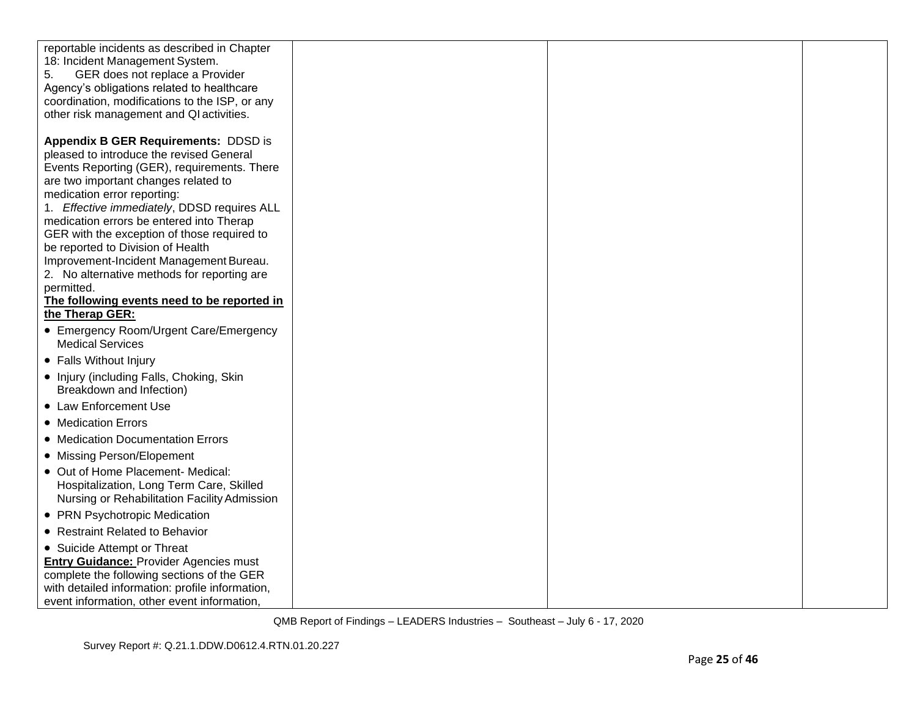| reportable incidents as described in Chapter<br>18: Incident Management System.<br>5.<br>GER does not replace a Provider<br>Agency's obligations related to healthcare<br>coordination, modifications to the ISP, or any<br>other risk management and QI activities.<br><b>Appendix B GER Requirements: DDSD is</b><br>pleased to introduce the revised General<br>Events Reporting (GER), requirements. There<br>are two important changes related to<br>medication error reporting:<br>1. Effective immediately, DDSD requires ALL<br>medication errors be entered into Therap<br>GER with the exception of those required to<br>be reported to Division of Health<br>Improvement-Incident Management Bureau.<br>2. No alternative methods for reporting are<br>permitted.<br>The following events need to be reported in<br>the Therap GER:<br>• Emergency Room/Urgent Care/Emergency<br><b>Medical Services</b><br>• Falls Without Injury<br>• Injury (including Falls, Choking, Skin<br>Breakdown and Infection)<br>• Law Enforcement Use<br>• Medication Errors<br>• Medication Documentation Errors<br>• Missing Person/Elopement<br>• Out of Home Placement- Medical:<br>Hospitalization, Long Term Care, Skilled<br>Nursing or Rehabilitation Facility Admission<br>• PRN Psychotropic Medication<br>• Restraint Related to Behavior<br>• Suicide Attempt or Threat<br><b>Entry Guidance: Provider Agencies must</b> |                                            |  |  |
|-------------------------------------------------------------------------------------------------------------------------------------------------------------------------------------------------------------------------------------------------------------------------------------------------------------------------------------------------------------------------------------------------------------------------------------------------------------------------------------------------------------------------------------------------------------------------------------------------------------------------------------------------------------------------------------------------------------------------------------------------------------------------------------------------------------------------------------------------------------------------------------------------------------------------------------------------------------------------------------------------------------------------------------------------------------------------------------------------------------------------------------------------------------------------------------------------------------------------------------------------------------------------------------------------------------------------------------------------------------------------------------------------------------------------------|--------------------------------------------|--|--|
|                                                                                                                                                                                                                                                                                                                                                                                                                                                                                                                                                                                                                                                                                                                                                                                                                                                                                                                                                                                                                                                                                                                                                                                                                                                                                                                                                                                                                               |                                            |  |  |
|                                                                                                                                                                                                                                                                                                                                                                                                                                                                                                                                                                                                                                                                                                                                                                                                                                                                                                                                                                                                                                                                                                                                                                                                                                                                                                                                                                                                                               |                                            |  |  |
|                                                                                                                                                                                                                                                                                                                                                                                                                                                                                                                                                                                                                                                                                                                                                                                                                                                                                                                                                                                                                                                                                                                                                                                                                                                                                                                                                                                                                               |                                            |  |  |
|                                                                                                                                                                                                                                                                                                                                                                                                                                                                                                                                                                                                                                                                                                                                                                                                                                                                                                                                                                                                                                                                                                                                                                                                                                                                                                                                                                                                                               |                                            |  |  |
|                                                                                                                                                                                                                                                                                                                                                                                                                                                                                                                                                                                                                                                                                                                                                                                                                                                                                                                                                                                                                                                                                                                                                                                                                                                                                                                                                                                                                               |                                            |  |  |
|                                                                                                                                                                                                                                                                                                                                                                                                                                                                                                                                                                                                                                                                                                                                                                                                                                                                                                                                                                                                                                                                                                                                                                                                                                                                                                                                                                                                                               |                                            |  |  |
|                                                                                                                                                                                                                                                                                                                                                                                                                                                                                                                                                                                                                                                                                                                                                                                                                                                                                                                                                                                                                                                                                                                                                                                                                                                                                                                                                                                                                               |                                            |  |  |
|                                                                                                                                                                                                                                                                                                                                                                                                                                                                                                                                                                                                                                                                                                                                                                                                                                                                                                                                                                                                                                                                                                                                                                                                                                                                                                                                                                                                                               |                                            |  |  |
|                                                                                                                                                                                                                                                                                                                                                                                                                                                                                                                                                                                                                                                                                                                                                                                                                                                                                                                                                                                                                                                                                                                                                                                                                                                                                                                                                                                                                               |                                            |  |  |
|                                                                                                                                                                                                                                                                                                                                                                                                                                                                                                                                                                                                                                                                                                                                                                                                                                                                                                                                                                                                                                                                                                                                                                                                                                                                                                                                                                                                                               |                                            |  |  |
|                                                                                                                                                                                                                                                                                                                                                                                                                                                                                                                                                                                                                                                                                                                                                                                                                                                                                                                                                                                                                                                                                                                                                                                                                                                                                                                                                                                                                               |                                            |  |  |
|                                                                                                                                                                                                                                                                                                                                                                                                                                                                                                                                                                                                                                                                                                                                                                                                                                                                                                                                                                                                                                                                                                                                                                                                                                                                                                                                                                                                                               |                                            |  |  |
|                                                                                                                                                                                                                                                                                                                                                                                                                                                                                                                                                                                                                                                                                                                                                                                                                                                                                                                                                                                                                                                                                                                                                                                                                                                                                                                                                                                                                               |                                            |  |  |
|                                                                                                                                                                                                                                                                                                                                                                                                                                                                                                                                                                                                                                                                                                                                                                                                                                                                                                                                                                                                                                                                                                                                                                                                                                                                                                                                                                                                                               |                                            |  |  |
|                                                                                                                                                                                                                                                                                                                                                                                                                                                                                                                                                                                                                                                                                                                                                                                                                                                                                                                                                                                                                                                                                                                                                                                                                                                                                                                                                                                                                               |                                            |  |  |
|                                                                                                                                                                                                                                                                                                                                                                                                                                                                                                                                                                                                                                                                                                                                                                                                                                                                                                                                                                                                                                                                                                                                                                                                                                                                                                                                                                                                                               |                                            |  |  |
|                                                                                                                                                                                                                                                                                                                                                                                                                                                                                                                                                                                                                                                                                                                                                                                                                                                                                                                                                                                                                                                                                                                                                                                                                                                                                                                                                                                                                               |                                            |  |  |
|                                                                                                                                                                                                                                                                                                                                                                                                                                                                                                                                                                                                                                                                                                                                                                                                                                                                                                                                                                                                                                                                                                                                                                                                                                                                                                                                                                                                                               |                                            |  |  |
|                                                                                                                                                                                                                                                                                                                                                                                                                                                                                                                                                                                                                                                                                                                                                                                                                                                                                                                                                                                                                                                                                                                                                                                                                                                                                                                                                                                                                               |                                            |  |  |
|                                                                                                                                                                                                                                                                                                                                                                                                                                                                                                                                                                                                                                                                                                                                                                                                                                                                                                                                                                                                                                                                                                                                                                                                                                                                                                                                                                                                                               |                                            |  |  |
|                                                                                                                                                                                                                                                                                                                                                                                                                                                                                                                                                                                                                                                                                                                                                                                                                                                                                                                                                                                                                                                                                                                                                                                                                                                                                                                                                                                                                               |                                            |  |  |
|                                                                                                                                                                                                                                                                                                                                                                                                                                                                                                                                                                                                                                                                                                                                                                                                                                                                                                                                                                                                                                                                                                                                                                                                                                                                                                                                                                                                                               |                                            |  |  |
| with detailed information: profile information,<br>event information, other event information,                                                                                                                                                                                                                                                                                                                                                                                                                                                                                                                                                                                                                                                                                                                                                                                                                                                                                                                                                                                                                                                                                                                                                                                                                                                                                                                                | complete the following sections of the GER |  |  |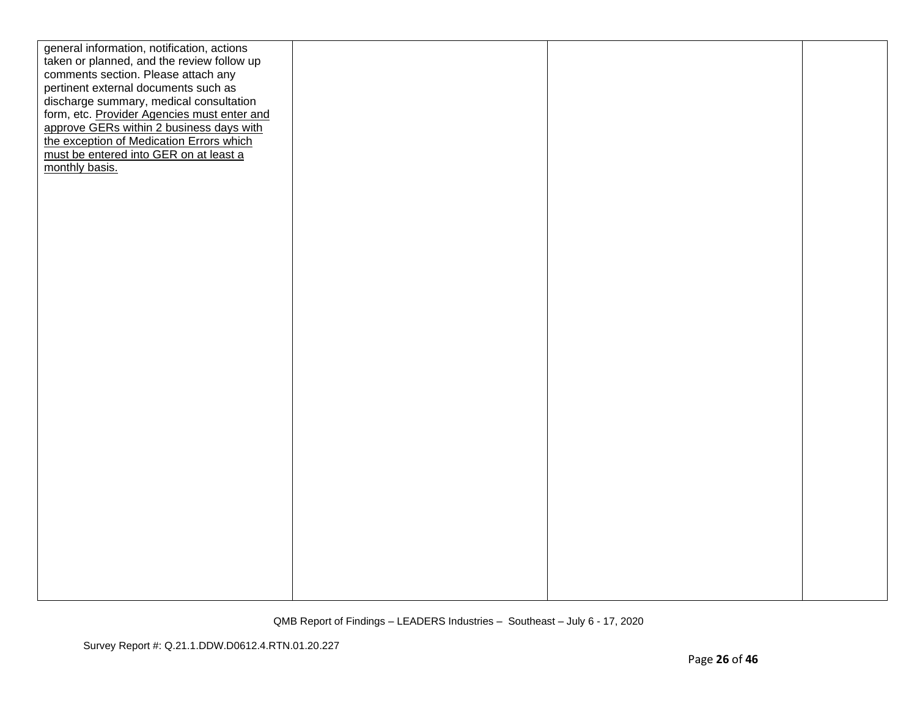| general information, notification, actions  |  |  |
|---------------------------------------------|--|--|
| taken or planned, and the review follow up  |  |  |
| comments section. Please attach any         |  |  |
| pertinent external documents such as        |  |  |
| discharge summary, medical consultation     |  |  |
| form, etc. Provider Agencies must enter and |  |  |
| approve GERs within 2 business days with    |  |  |
| the exception of Medication Errors which    |  |  |
| must be entered into GER on at least a      |  |  |
| monthly basis.                              |  |  |
|                                             |  |  |
|                                             |  |  |
|                                             |  |  |
|                                             |  |  |
|                                             |  |  |
|                                             |  |  |
|                                             |  |  |
|                                             |  |  |
|                                             |  |  |
|                                             |  |  |
|                                             |  |  |
|                                             |  |  |
|                                             |  |  |
|                                             |  |  |
|                                             |  |  |
|                                             |  |  |
|                                             |  |  |
|                                             |  |  |
|                                             |  |  |
|                                             |  |  |
|                                             |  |  |
|                                             |  |  |
|                                             |  |  |
|                                             |  |  |
|                                             |  |  |
|                                             |  |  |
|                                             |  |  |
|                                             |  |  |
|                                             |  |  |
|                                             |  |  |
|                                             |  |  |
|                                             |  |  |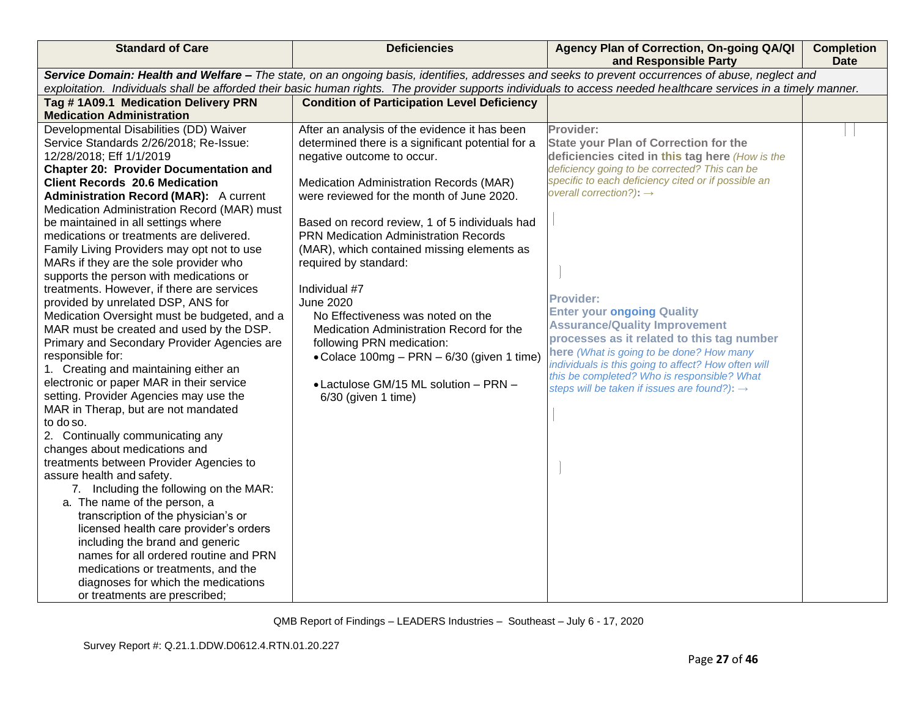| <b>Standard of Care</b>                                                                                                                                          | <b>Deficiencies</b>                                | Agency Plan of Correction, On-going QA/QI<br>and Responsible Party                         | <b>Completion</b><br><b>Date</b> |  |
|------------------------------------------------------------------------------------------------------------------------------------------------------------------|----------------------------------------------------|--------------------------------------------------------------------------------------------|----------------------------------|--|
| Service Domain: Health and Welfare - The state, on an ongoing basis, identifies, addresses and seeks to prevent occurrences of abuse, neglect and                |                                                    |                                                                                            |                                  |  |
| exploitation. Individuals shall be afforded their basic human rights. The provider supports individuals to access needed healthcare services in a timely manner. |                                                    |                                                                                            |                                  |  |
| Tag #1A09.1 Medication Delivery PRN                                                                                                                              | <b>Condition of Participation Level Deficiency</b> |                                                                                            |                                  |  |
| <b>Medication Administration</b>                                                                                                                                 |                                                    |                                                                                            |                                  |  |
| Developmental Disabilities (DD) Waiver                                                                                                                           | After an analysis of the evidence it has been      | Provider:                                                                                  |                                  |  |
| Service Standards 2/26/2018; Re-Issue:                                                                                                                           | determined there is a significant potential for a  | <b>State your Plan of Correction for the</b>                                               |                                  |  |
| 12/28/2018; Eff 1/1/2019                                                                                                                                         | negative outcome to occur.                         | deficiencies cited in this tag here (How is the                                            |                                  |  |
| <b>Chapter 20: Provider Documentation and</b>                                                                                                                    |                                                    | deficiency going to be corrected? This can be                                              |                                  |  |
| <b>Client Records 20.6 Medication</b>                                                                                                                            | Medication Administration Records (MAR)            | specific to each deficiency cited or if possible an<br>overall correction?): $\rightarrow$ |                                  |  |
| <b>Administration Record (MAR):</b> A current                                                                                                                    | were reviewed for the month of June 2020.          |                                                                                            |                                  |  |
| Medication Administration Record (MAR) must                                                                                                                      |                                                    |                                                                                            |                                  |  |
| be maintained in all settings where                                                                                                                              | Based on record review, 1 of 5 individuals had     |                                                                                            |                                  |  |
| medications or treatments are delivered.                                                                                                                         | <b>PRN Medication Administration Records</b>       |                                                                                            |                                  |  |
| Family Living Providers may opt not to use                                                                                                                       | (MAR), which contained missing elements as         |                                                                                            |                                  |  |
| MARs if they are the sole provider who                                                                                                                           | required by standard:                              |                                                                                            |                                  |  |
| supports the person with medications or                                                                                                                          |                                                    |                                                                                            |                                  |  |
| treatments. However, if there are services                                                                                                                       | Individual #7                                      | <b>Provider:</b>                                                                           |                                  |  |
| provided by unrelated DSP, ANS for                                                                                                                               | <b>June 2020</b>                                   | <b>Enter your ongoing Quality</b>                                                          |                                  |  |
| Medication Oversight must be budgeted, and a                                                                                                                     | No Effectiveness was noted on the                  | <b>Assurance/Quality Improvement</b>                                                       |                                  |  |
| MAR must be created and used by the DSP.                                                                                                                         | Medication Administration Record for the           | processes as it related to this tag number                                                 |                                  |  |
| Primary and Secondary Provider Agencies are                                                                                                                      | following PRN medication:                          | here (What is going to be done? How many                                                   |                                  |  |
| responsible for:                                                                                                                                                 | • Colace 100mg - PRN - 6/30 (given 1 time)         | individuals is this going to affect? How often will                                        |                                  |  |
| 1. Creating and maintaining either an<br>electronic or paper MAR in their service                                                                                |                                                    | this be completed? Who is responsible? What                                                |                                  |  |
| setting. Provider Agencies may use the                                                                                                                           | • Lactulose GM/15 ML solution - PRN -              | steps will be taken if issues are found?): →                                               |                                  |  |
| MAR in Therap, but are not mandated                                                                                                                              | $6/30$ (given 1 time)                              |                                                                                            |                                  |  |
| to do so.                                                                                                                                                        |                                                    |                                                                                            |                                  |  |
| 2. Continually communicating any                                                                                                                                 |                                                    |                                                                                            |                                  |  |
| changes about medications and                                                                                                                                    |                                                    |                                                                                            |                                  |  |
| treatments between Provider Agencies to                                                                                                                          |                                                    |                                                                                            |                                  |  |
| assure health and safety.                                                                                                                                        |                                                    |                                                                                            |                                  |  |
| 7. Including the following on the MAR:                                                                                                                           |                                                    |                                                                                            |                                  |  |
| a. The name of the person, a                                                                                                                                     |                                                    |                                                                                            |                                  |  |
| transcription of the physician's or                                                                                                                              |                                                    |                                                                                            |                                  |  |
| licensed health care provider's orders                                                                                                                           |                                                    |                                                                                            |                                  |  |
| including the brand and generic                                                                                                                                  |                                                    |                                                                                            |                                  |  |
| names for all ordered routine and PRN                                                                                                                            |                                                    |                                                                                            |                                  |  |
| medications or treatments, and the                                                                                                                               |                                                    |                                                                                            |                                  |  |
| diagnoses for which the medications                                                                                                                              |                                                    |                                                                                            |                                  |  |
| or treatments are prescribed;                                                                                                                                    |                                                    |                                                                                            |                                  |  |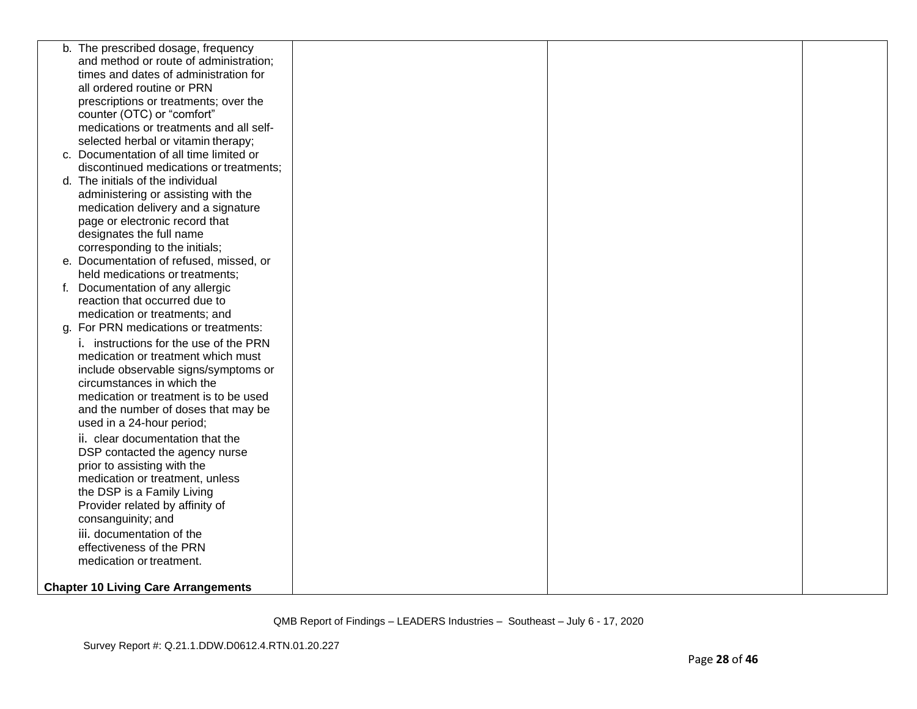| b. The prescribed dosage, frequency        |  |  |
|--------------------------------------------|--|--|
| and method or route of administration;     |  |  |
| times and dates of administration for      |  |  |
| all ordered routine or PRN                 |  |  |
| prescriptions or treatments; over the      |  |  |
| counter (OTC) or "comfort"                 |  |  |
| medications or treatments and all self-    |  |  |
| selected herbal or vitamin therapy;        |  |  |
| c. Documentation of all time limited or    |  |  |
| discontinued medications or treatments;    |  |  |
| d. The initials of the individual          |  |  |
| administering or assisting with the        |  |  |
| medication delivery and a signature        |  |  |
| page or electronic record that             |  |  |
| designates the full name                   |  |  |
| corresponding to the initials;             |  |  |
| e. Documentation of refused, missed, or    |  |  |
| held medications or treatments;            |  |  |
| f. Documentation of any allergic           |  |  |
| reaction that occurred due to              |  |  |
| medication or treatments; and              |  |  |
| g. For PRN medications or treatments:      |  |  |
| i. instructions for the use of the PRN     |  |  |
| medication or treatment which must         |  |  |
| include observable signs/symptoms or       |  |  |
| circumstances in which the                 |  |  |
| medication or treatment is to be used      |  |  |
| and the number of doses that may be        |  |  |
| used in a 24-hour period;                  |  |  |
| ii. clear documentation that the           |  |  |
| DSP contacted the agency nurse             |  |  |
| prior to assisting with the                |  |  |
| medication or treatment, unless            |  |  |
| the DSP is a Family Living                 |  |  |
| Provider related by affinity of            |  |  |
| consanguinity; and                         |  |  |
| iii. documentation of the                  |  |  |
| effectiveness of the PRN                   |  |  |
| medication or treatment.                   |  |  |
|                                            |  |  |
| <b>Chapter 10 Living Care Arrangements</b> |  |  |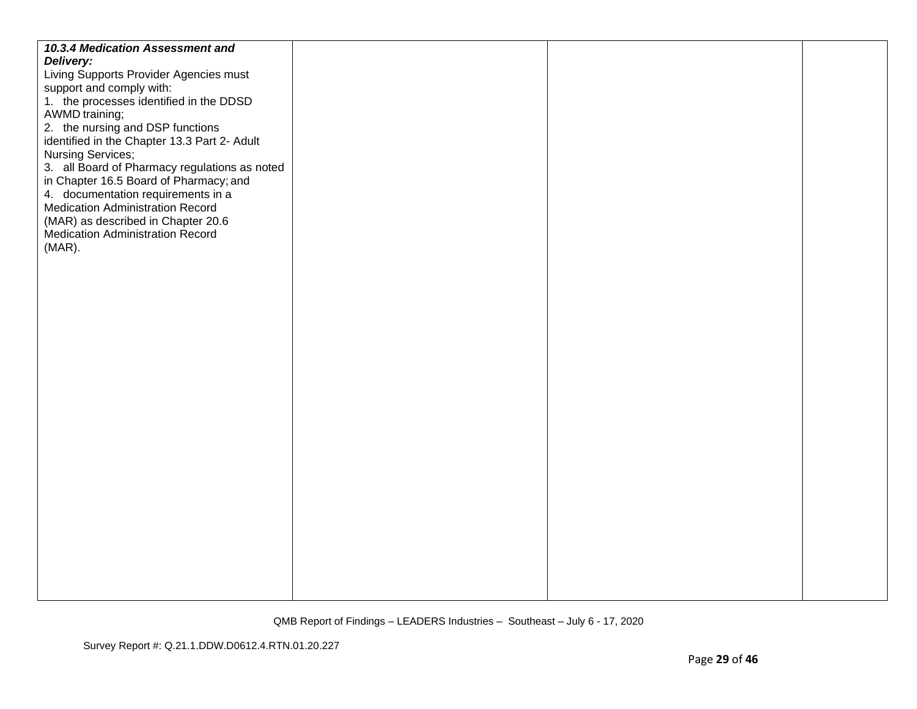| 10.3.4 Medication Assessment and              |  |  |
|-----------------------------------------------|--|--|
| Delivery:                                     |  |  |
| Living Supports Provider Agencies must        |  |  |
| support and comply with:                      |  |  |
| 1. the processes identified in the DDSD       |  |  |
| AWMD training;                                |  |  |
| 2. the nursing and DSP functions              |  |  |
| identified in the Chapter 13.3 Part 2- Adult  |  |  |
| <b>Nursing Services;</b>                      |  |  |
| 3. all Board of Pharmacy regulations as noted |  |  |
| in Chapter 16.5 Board of Pharmacy; and        |  |  |
| 4. documentation requirements in a            |  |  |
| <b>Medication Administration Record</b>       |  |  |
| (MAR) as described in Chapter 20.6            |  |  |
| <b>Medication Administration Record</b>       |  |  |
| $(MAR)$ .                                     |  |  |
|                                               |  |  |
|                                               |  |  |
|                                               |  |  |
|                                               |  |  |
|                                               |  |  |
|                                               |  |  |
|                                               |  |  |
|                                               |  |  |
|                                               |  |  |
|                                               |  |  |
|                                               |  |  |
|                                               |  |  |
|                                               |  |  |
|                                               |  |  |
|                                               |  |  |
|                                               |  |  |
|                                               |  |  |
|                                               |  |  |
|                                               |  |  |
|                                               |  |  |
|                                               |  |  |
|                                               |  |  |
|                                               |  |  |
|                                               |  |  |
|                                               |  |  |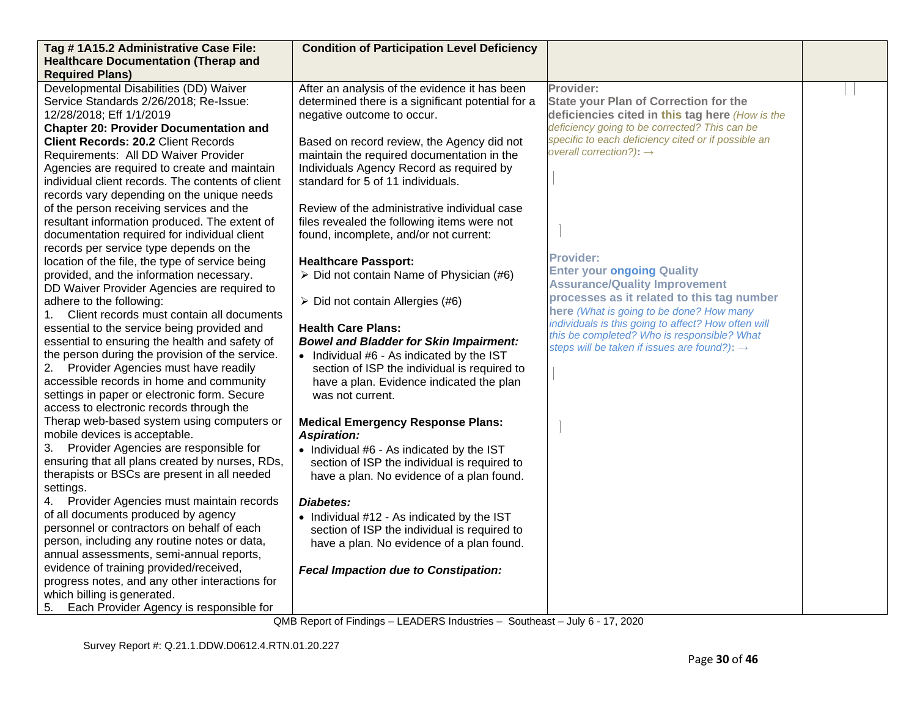| Tag #1A15.2 Administrative Case File:                                                       | <b>Condition of Participation Level Deficiency</b>                                     |                                                                                            |  |
|---------------------------------------------------------------------------------------------|----------------------------------------------------------------------------------------|--------------------------------------------------------------------------------------------|--|
| <b>Healthcare Documentation (Therap and</b>                                                 |                                                                                        |                                                                                            |  |
| <b>Required Plans)</b>                                                                      |                                                                                        |                                                                                            |  |
| Developmental Disabilities (DD) Waiver                                                      | After an analysis of the evidence it has been                                          | Provider:                                                                                  |  |
| Service Standards 2/26/2018; Re-Issue:                                                      | determined there is a significant potential for a                                      | <b>State your Plan of Correction for the</b>                                               |  |
| 12/28/2018; Eff 1/1/2019                                                                    | negative outcome to occur.                                                             | deficiencies cited in this tag here (How is the                                            |  |
| <b>Chapter 20: Provider Documentation and</b>                                               |                                                                                        | deficiency going to be corrected? This can be                                              |  |
| <b>Client Records: 20.2 Client Records</b>                                                  | Based on record review, the Agency did not                                             | specific to each deficiency cited or if possible an<br>overall correction?): $\rightarrow$ |  |
| Requirements: All DD Waiver Provider                                                        | maintain the required documentation in the                                             |                                                                                            |  |
| Agencies are required to create and maintain                                                | Individuals Agency Record as required by                                               |                                                                                            |  |
| individual client records. The contents of client                                           | standard for 5 of 11 individuals.                                                      |                                                                                            |  |
| records vary depending on the unique needs                                                  |                                                                                        |                                                                                            |  |
| of the person receiving services and the                                                    | Review of the administrative individual case                                           |                                                                                            |  |
| resultant information produced. The extent of                                               | files revealed the following items were not                                            |                                                                                            |  |
| documentation required for individual client                                                | found, incomplete, and/or not current:                                                 |                                                                                            |  |
| records per service type depends on the                                                     |                                                                                        | <b>Provider:</b>                                                                           |  |
| location of the file, the type of service being<br>provided, and the information necessary. | <b>Healthcare Passport:</b><br>$\triangleright$ Did not contain Name of Physician (#6) | <b>Enter your ongoing Quality</b>                                                          |  |
| DD Waiver Provider Agencies are required to                                                 |                                                                                        | <b>Assurance/Quality Improvement</b>                                                       |  |
| adhere to the following:                                                                    | $\triangleright$ Did not contain Allergies (#6)                                        | processes as it related to this tag number                                                 |  |
| Client records must contain all documents<br>1.                                             |                                                                                        | here (What is going to be done? How many                                                   |  |
| essential to the service being provided and                                                 | <b>Health Care Plans:</b>                                                              | individuals is this going to affect? How often will                                        |  |
| essential to ensuring the health and safety of                                              | <b>Bowel and Bladder for Skin Impairment:</b>                                          | this be completed? Who is responsible? What                                                |  |
| the person during the provision of the service.                                             | • Individual #6 - As indicated by the IST                                              | steps will be taken if issues are found?): $\rightarrow$                                   |  |
| 2. Provider Agencies must have readily                                                      | section of ISP the individual is required to                                           |                                                                                            |  |
| accessible records in home and community                                                    | have a plan. Evidence indicated the plan                                               |                                                                                            |  |
| settings in paper or electronic form. Secure                                                | was not current.                                                                       |                                                                                            |  |
| access to electronic records through the                                                    |                                                                                        |                                                                                            |  |
| Therap web-based system using computers or                                                  | <b>Medical Emergency Response Plans:</b>                                               |                                                                                            |  |
| mobile devices is acceptable.                                                               | <b>Aspiration:</b>                                                                     |                                                                                            |  |
| 3. Provider Agencies are responsible for                                                    | • Individual #6 - As indicated by the IST                                              |                                                                                            |  |
| ensuring that all plans created by nurses, RDs,                                             | section of ISP the individual is required to                                           |                                                                                            |  |
| therapists or BSCs are present in all needed                                                | have a plan. No evidence of a plan found.                                              |                                                                                            |  |
| settings.                                                                                   |                                                                                        |                                                                                            |  |
| Provider Agencies must maintain records<br>4.                                               | Diabetes:                                                                              |                                                                                            |  |
| of all documents produced by agency                                                         | • Individual #12 - As indicated by the IST                                             |                                                                                            |  |
| personnel or contractors on behalf of each                                                  | section of ISP the individual is required to                                           |                                                                                            |  |
| person, including any routine notes or data,                                                | have a plan. No evidence of a plan found.                                              |                                                                                            |  |
| annual assessments, semi-annual reports,                                                    |                                                                                        |                                                                                            |  |
| evidence of training provided/received,                                                     | <b>Fecal Impaction due to Constipation:</b>                                            |                                                                                            |  |
| progress notes, and any other interactions for                                              |                                                                                        |                                                                                            |  |
| which billing is generated.                                                                 |                                                                                        |                                                                                            |  |
| 5.<br>Each Provider Agency is responsible for                                               |                                                                                        |                                                                                            |  |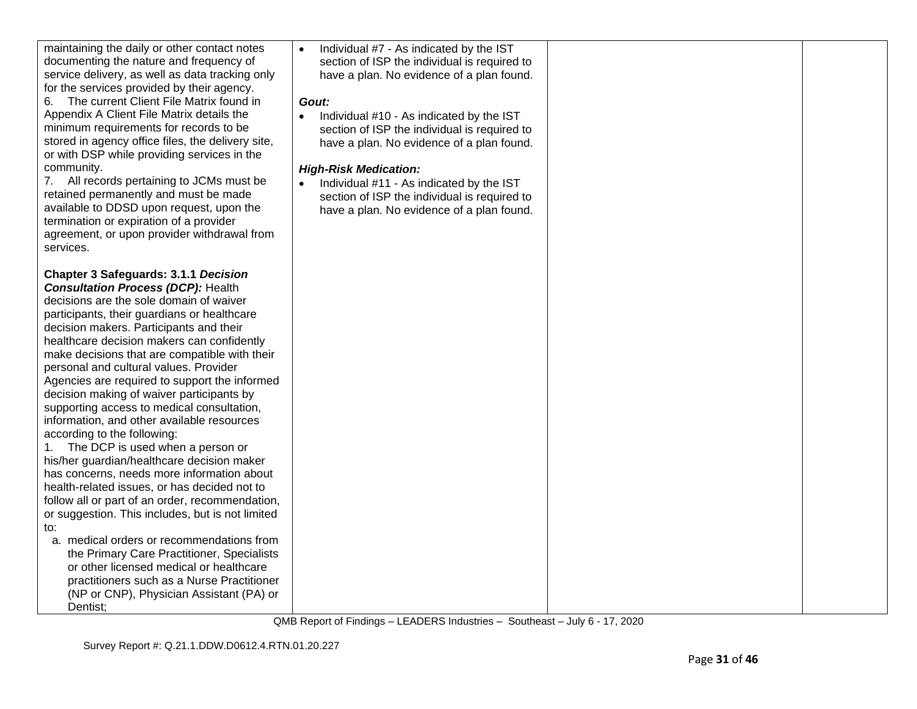| maintaining the daily or other contact notes<br>documenting the nature and frequency of<br>service delivery, as well as data tracking only<br>for the services provided by their agency.<br>6. The current Client File Matrix found in<br>Appendix A Client File Matrix details the<br>minimum requirements for records to be<br>stored in agency office files, the delivery site,<br>or with DSP while providing services in the<br>community.<br>7. All records pertaining to JCMs must be<br>retained permanently and must be made<br>available to DDSD upon request, upon the<br>termination or expiration of a provider<br>agreement, or upon provider withdrawal from<br>services.                                                                                                                                                                                                                                                                                                                                                                                                                                                     | Individual #7 - As indicated by the IST<br>$\bullet$<br>section of ISP the individual is required to<br>have a plan. No evidence of a plan found.<br>Gout:<br>Individual #10 - As indicated by the IST<br>$\bullet$<br>section of ISP the individual is required to<br>have a plan. No evidence of a plan found.<br><b>High-Risk Medication:</b><br>Individual #11 - As indicated by the IST<br>section of ISP the individual is required to<br>have a plan. No evidence of a plan found. |  |
|----------------------------------------------------------------------------------------------------------------------------------------------------------------------------------------------------------------------------------------------------------------------------------------------------------------------------------------------------------------------------------------------------------------------------------------------------------------------------------------------------------------------------------------------------------------------------------------------------------------------------------------------------------------------------------------------------------------------------------------------------------------------------------------------------------------------------------------------------------------------------------------------------------------------------------------------------------------------------------------------------------------------------------------------------------------------------------------------------------------------------------------------|-------------------------------------------------------------------------------------------------------------------------------------------------------------------------------------------------------------------------------------------------------------------------------------------------------------------------------------------------------------------------------------------------------------------------------------------------------------------------------------------|--|
| <b>Chapter 3 Safeguards: 3.1.1 Decision</b><br><b>Consultation Process (DCP): Health</b><br>decisions are the sole domain of waiver<br>participants, their guardians or healthcare<br>decision makers. Participants and their<br>healthcare decision makers can confidently<br>make decisions that are compatible with their<br>personal and cultural values. Provider<br>Agencies are required to support the informed<br>decision making of waiver participants by<br>supporting access to medical consultation,<br>information, and other available resources<br>according to the following:<br>1. The DCP is used when a person or<br>his/her guardian/healthcare decision maker<br>has concerns, needs more information about<br>health-related issues, or has decided not to<br>follow all or part of an order, recommendation,<br>or suggestion. This includes, but is not limited<br>to:<br>a. medical orders or recommendations from<br>the Primary Care Practitioner, Specialists<br>or other licensed medical or healthcare<br>practitioners such as a Nurse Practitioner<br>(NP or CNP), Physician Assistant (PA) or<br>Dentist; |                                                                                                                                                                                                                                                                                                                                                                                                                                                                                           |  |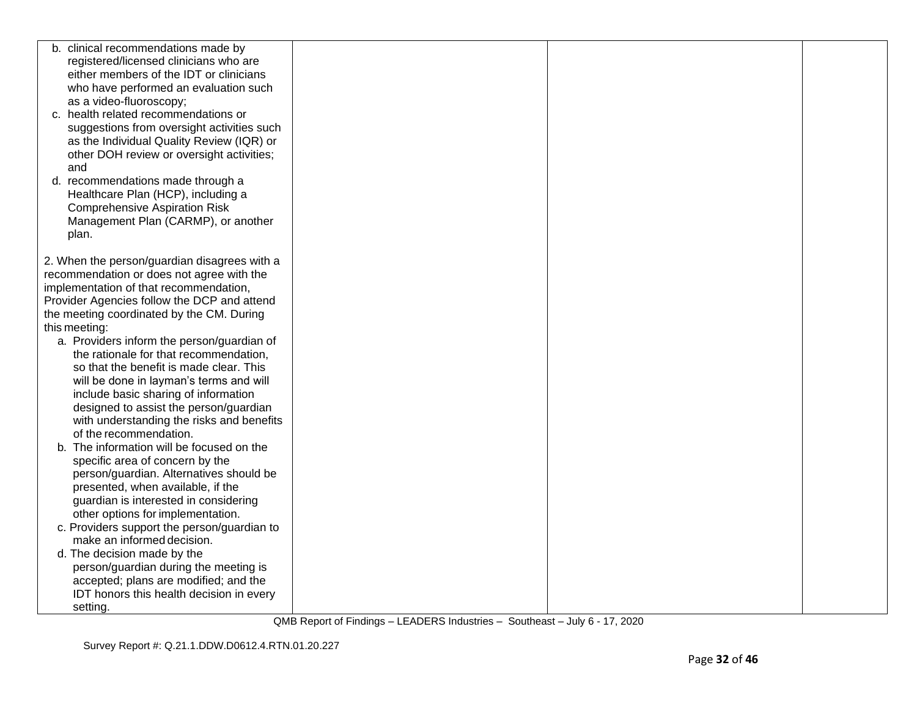| registered/licensed clinicians who are<br>either members of the IDT or clinicians<br>who have performed an evaluation such<br>as a video-fluoroscopy;                                                                                                                                                                                                                                                                                                                                                                                                                                                                                                                                                                                                                                                                                                                                                                                                                                                                                                                                                                                                                                                                                              |  |
|----------------------------------------------------------------------------------------------------------------------------------------------------------------------------------------------------------------------------------------------------------------------------------------------------------------------------------------------------------------------------------------------------------------------------------------------------------------------------------------------------------------------------------------------------------------------------------------------------------------------------------------------------------------------------------------------------------------------------------------------------------------------------------------------------------------------------------------------------------------------------------------------------------------------------------------------------------------------------------------------------------------------------------------------------------------------------------------------------------------------------------------------------------------------------------------------------------------------------------------------------|--|
|                                                                                                                                                                                                                                                                                                                                                                                                                                                                                                                                                                                                                                                                                                                                                                                                                                                                                                                                                                                                                                                                                                                                                                                                                                                    |  |
|                                                                                                                                                                                                                                                                                                                                                                                                                                                                                                                                                                                                                                                                                                                                                                                                                                                                                                                                                                                                                                                                                                                                                                                                                                                    |  |
|                                                                                                                                                                                                                                                                                                                                                                                                                                                                                                                                                                                                                                                                                                                                                                                                                                                                                                                                                                                                                                                                                                                                                                                                                                                    |  |
|                                                                                                                                                                                                                                                                                                                                                                                                                                                                                                                                                                                                                                                                                                                                                                                                                                                                                                                                                                                                                                                                                                                                                                                                                                                    |  |
| c. health related recommendations or                                                                                                                                                                                                                                                                                                                                                                                                                                                                                                                                                                                                                                                                                                                                                                                                                                                                                                                                                                                                                                                                                                                                                                                                               |  |
| suggestions from oversight activities such                                                                                                                                                                                                                                                                                                                                                                                                                                                                                                                                                                                                                                                                                                                                                                                                                                                                                                                                                                                                                                                                                                                                                                                                         |  |
| as the Individual Quality Review (IQR) or                                                                                                                                                                                                                                                                                                                                                                                                                                                                                                                                                                                                                                                                                                                                                                                                                                                                                                                                                                                                                                                                                                                                                                                                          |  |
| other DOH review or oversight activities;                                                                                                                                                                                                                                                                                                                                                                                                                                                                                                                                                                                                                                                                                                                                                                                                                                                                                                                                                                                                                                                                                                                                                                                                          |  |
| and                                                                                                                                                                                                                                                                                                                                                                                                                                                                                                                                                                                                                                                                                                                                                                                                                                                                                                                                                                                                                                                                                                                                                                                                                                                |  |
|                                                                                                                                                                                                                                                                                                                                                                                                                                                                                                                                                                                                                                                                                                                                                                                                                                                                                                                                                                                                                                                                                                                                                                                                                                                    |  |
|                                                                                                                                                                                                                                                                                                                                                                                                                                                                                                                                                                                                                                                                                                                                                                                                                                                                                                                                                                                                                                                                                                                                                                                                                                                    |  |
|                                                                                                                                                                                                                                                                                                                                                                                                                                                                                                                                                                                                                                                                                                                                                                                                                                                                                                                                                                                                                                                                                                                                                                                                                                                    |  |
|                                                                                                                                                                                                                                                                                                                                                                                                                                                                                                                                                                                                                                                                                                                                                                                                                                                                                                                                                                                                                                                                                                                                                                                                                                                    |  |
|                                                                                                                                                                                                                                                                                                                                                                                                                                                                                                                                                                                                                                                                                                                                                                                                                                                                                                                                                                                                                                                                                                                                                                                                                                                    |  |
|                                                                                                                                                                                                                                                                                                                                                                                                                                                                                                                                                                                                                                                                                                                                                                                                                                                                                                                                                                                                                                                                                                                                                                                                                                                    |  |
|                                                                                                                                                                                                                                                                                                                                                                                                                                                                                                                                                                                                                                                                                                                                                                                                                                                                                                                                                                                                                                                                                                                                                                                                                                                    |  |
|                                                                                                                                                                                                                                                                                                                                                                                                                                                                                                                                                                                                                                                                                                                                                                                                                                                                                                                                                                                                                                                                                                                                                                                                                                                    |  |
|                                                                                                                                                                                                                                                                                                                                                                                                                                                                                                                                                                                                                                                                                                                                                                                                                                                                                                                                                                                                                                                                                                                                                                                                                                                    |  |
|                                                                                                                                                                                                                                                                                                                                                                                                                                                                                                                                                                                                                                                                                                                                                                                                                                                                                                                                                                                                                                                                                                                                                                                                                                                    |  |
|                                                                                                                                                                                                                                                                                                                                                                                                                                                                                                                                                                                                                                                                                                                                                                                                                                                                                                                                                                                                                                                                                                                                                                                                                                                    |  |
|                                                                                                                                                                                                                                                                                                                                                                                                                                                                                                                                                                                                                                                                                                                                                                                                                                                                                                                                                                                                                                                                                                                                                                                                                                                    |  |
|                                                                                                                                                                                                                                                                                                                                                                                                                                                                                                                                                                                                                                                                                                                                                                                                                                                                                                                                                                                                                                                                                                                                                                                                                                                    |  |
|                                                                                                                                                                                                                                                                                                                                                                                                                                                                                                                                                                                                                                                                                                                                                                                                                                                                                                                                                                                                                                                                                                                                                                                                                                                    |  |
|                                                                                                                                                                                                                                                                                                                                                                                                                                                                                                                                                                                                                                                                                                                                                                                                                                                                                                                                                                                                                                                                                                                                                                                                                                                    |  |
|                                                                                                                                                                                                                                                                                                                                                                                                                                                                                                                                                                                                                                                                                                                                                                                                                                                                                                                                                                                                                                                                                                                                                                                                                                                    |  |
|                                                                                                                                                                                                                                                                                                                                                                                                                                                                                                                                                                                                                                                                                                                                                                                                                                                                                                                                                                                                                                                                                                                                                                                                                                                    |  |
|                                                                                                                                                                                                                                                                                                                                                                                                                                                                                                                                                                                                                                                                                                                                                                                                                                                                                                                                                                                                                                                                                                                                                                                                                                                    |  |
|                                                                                                                                                                                                                                                                                                                                                                                                                                                                                                                                                                                                                                                                                                                                                                                                                                                                                                                                                                                                                                                                                                                                                                                                                                                    |  |
|                                                                                                                                                                                                                                                                                                                                                                                                                                                                                                                                                                                                                                                                                                                                                                                                                                                                                                                                                                                                                                                                                                                                                                                                                                                    |  |
|                                                                                                                                                                                                                                                                                                                                                                                                                                                                                                                                                                                                                                                                                                                                                                                                                                                                                                                                                                                                                                                                                                                                                                                                                                                    |  |
|                                                                                                                                                                                                                                                                                                                                                                                                                                                                                                                                                                                                                                                                                                                                                                                                                                                                                                                                                                                                                                                                                                                                                                                                                                                    |  |
|                                                                                                                                                                                                                                                                                                                                                                                                                                                                                                                                                                                                                                                                                                                                                                                                                                                                                                                                                                                                                                                                                                                                                                                                                                                    |  |
|                                                                                                                                                                                                                                                                                                                                                                                                                                                                                                                                                                                                                                                                                                                                                                                                                                                                                                                                                                                                                                                                                                                                                                                                                                                    |  |
|                                                                                                                                                                                                                                                                                                                                                                                                                                                                                                                                                                                                                                                                                                                                                                                                                                                                                                                                                                                                                                                                                                                                                                                                                                                    |  |
|                                                                                                                                                                                                                                                                                                                                                                                                                                                                                                                                                                                                                                                                                                                                                                                                                                                                                                                                                                                                                                                                                                                                                                                                                                                    |  |
|                                                                                                                                                                                                                                                                                                                                                                                                                                                                                                                                                                                                                                                                                                                                                                                                                                                                                                                                                                                                                                                                                                                                                                                                                                                    |  |
|                                                                                                                                                                                                                                                                                                                                                                                                                                                                                                                                                                                                                                                                                                                                                                                                                                                                                                                                                                                                                                                                                                                                                                                                                                                    |  |
|                                                                                                                                                                                                                                                                                                                                                                                                                                                                                                                                                                                                                                                                                                                                                                                                                                                                                                                                                                                                                                                                                                                                                                                                                                                    |  |
|                                                                                                                                                                                                                                                                                                                                                                                                                                                                                                                                                                                                                                                                                                                                                                                                                                                                                                                                                                                                                                                                                                                                                                                                                                                    |  |
|                                                                                                                                                                                                                                                                                                                                                                                                                                                                                                                                                                                                                                                                                                                                                                                                                                                                                                                                                                                                                                                                                                                                                                                                                                                    |  |
|                                                                                                                                                                                                                                                                                                                                                                                                                                                                                                                                                                                                                                                                                                                                                                                                                                                                                                                                                                                                                                                                                                                                                                                                                                                    |  |
| setting.                                                                                                                                                                                                                                                                                                                                                                                                                                                                                                                                                                                                                                                                                                                                                                                                                                                                                                                                                                                                                                                                                                                                                                                                                                           |  |
| d. recommendations made through a<br>Healthcare Plan (HCP), including a<br><b>Comprehensive Aspiration Risk</b><br>Management Plan (CARMP), or another<br>plan.<br>2. When the person/guardian disagrees with a<br>recommendation or does not agree with the<br>implementation of that recommendation,<br>Provider Agencies follow the DCP and attend<br>the meeting coordinated by the CM. During<br>this meeting:<br>a. Providers inform the person/guardian of<br>the rationale for that recommendation,<br>so that the benefit is made clear. This<br>will be done in layman's terms and will<br>include basic sharing of information<br>designed to assist the person/guardian<br>with understanding the risks and benefits<br>of the recommendation.<br>b. The information will be focused on the<br>specific area of concern by the<br>person/guardian. Alternatives should be<br>presented, when available, if the<br>guardian is interested in considering<br>other options for implementation.<br>c. Providers support the person/guardian to<br>make an informed decision.<br>d. The decision made by the<br>person/guardian during the meeting is<br>accepted; plans are modified; and the<br>IDT honors this health decision in every |  |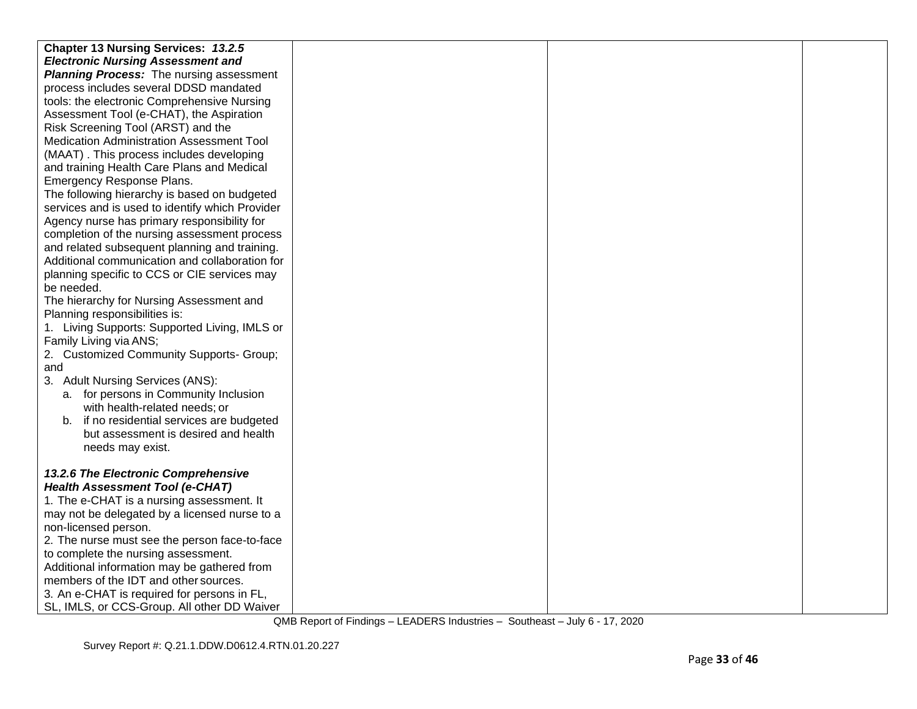| <b>Chapter 13 Nursing Services: 13.2.5</b>      |  |  |
|-------------------------------------------------|--|--|
| <b>Electronic Nursing Assessment and</b>        |  |  |
| <b>Planning Process:</b> The nursing assessment |  |  |
| process includes several DDSD mandated          |  |  |
| tools: the electronic Comprehensive Nursing     |  |  |
| Assessment Tool (e-CHAT), the Aspiration        |  |  |
| Risk Screening Tool (ARST) and the              |  |  |
| Medication Administration Assessment Tool       |  |  |
| (MAAT). This process includes developing        |  |  |
| and training Health Care Plans and Medical      |  |  |
| Emergency Response Plans.                       |  |  |
| The following hierarchy is based on budgeted    |  |  |
| services and is used to identify which Provider |  |  |
| Agency nurse has primary responsibility for     |  |  |
| completion of the nursing assessment process    |  |  |
| and related subsequent planning and training.   |  |  |
| Additional communication and collaboration for  |  |  |
| planning specific to CCS or CIE services may    |  |  |
| be needed.                                      |  |  |
| The hierarchy for Nursing Assessment and        |  |  |
| Planning responsibilities is:                   |  |  |
| 1. Living Supports: Supported Living, IMLS or   |  |  |
| Family Living via ANS;                          |  |  |
| 2. Customized Community Supports- Group;        |  |  |
| and                                             |  |  |
| 3. Adult Nursing Services (ANS):                |  |  |
| a. for persons in Community Inclusion           |  |  |
| with health-related needs; or                   |  |  |
| b. if no residential services are budgeted      |  |  |
| but assessment is desired and health            |  |  |
| needs may exist.                                |  |  |
|                                                 |  |  |
| 13.2.6 The Electronic Comprehensive             |  |  |
| <b>Health Assessment Tool (e-CHAT)</b>          |  |  |
| 1. The e-CHAT is a nursing assessment. It       |  |  |
| may not be delegated by a licensed nurse to a   |  |  |
| non-licensed person.                            |  |  |
| 2. The nurse must see the person face-to-face   |  |  |
| to complete the nursing assessment.             |  |  |
| Additional information may be gathered from     |  |  |
| members of the IDT and other sources.           |  |  |
| 3. An e-CHAT is required for persons in FL,     |  |  |
| SL, IMLS, or CCS-Group. All other DD Waiver     |  |  |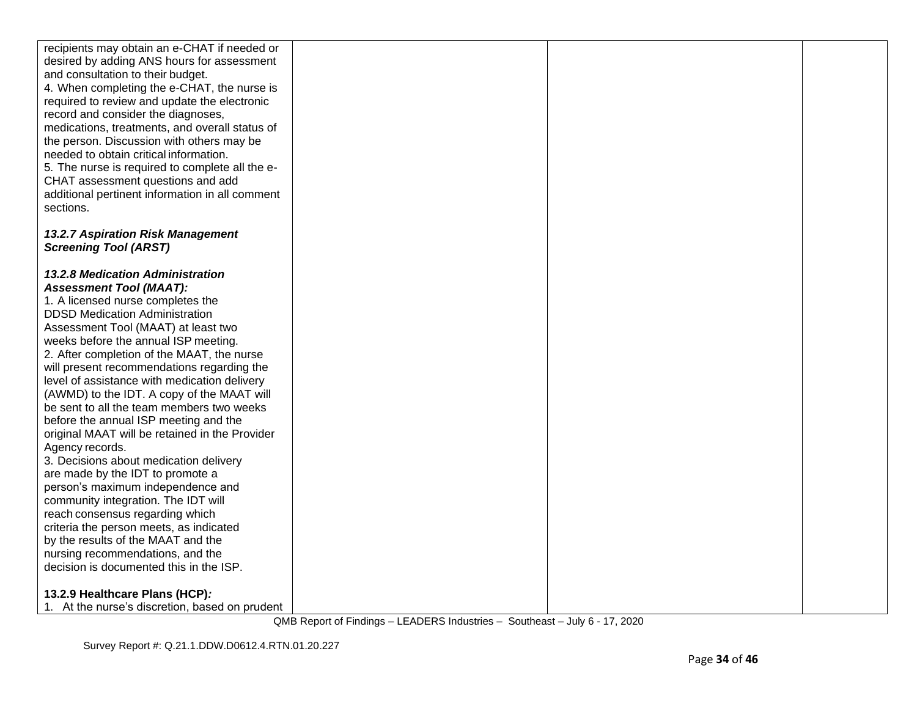| recipients may obtain an e-CHAT if needed or                                               |  |  |
|--------------------------------------------------------------------------------------------|--|--|
| desired by adding ANS hours for assessment                                                 |  |  |
| and consultation to their budget.                                                          |  |  |
| 4. When completing the e-CHAT, the nurse is                                                |  |  |
| required to review and update the electronic                                               |  |  |
| record and consider the diagnoses,                                                         |  |  |
| medications, treatments, and overall status of                                             |  |  |
| the person. Discussion with others may be<br>needed to obtain critical information.        |  |  |
| 5. The nurse is required to complete all the e-                                            |  |  |
| CHAT assessment questions and add                                                          |  |  |
| additional pertinent information in all comment                                            |  |  |
| sections.                                                                                  |  |  |
|                                                                                            |  |  |
| 13.2.7 Aspiration Risk Management                                                          |  |  |
| <b>Screening Tool (ARST)</b>                                                               |  |  |
|                                                                                            |  |  |
| 13.2.8 Medication Administration                                                           |  |  |
| <b>Assessment Tool (MAAT):</b>                                                             |  |  |
| 1. A licensed nurse completes the                                                          |  |  |
| <b>DDSD Medication Administration</b>                                                      |  |  |
| Assessment Tool (MAAT) at least two                                                        |  |  |
| weeks before the annual ISP meeting.                                                       |  |  |
| 2. After completion of the MAAT, the nurse                                                 |  |  |
| will present recommendations regarding the<br>level of assistance with medication delivery |  |  |
| (AWMD) to the IDT. A copy of the MAAT will                                                 |  |  |
| be sent to all the team members two weeks                                                  |  |  |
| before the annual ISP meeting and the                                                      |  |  |
| original MAAT will be retained in the Provider                                             |  |  |
| Agency records.                                                                            |  |  |
| 3. Decisions about medication delivery                                                     |  |  |
| are made by the IDT to promote a                                                           |  |  |
| person's maximum independence and                                                          |  |  |
| community integration. The IDT will                                                        |  |  |
| reach consensus regarding which                                                            |  |  |
| criteria the person meets, as indicated                                                    |  |  |
| by the results of the MAAT and the                                                         |  |  |
| nursing recommendations, and the<br>decision is documented this in the ISP.                |  |  |
|                                                                                            |  |  |
| 13.2.9 Healthcare Plans (HCP):                                                             |  |  |
| 1. At the nurse's discretion, based on prudent                                             |  |  |
|                                                                                            |  |  |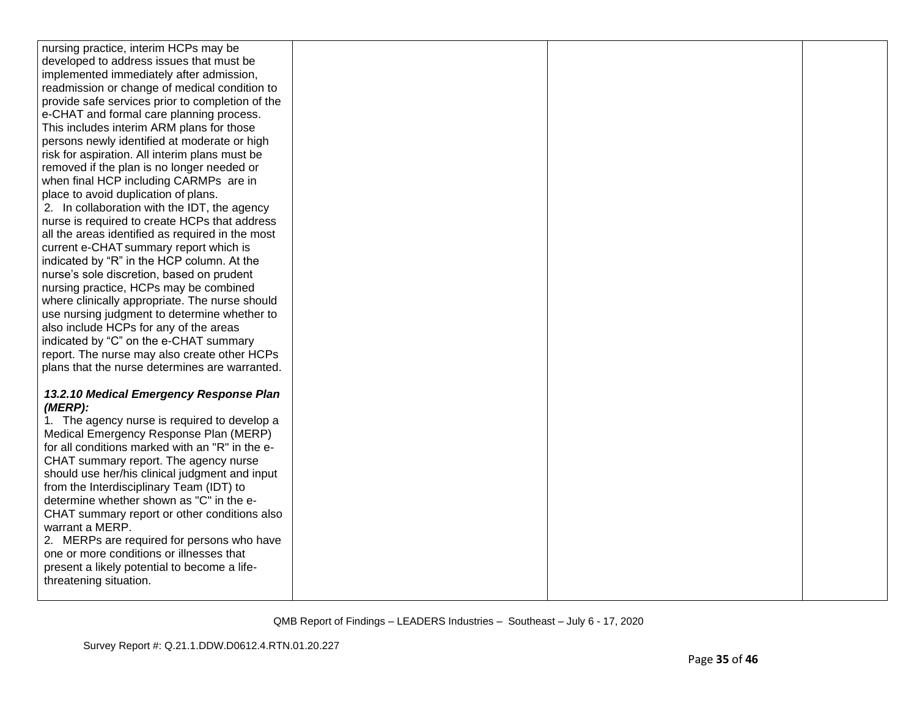| nursing practice, interim HCPs may be                                                     |  |  |
|-------------------------------------------------------------------------------------------|--|--|
| developed to address issues that must be                                                  |  |  |
| implemented immediately after admission,                                                  |  |  |
| readmission or change of medical condition to                                             |  |  |
| provide safe services prior to completion of the                                          |  |  |
| e-CHAT and formal care planning process.                                                  |  |  |
| This includes interim ARM plans for those                                                 |  |  |
| persons newly identified at moderate or high                                              |  |  |
| risk for aspiration. All interim plans must be                                            |  |  |
| removed if the plan is no longer needed or                                                |  |  |
| when final HCP including CARMPs are in                                                    |  |  |
| place to avoid duplication of plans.                                                      |  |  |
| 2. In collaboration with the IDT, the agency                                              |  |  |
| nurse is required to create HCPs that address                                             |  |  |
| all the areas identified as required in the most                                          |  |  |
| current e-CHAT summary report which is                                                    |  |  |
| indicated by "R" in the HCP column. At the                                                |  |  |
| nurse's sole discretion, based on prudent                                                 |  |  |
| nursing practice, HCPs may be combined                                                    |  |  |
| where clinically appropriate. The nurse should                                            |  |  |
| use nursing judgment to determine whether to                                              |  |  |
| also include HCPs for any of the areas                                                    |  |  |
| indicated by "C" on the e-CHAT summary                                                    |  |  |
| report. The nurse may also create other HCPs                                              |  |  |
| plans that the nurse determines are warranted.                                            |  |  |
|                                                                                           |  |  |
| 13.2.10 Medical Emergency Response Plan                                                   |  |  |
| (MERP):                                                                                   |  |  |
| 1. The agency nurse is required to develop a                                              |  |  |
| Medical Emergency Response Plan (MERP)<br>for all conditions marked with an "R" in the e- |  |  |
| CHAT summary report. The agency nurse                                                     |  |  |
| should use her/his clinical judgment and input                                            |  |  |
| from the Interdisciplinary Team (IDT) to                                                  |  |  |
| determine whether shown as "C" in the e-                                                  |  |  |
| CHAT summary report or other conditions also                                              |  |  |
| warrant a MERP.                                                                           |  |  |
| 2. MERPs are required for persons who have                                                |  |  |
| one or more conditions or illnesses that                                                  |  |  |
| present a likely potential to become a life-                                              |  |  |
| threatening situation.                                                                    |  |  |
|                                                                                           |  |  |
|                                                                                           |  |  |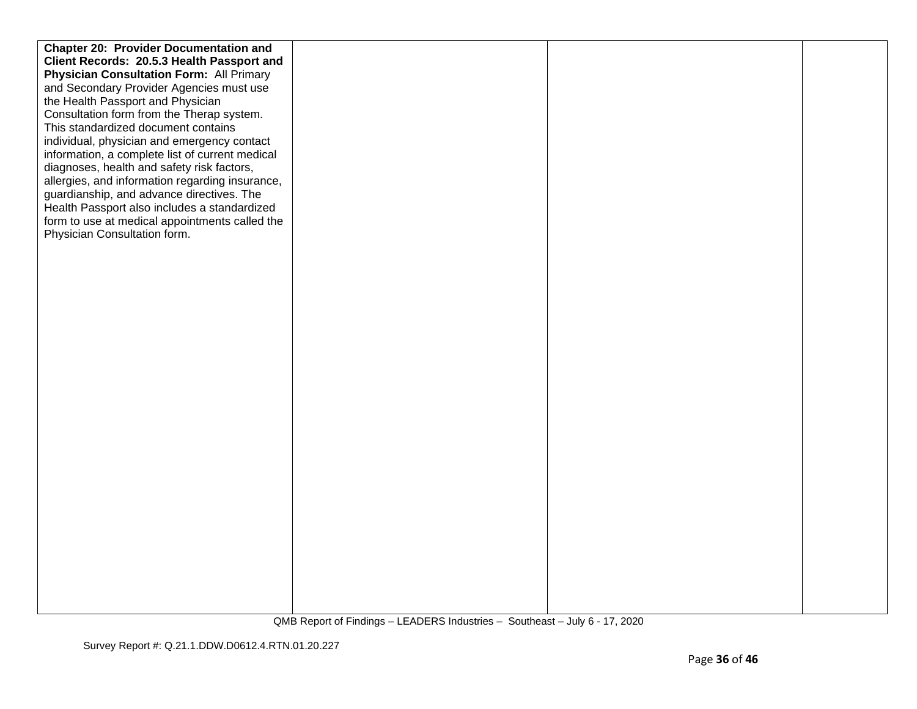| <b>Chapter 20: Provider Documentation and</b>   |  |  |
|-------------------------------------------------|--|--|
| Client Records: 20.5.3 Health Passport and      |  |  |
| <b>Physician Consultation Form: All Primary</b> |  |  |
| and Secondary Provider Agencies must use        |  |  |
| the Health Passport and Physician               |  |  |
| Consultation form from the Therap system.       |  |  |
| This standardized document contains             |  |  |
| individual, physician and emergency contact     |  |  |
|                                                 |  |  |
| information, a complete list of current medical |  |  |
| diagnoses, health and safety risk factors,      |  |  |
| allergies, and information regarding insurance, |  |  |
| guardianship, and advance directives. The       |  |  |
| Health Passport also includes a standardized    |  |  |
| form to use at medical appointments called the  |  |  |
| Physician Consultation form.                    |  |  |
|                                                 |  |  |
|                                                 |  |  |
|                                                 |  |  |
|                                                 |  |  |
|                                                 |  |  |
|                                                 |  |  |
|                                                 |  |  |
|                                                 |  |  |
|                                                 |  |  |
|                                                 |  |  |
|                                                 |  |  |
|                                                 |  |  |
|                                                 |  |  |
|                                                 |  |  |
|                                                 |  |  |
|                                                 |  |  |
|                                                 |  |  |
|                                                 |  |  |
|                                                 |  |  |
|                                                 |  |  |
|                                                 |  |  |
|                                                 |  |  |
|                                                 |  |  |
|                                                 |  |  |
|                                                 |  |  |
|                                                 |  |  |
|                                                 |  |  |
|                                                 |  |  |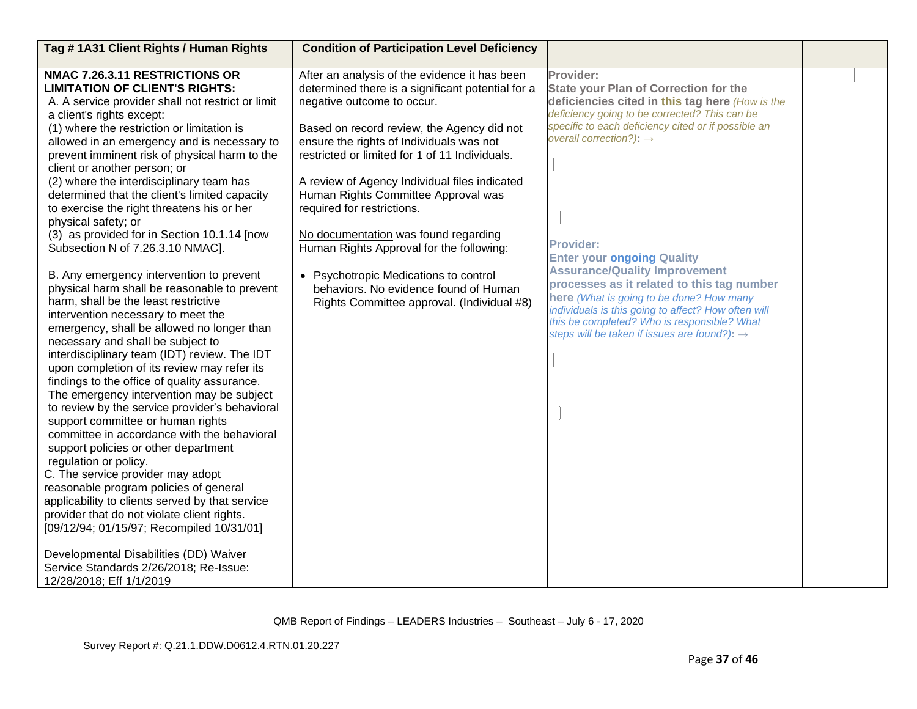| Tag #1A31 Client Rights / Human Rights                                                      | <b>Condition of Participation Level Deficiency</b> |                                                          |  |
|---------------------------------------------------------------------------------------------|----------------------------------------------------|----------------------------------------------------------|--|
| NMAC 7.26.3.11 RESTRICTIONS OR                                                              | After an analysis of the evidence it has been      | Provider:                                                |  |
| <b>LIMITATION OF CLIENT'S RIGHTS:</b>                                                       | determined there is a significant potential for a  | <b>State your Plan of Correction for the</b>             |  |
| A. A service provider shall not restrict or limit                                           | negative outcome to occur.                         | deficiencies cited in this tag here (How is the          |  |
| a client's rights except:                                                                   |                                                    | deficiency going to be corrected? This can be            |  |
| (1) where the restriction or limitation is                                                  | Based on record review, the Agency did not         | specific to each deficiency cited or if possible an      |  |
| allowed in an emergency and is necessary to                                                 | ensure the rights of Individuals was not           | overall correction?): $\rightarrow$                      |  |
| prevent imminent risk of physical harm to the                                               | restricted or limited for 1 of 11 Individuals.     |                                                          |  |
| client or another person; or                                                                |                                                    |                                                          |  |
| (2) where the interdisciplinary team has                                                    | A review of Agency Individual files indicated      |                                                          |  |
| determined that the client's limited capacity                                               | Human Rights Committee Approval was                |                                                          |  |
| to exercise the right threatens his or her                                                  | required for restrictions.                         |                                                          |  |
| physical safety; or                                                                         |                                                    |                                                          |  |
| (3) as provided for in Section 10.1.14 [now                                                 | No documentation was found regarding               | <b>Provider:</b>                                         |  |
| Subsection N of 7.26.3.10 NMAC].                                                            | Human Rights Approval for the following:           | <b>Enter your ongoing Quality</b>                        |  |
|                                                                                             |                                                    | <b>Assurance/Quality Improvement</b>                     |  |
| B. Any emergency intervention to prevent                                                    | • Psychotropic Medications to control              | processes as it related to this tag number               |  |
| physical harm shall be reasonable to prevent                                                | behaviors. No evidence found of Human              | here (What is going to be done? How many                 |  |
| harm, shall be the least restrictive                                                        | Rights Committee approval. (Individual #8)         | individuals is this going to affect? How often will      |  |
| intervention necessary to meet the                                                          |                                                    | this be completed? Who is responsible? What              |  |
| emergency, shall be allowed no longer than                                                  |                                                    | steps will be taken if issues are found?): $\rightarrow$ |  |
| necessary and shall be subject to                                                           |                                                    |                                                          |  |
| interdisciplinary team (IDT) review. The IDT                                                |                                                    |                                                          |  |
| upon completion of its review may refer its                                                 |                                                    |                                                          |  |
| findings to the office of quality assurance.                                                |                                                    |                                                          |  |
| The emergency intervention may be subject<br>to review by the service provider's behavioral |                                                    |                                                          |  |
| support committee or human rights                                                           |                                                    |                                                          |  |
| committee in accordance with the behavioral                                                 |                                                    |                                                          |  |
| support policies or other department                                                        |                                                    |                                                          |  |
| regulation or policy.                                                                       |                                                    |                                                          |  |
| C. The service provider may adopt                                                           |                                                    |                                                          |  |
| reasonable program policies of general                                                      |                                                    |                                                          |  |
| applicability to clients served by that service                                             |                                                    |                                                          |  |
| provider that do not violate client rights.                                                 |                                                    |                                                          |  |
| [09/12/94; 01/15/97; Recompiled 10/31/01]                                                   |                                                    |                                                          |  |
|                                                                                             |                                                    |                                                          |  |
| Developmental Disabilities (DD) Waiver                                                      |                                                    |                                                          |  |
| Service Standards 2/26/2018; Re-Issue:                                                      |                                                    |                                                          |  |
| 12/28/2018; Eff 1/1/2019                                                                    |                                                    |                                                          |  |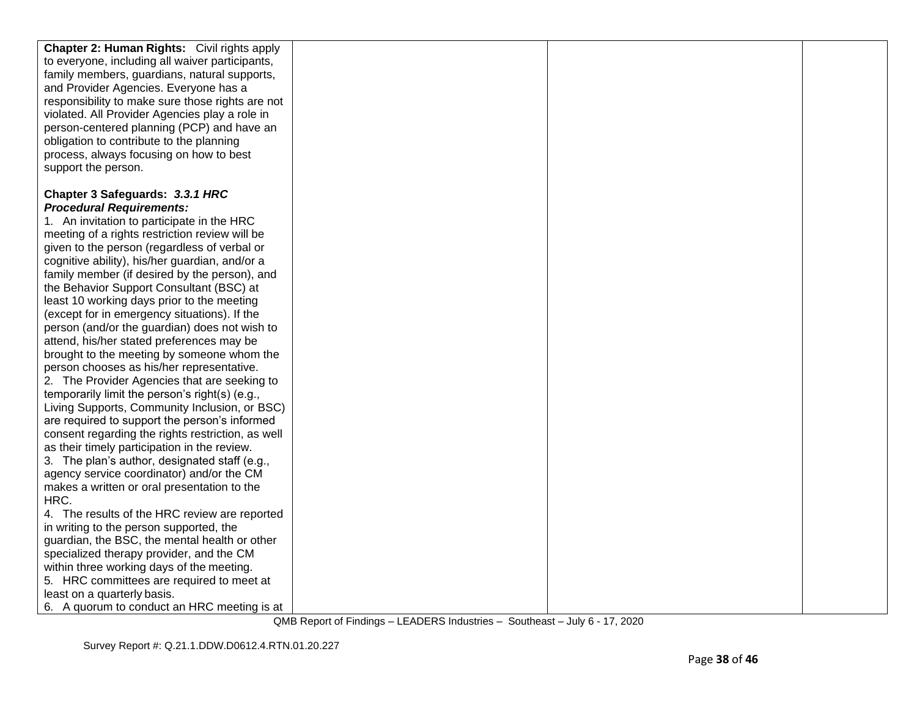| <b>Chapter 2: Human Rights:</b> Civil rights apply |  |  |
|----------------------------------------------------|--|--|
| to everyone, including all waiver participants,    |  |  |
| family members, guardians, natural supports,       |  |  |
| and Provider Agencies. Everyone has a              |  |  |
| responsibility to make sure those rights are not   |  |  |
| violated. All Provider Agencies play a role in     |  |  |
| person-centered planning (PCP) and have an         |  |  |
| obligation to contribute to the planning           |  |  |
|                                                    |  |  |
| process, always focusing on how to best            |  |  |
| support the person.                                |  |  |
| Chapter 3 Safeguards: 3.3.1 HRC                    |  |  |
| <b>Procedural Requirements:</b>                    |  |  |
|                                                    |  |  |
| 1. An invitation to participate in the HRC         |  |  |
| meeting of a rights restriction review will be     |  |  |
| given to the person (regardless of verbal or       |  |  |
| cognitive ability), his/her guardian, and/or a     |  |  |
| family member (if desired by the person), and      |  |  |
| the Behavior Support Consultant (BSC) at           |  |  |
| least 10 working days prior to the meeting         |  |  |
| (except for in emergency situations). If the       |  |  |
| person (and/or the guardian) does not wish to      |  |  |
| attend, his/her stated preferences may be          |  |  |
| brought to the meeting by someone whom the         |  |  |
| person chooses as his/her representative.          |  |  |
| 2. The Provider Agencies that are seeking to       |  |  |
| temporarily limit the person's right(s) (e.g.,     |  |  |
| Living Supports, Community Inclusion, or BSC)      |  |  |
| are required to support the person's informed      |  |  |
| consent regarding the rights restriction, as well  |  |  |
| as their timely participation in the review.       |  |  |
| 3. The plan's author, designated staff (e.g.,      |  |  |
| agency service coordinator) and/or the CM          |  |  |
| makes a written or oral presentation to the        |  |  |
| HRC.                                               |  |  |
| 4. The results of the HRC review are reported      |  |  |
| in writing to the person supported, the            |  |  |
| guardian, the BSC, the mental health or other      |  |  |
| specialized therapy provider, and the CM           |  |  |
| within three working days of the meeting.          |  |  |
| 5. HRC committees are required to meet at          |  |  |
| least on a quarterly basis.                        |  |  |
| 6. A quorum to conduct an HRC meeting is at        |  |  |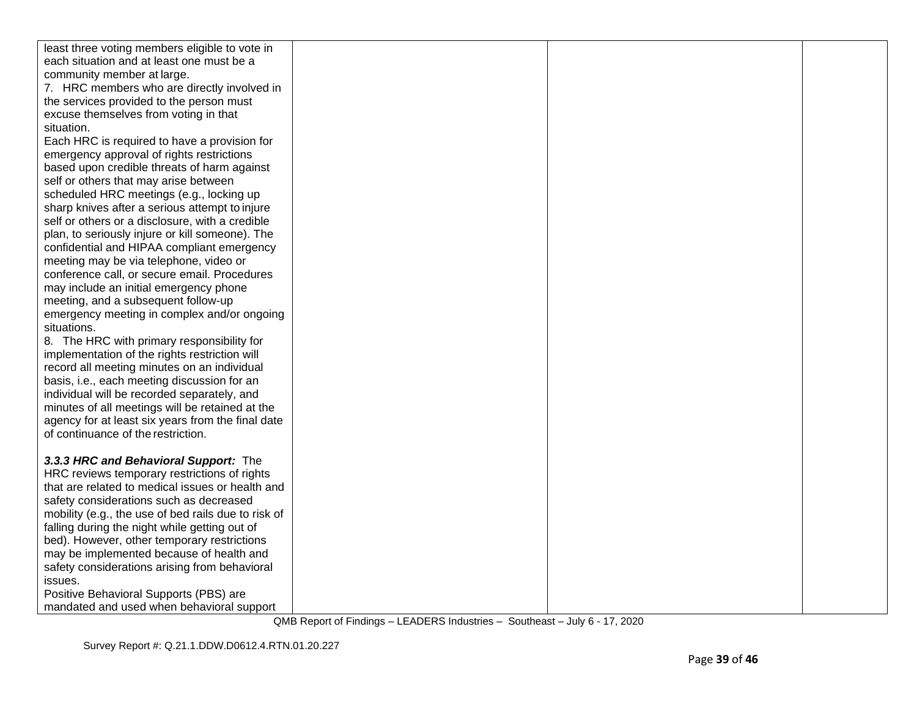| least three voting members eligible to vote in      |  |  |
|-----------------------------------------------------|--|--|
| each situation and at least one must be a           |  |  |
| community member at large.                          |  |  |
| 7. HRC members who are directly involved in         |  |  |
| the services provided to the person must            |  |  |
| excuse themselves from voting in that               |  |  |
| situation.                                          |  |  |
| Each HRC is required to have a provision for        |  |  |
| emergency approval of rights restrictions           |  |  |
| based upon credible threats of harm against         |  |  |
| self or others that may arise between               |  |  |
| scheduled HRC meetings (e.g., locking up            |  |  |
| sharp knives after a serious attempt to injure      |  |  |
| self or others or a disclosure, with a credible     |  |  |
| plan, to seriously injure or kill someone). The     |  |  |
| confidential and HIPAA compliant emergency          |  |  |
| meeting may be via telephone, video or              |  |  |
| conference call, or secure email. Procedures        |  |  |
| may include an initial emergency phone              |  |  |
| meeting, and a subsequent follow-up                 |  |  |
| emergency meeting in complex and/or ongoing         |  |  |
| situations.                                         |  |  |
| 8. The HRC with primary responsibility for          |  |  |
| implementation of the rights restriction will       |  |  |
| record all meeting minutes on an individual         |  |  |
| basis, i.e., each meeting discussion for an         |  |  |
| individual will be recorded separately, and         |  |  |
| minutes of all meetings will be retained at the     |  |  |
| agency for at least six years from the final date   |  |  |
| of continuance of the restriction.                  |  |  |
|                                                     |  |  |
| 3.3.3 HRC and Behavioral Support: The               |  |  |
| HRC reviews temporary restrictions of rights        |  |  |
| that are related to medical issues or health and    |  |  |
| safety considerations such as decreased             |  |  |
| mobility (e.g., the use of bed rails due to risk of |  |  |
| falling during the night while getting out of       |  |  |
| bed). However, other temporary restrictions         |  |  |
| may be implemented because of health and            |  |  |
| safety considerations arising from behavioral       |  |  |
| issues.                                             |  |  |
| Positive Behavioral Supports (PBS) are              |  |  |
| mandated and used when behavioral support           |  |  |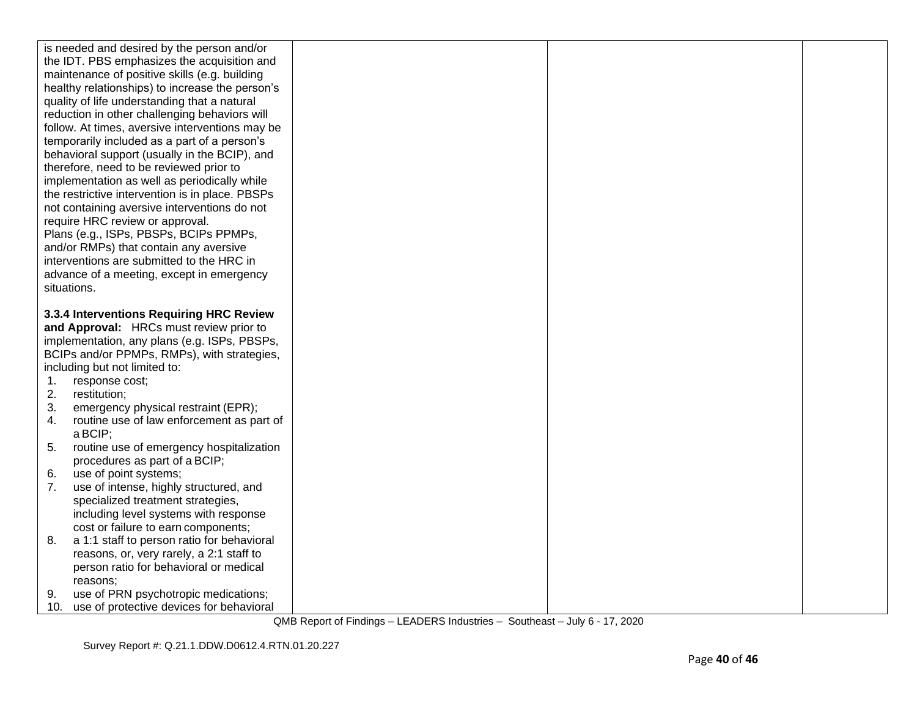|          | is needed and desired by the person and/or                                       |  |  |
|----------|----------------------------------------------------------------------------------|--|--|
|          | the IDT. PBS emphasizes the acquisition and                                      |  |  |
|          | maintenance of positive skills (e.g. building                                    |  |  |
|          | healthy relationships) to increase the person's                                  |  |  |
|          | quality of life understanding that a natural                                     |  |  |
|          | reduction in other challenging behaviors will                                    |  |  |
|          | follow. At times, aversive interventions may be                                  |  |  |
|          | temporarily included as a part of a person's                                     |  |  |
|          | behavioral support (usually in the BCIP), and                                    |  |  |
|          | therefore, need to be reviewed prior to                                          |  |  |
|          | implementation as well as periodically while                                     |  |  |
|          | the restrictive intervention is in place. PBSPs                                  |  |  |
|          | not containing aversive interventions do not                                     |  |  |
|          | require HRC review or approval.                                                  |  |  |
|          | Plans (e.g., ISPs, PBSPs, BCIPs PPMPs,                                           |  |  |
|          | and/or RMPs) that contain any aversive                                           |  |  |
|          | interventions are submitted to the HRC in                                        |  |  |
|          | advance of a meeting, except in emergency                                        |  |  |
|          | situations.                                                                      |  |  |
|          |                                                                                  |  |  |
|          | 3.3.4 Interventions Requiring HRC Review                                         |  |  |
|          | and Approval: HRCs must review prior to                                          |  |  |
|          | implementation, any plans (e.g. ISPs, PBSPs,                                     |  |  |
|          | BCIPs and/or PPMPs, RMPs), with strategies,                                      |  |  |
|          | including but not limited to:                                                    |  |  |
| 1.       | response cost;                                                                   |  |  |
| 2.       | restitution;                                                                     |  |  |
| 3.<br>4. | emergency physical restraint (EPR);<br>routine use of law enforcement as part of |  |  |
|          |                                                                                  |  |  |
| 5.       |                                                                                  |  |  |
|          | a BCIP;                                                                          |  |  |
|          | routine use of emergency hospitalization                                         |  |  |
|          | procedures as part of a BCIP;                                                    |  |  |
| 6.       | use of point systems;                                                            |  |  |
| 7.       | use of intense, highly structured, and                                           |  |  |
|          | specialized treatment strategies,                                                |  |  |
|          | including level systems with response                                            |  |  |
|          | cost or failure to earn components;                                              |  |  |
| 8.       | a 1:1 staff to person ratio for behavioral                                       |  |  |
|          | reasons, or, very rarely, a 2:1 staff to                                         |  |  |
|          | person ratio for behavioral or medical<br>reasons:                               |  |  |
| 9.       | use of PRN psychotropic medications;                                             |  |  |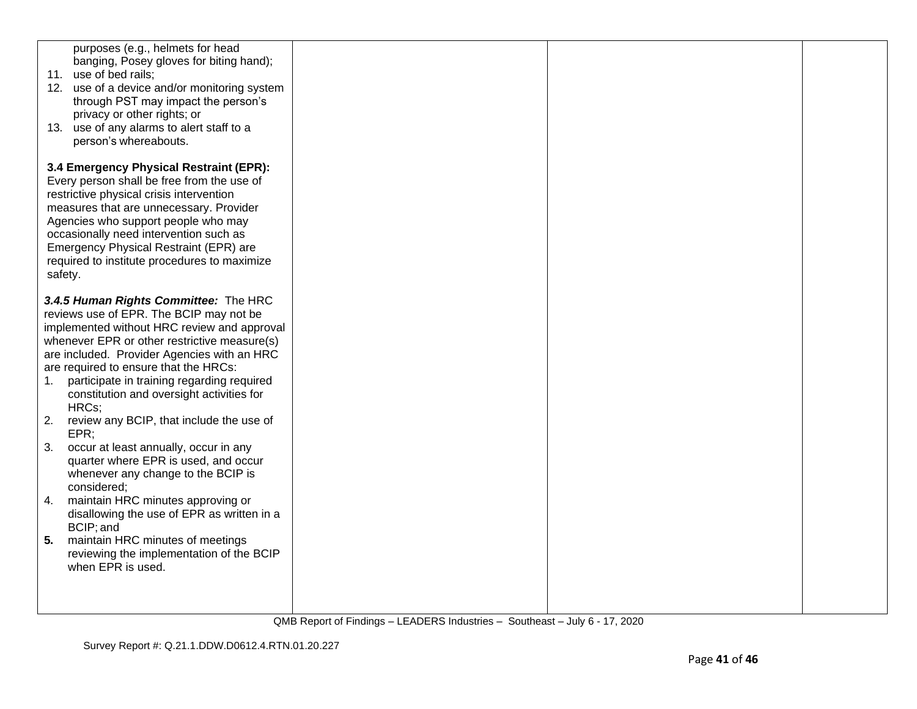| purposes (e.g., helmets for head<br>banging, Posey gloves for biting hand);<br>11. use of bed rails;<br>12. use of a device and/or monitoring system<br>through PST may impact the person's<br>privacy or other rights; or<br>13. use of any alarms to alert staff to a<br>person's whereabouts.                                                                                  |  |  |
|-----------------------------------------------------------------------------------------------------------------------------------------------------------------------------------------------------------------------------------------------------------------------------------------------------------------------------------------------------------------------------------|--|--|
| 3.4 Emergency Physical Restraint (EPR):<br>Every person shall be free from the use of<br>restrictive physical crisis intervention<br>measures that are unnecessary. Provider<br>Agencies who support people who may<br>occasionally need intervention such as<br>Emergency Physical Restraint (EPR) are<br>required to institute procedures to maximize<br>safety.                |  |  |
| 3.4.5 Human Rights Committee: The HRC<br>reviews use of EPR. The BCIP may not be<br>implemented without HRC review and approval<br>whenever EPR or other restrictive measure(s)<br>are included. Provider Agencies with an HRC<br>are required to ensure that the HRCs:<br>participate in training regarding required<br>1.<br>constitution and oversight activities for<br>HRCs; |  |  |
| 2.<br>review any BCIP, that include the use of<br>EPR;<br>3.<br>occur at least annually, occur in any<br>quarter where EPR is used, and occur<br>whenever any change to the BCIP is<br>considered;                                                                                                                                                                                |  |  |
| 4.<br>maintain HRC minutes approving or<br>disallowing the use of EPR as written in a<br>BCIP; and<br>5.<br>maintain HRC minutes of meetings<br>reviewing the implementation of the BCIP<br>when EPR is used.                                                                                                                                                                     |  |  |
|                                                                                                                                                                                                                                                                                                                                                                                   |  |  |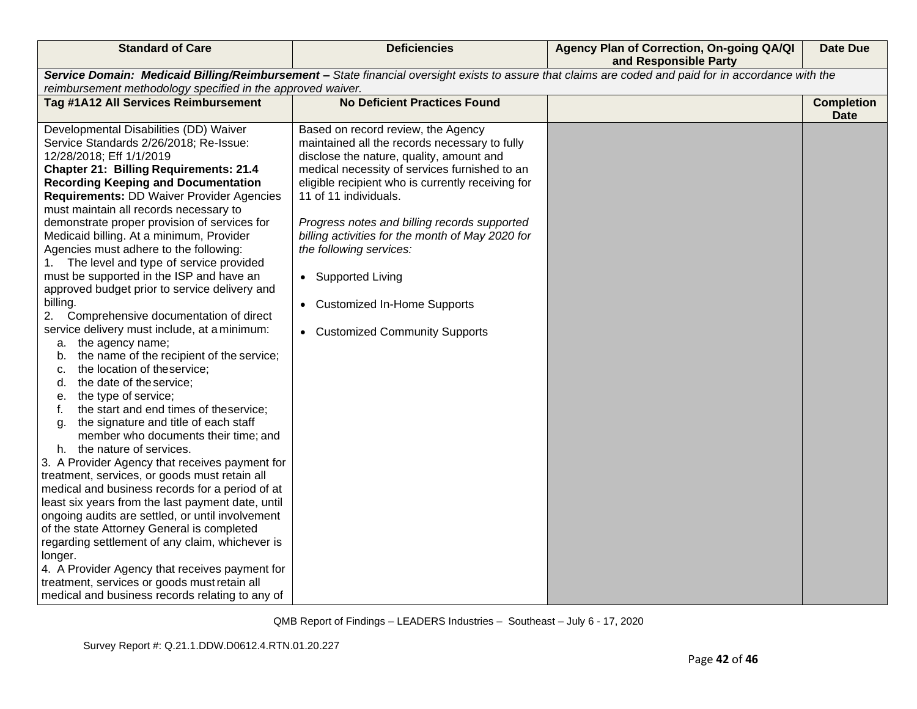| <b>Standard of Care</b>                                                                                                                                                                                                                                                                                                                                                                                                                                                                                                                                                                                                                                                                                                                                                                                                                                                                                                                                                                                                                                                                                                                                                                                                                                                                                                                                                                                                                                                                                                                                                               | <b>Deficiencies</b>                                                                                                                                                                                                                                                                                                                                                                                                                                                                                       | Agency Plan of Correction, On-going QA/QI<br>and Responsible Party | <b>Date Due</b>                  |  |
|---------------------------------------------------------------------------------------------------------------------------------------------------------------------------------------------------------------------------------------------------------------------------------------------------------------------------------------------------------------------------------------------------------------------------------------------------------------------------------------------------------------------------------------------------------------------------------------------------------------------------------------------------------------------------------------------------------------------------------------------------------------------------------------------------------------------------------------------------------------------------------------------------------------------------------------------------------------------------------------------------------------------------------------------------------------------------------------------------------------------------------------------------------------------------------------------------------------------------------------------------------------------------------------------------------------------------------------------------------------------------------------------------------------------------------------------------------------------------------------------------------------------------------------------------------------------------------------|-----------------------------------------------------------------------------------------------------------------------------------------------------------------------------------------------------------------------------------------------------------------------------------------------------------------------------------------------------------------------------------------------------------------------------------------------------------------------------------------------------------|--------------------------------------------------------------------|----------------------------------|--|
| Service Domain: Medicaid Billing/Reimbursement - State financial oversight exists to assure that claims are coded and paid for in accordance with the                                                                                                                                                                                                                                                                                                                                                                                                                                                                                                                                                                                                                                                                                                                                                                                                                                                                                                                                                                                                                                                                                                                                                                                                                                                                                                                                                                                                                                 |                                                                                                                                                                                                                                                                                                                                                                                                                                                                                                           |                                                                    |                                  |  |
| reimbursement methodology specified in the approved waiver.                                                                                                                                                                                                                                                                                                                                                                                                                                                                                                                                                                                                                                                                                                                                                                                                                                                                                                                                                                                                                                                                                                                                                                                                                                                                                                                                                                                                                                                                                                                           |                                                                                                                                                                                                                                                                                                                                                                                                                                                                                                           |                                                                    |                                  |  |
| Tag #1A12 All Services Reimbursement                                                                                                                                                                                                                                                                                                                                                                                                                                                                                                                                                                                                                                                                                                                                                                                                                                                                                                                                                                                                                                                                                                                                                                                                                                                                                                                                                                                                                                                                                                                                                  | <b>No Deficient Practices Found</b>                                                                                                                                                                                                                                                                                                                                                                                                                                                                       |                                                                    | <b>Completion</b><br><b>Date</b> |  |
| Developmental Disabilities (DD) Waiver<br>Service Standards 2/26/2018; Re-Issue:<br>12/28/2018; Eff 1/1/2019<br><b>Chapter 21: Billing Requirements: 21.4</b><br><b>Recording Keeping and Documentation</b><br><b>Requirements: DD Waiver Provider Agencies</b><br>must maintain all records necessary to<br>demonstrate proper provision of services for<br>Medicaid billing. At a minimum, Provider<br>Agencies must adhere to the following:<br>The level and type of service provided<br>1.<br>must be supported in the ISP and have an<br>approved budget prior to service delivery and<br>billing.<br>2.<br>Comprehensive documentation of direct<br>service delivery must include, at a minimum:<br>a. the agency name;<br>the name of the recipient of the service;<br>b.<br>the location of theservice;<br>c.<br>the date of the service;<br>d.<br>the type of service;<br>е.<br>the start and end times of theservice;<br>the signature and title of each staff<br>g.<br>member who documents their time; and<br>h. the nature of services.<br>3. A Provider Agency that receives payment for<br>treatment, services, or goods must retain all<br>medical and business records for a period of at<br>least six years from the last payment date, until<br>ongoing audits are settled, or until involvement<br>of the state Attorney General is completed<br>regarding settlement of any claim, whichever is<br>longer.<br>4. A Provider Agency that receives payment for<br>treatment, services or goods must retain all<br>medical and business records relating to any of | Based on record review, the Agency<br>maintained all the records necessary to fully<br>disclose the nature, quality, amount and<br>medical necessity of services furnished to an<br>eligible recipient who is currently receiving for<br>11 of 11 individuals.<br>Progress notes and billing records supported<br>billing activities for the month of May 2020 for<br>the following services:<br>• Supported Living<br><b>Customized In-Home Supports</b><br>$\bullet$<br>• Customized Community Supports |                                                                    |                                  |  |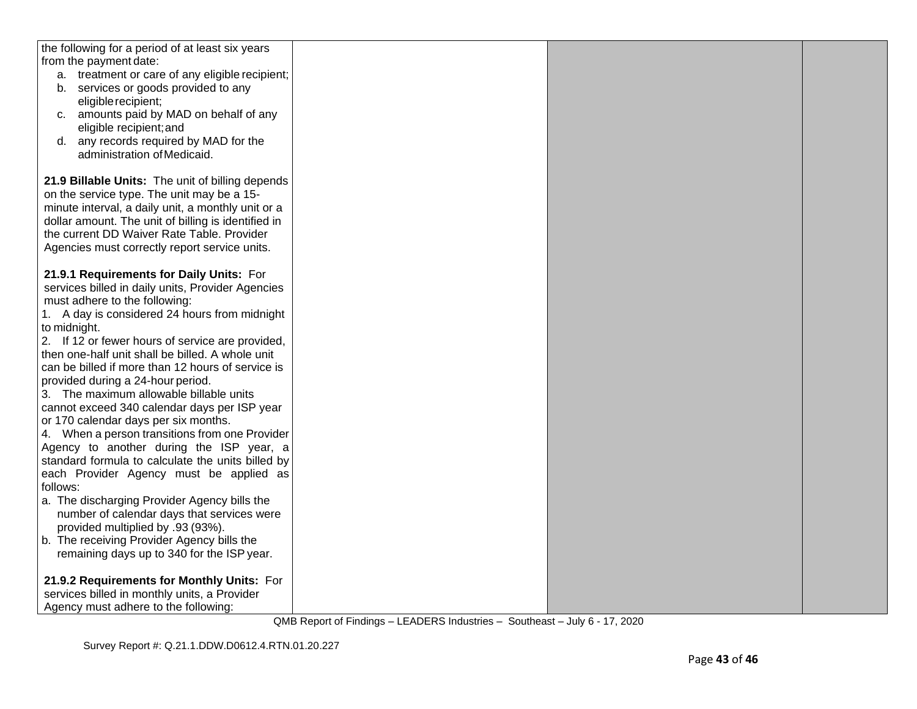| the following for a period of at least six years                                |  |  |
|---------------------------------------------------------------------------------|--|--|
| from the payment date:                                                          |  |  |
| a. treatment or care of any eligible recipient;                                 |  |  |
| b. services or goods provided to any                                            |  |  |
| eligible recipient;                                                             |  |  |
| c. amounts paid by MAD on behalf of any<br>eligible recipient; and              |  |  |
| any records required by MAD for the<br>d.                                       |  |  |
| administration of Medicaid.                                                     |  |  |
|                                                                                 |  |  |
| 21.9 Billable Units: The unit of billing depends                                |  |  |
| on the service type. The unit may be a 15-                                      |  |  |
| minute interval, a daily unit, a monthly unit or a                              |  |  |
| dollar amount. The unit of billing is identified in                             |  |  |
| the current DD Waiver Rate Table. Provider                                      |  |  |
| Agencies must correctly report service units.                                   |  |  |
|                                                                                 |  |  |
| 21.9.1 Requirements for Daily Units: For                                        |  |  |
| services billed in daily units, Provider Agencies                               |  |  |
| must adhere to the following:                                                   |  |  |
| 1. A day is considered 24 hours from midnight                                   |  |  |
| to midnight.                                                                    |  |  |
| 2. If 12 or fewer hours of service are provided,                                |  |  |
| then one-half unit shall be billed. A whole unit                                |  |  |
| can be billed if more than 12 hours of service is                               |  |  |
| provided during a 24-hour period.                                               |  |  |
| 3. The maximum allowable billable units                                         |  |  |
| cannot exceed 340 calendar days per ISP year                                    |  |  |
| or 170 calendar days per six months.                                            |  |  |
| 4. When a person transitions from one Provider                                  |  |  |
| Agency to another during the ISP year, a                                        |  |  |
| standard formula to calculate the units billed by                               |  |  |
| each Provider Agency must be applied as                                         |  |  |
| follows:                                                                        |  |  |
| a. The discharging Provider Agency bills the                                    |  |  |
| number of calendar days that services were                                      |  |  |
| provided multiplied by .93 (93%).<br>b. The receiving Provider Agency bills the |  |  |
| remaining days up to 340 for the ISP year.                                      |  |  |
|                                                                                 |  |  |
| 21.9.2 Requirements for Monthly Units: For                                      |  |  |
| services billed in monthly units, a Provider                                    |  |  |
| Agency must adhere to the following:                                            |  |  |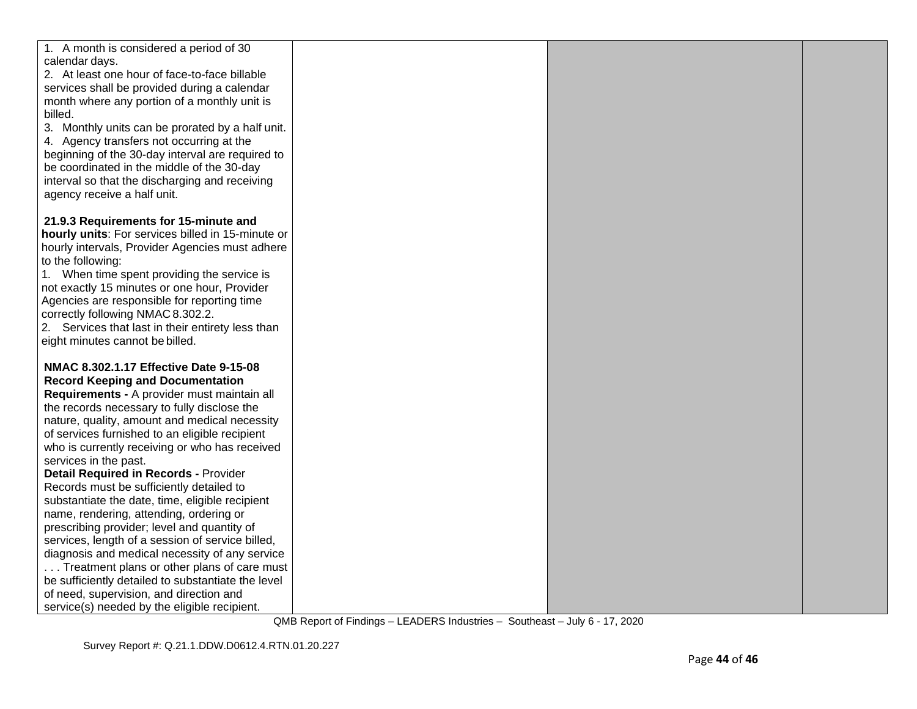| 1. A month is considered a period of 30                                                         |  |  |
|-------------------------------------------------------------------------------------------------|--|--|
| calendar days.                                                                                  |  |  |
| 2. At least one hour of face-to-face billable                                                   |  |  |
| services shall be provided during a calendar                                                    |  |  |
| month where any portion of a monthly unit is                                                    |  |  |
| billed.                                                                                         |  |  |
| 3. Monthly units can be prorated by a half unit.                                                |  |  |
| 4. Agency transfers not occurring at the                                                        |  |  |
| beginning of the 30-day interval are required to                                                |  |  |
| be coordinated in the middle of the 30-day                                                      |  |  |
| interval so that the discharging and receiving                                                  |  |  |
| agency receive a half unit.                                                                     |  |  |
| 21.9.3 Requirements for 15-minute and                                                           |  |  |
| hourly units: For services billed in 15-minute or                                               |  |  |
| hourly intervals, Provider Agencies must adhere                                                 |  |  |
| to the following:                                                                               |  |  |
| 1. When time spent providing the service is                                                     |  |  |
| not exactly 15 minutes or one hour, Provider                                                    |  |  |
| Agencies are responsible for reporting time                                                     |  |  |
| correctly following NMAC 8.302.2.                                                               |  |  |
| 2. Services that last in their entirety less than                                               |  |  |
| eight minutes cannot be billed.                                                                 |  |  |
|                                                                                                 |  |  |
| NMAC 8.302.1.17 Effective Date 9-15-08                                                          |  |  |
| <b>Record Keeping and Documentation</b>                                                         |  |  |
| Requirements - A provider must maintain all                                                     |  |  |
| the records necessary to fully disclose the                                                     |  |  |
| nature, quality, amount and medical necessity                                                   |  |  |
| of services furnished to an eligible recipient                                                  |  |  |
| who is currently receiving or who has received                                                  |  |  |
| services in the past.                                                                           |  |  |
| <b>Detail Required in Records - Provider</b>                                                    |  |  |
| Records must be sufficiently detailed to                                                        |  |  |
| substantiate the date, time, eligible recipient                                                 |  |  |
| name, rendering, attending, ordering or                                                         |  |  |
| prescribing provider; level and quantity of<br>services, length of a session of service billed, |  |  |
| diagnosis and medical necessity of any service                                                  |  |  |
| Treatment plans or other plans of care must                                                     |  |  |
| be sufficiently detailed to substantiate the level                                              |  |  |
| of need, supervision, and direction and                                                         |  |  |
| service(s) needed by the eligible recipient.                                                    |  |  |
|                                                                                                 |  |  |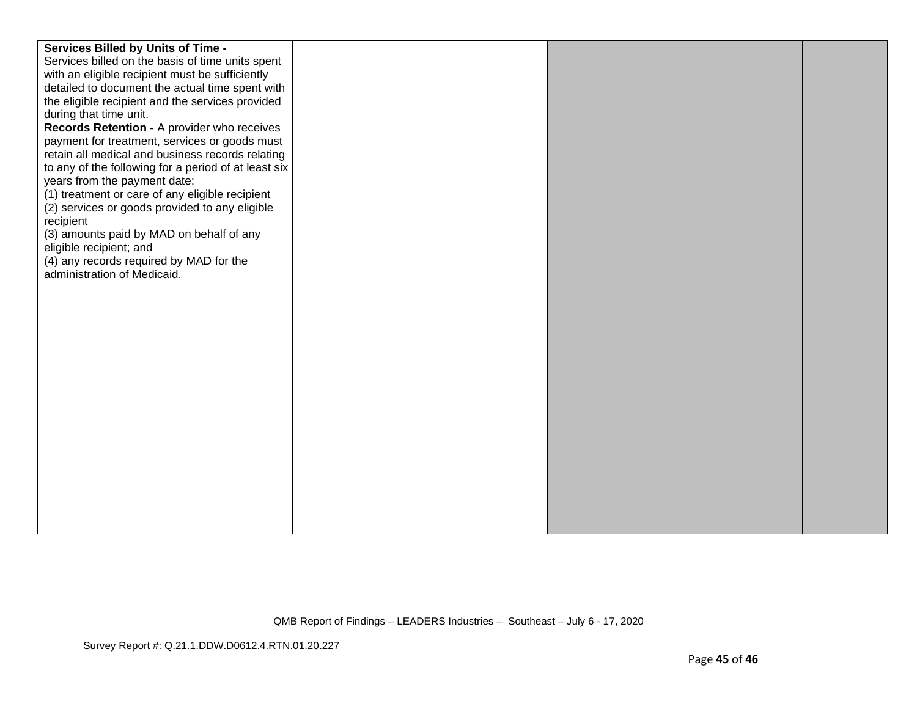| Services Billed by Units of Time -                                                                  |  |  |
|-----------------------------------------------------------------------------------------------------|--|--|
| Services billed on the basis of time units spent<br>with an eligible recipient must be sufficiently |  |  |
| detailed to document the actual time spent with                                                     |  |  |
| the eligible recipient and the services provided                                                    |  |  |
| during that time unit.                                                                              |  |  |
| Records Retention - A provider who receives                                                         |  |  |
| payment for treatment, services or goods must                                                       |  |  |
| retain all medical and business records relating                                                    |  |  |
| to any of the following for a period of at least six                                                |  |  |
| years from the payment date:                                                                        |  |  |
| (1) treatment or care of any eligible recipient                                                     |  |  |
| (2) services or goods provided to any eligible                                                      |  |  |
| recipient<br>(3) amounts paid by MAD on behalf of any                                               |  |  |
| eligible recipient; and                                                                             |  |  |
| (4) any records required by MAD for the                                                             |  |  |
| administration of Medicaid.                                                                         |  |  |
|                                                                                                     |  |  |
|                                                                                                     |  |  |
|                                                                                                     |  |  |
|                                                                                                     |  |  |
|                                                                                                     |  |  |
|                                                                                                     |  |  |
|                                                                                                     |  |  |
|                                                                                                     |  |  |
|                                                                                                     |  |  |
|                                                                                                     |  |  |
|                                                                                                     |  |  |
|                                                                                                     |  |  |
|                                                                                                     |  |  |
|                                                                                                     |  |  |
|                                                                                                     |  |  |
|                                                                                                     |  |  |
|                                                                                                     |  |  |